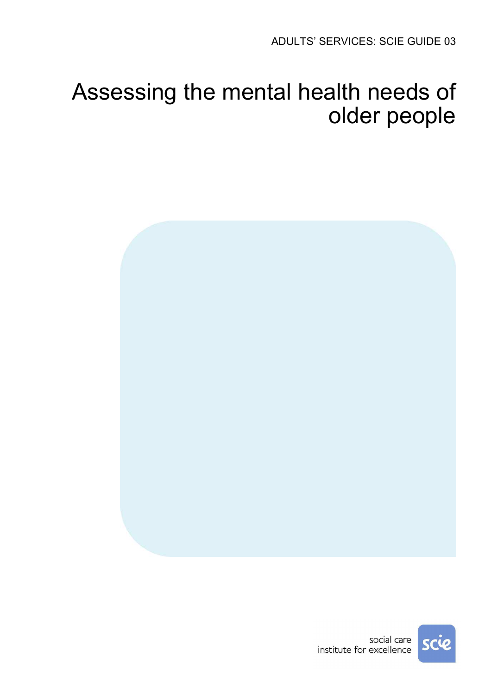# Assessing the mental health needs of older people



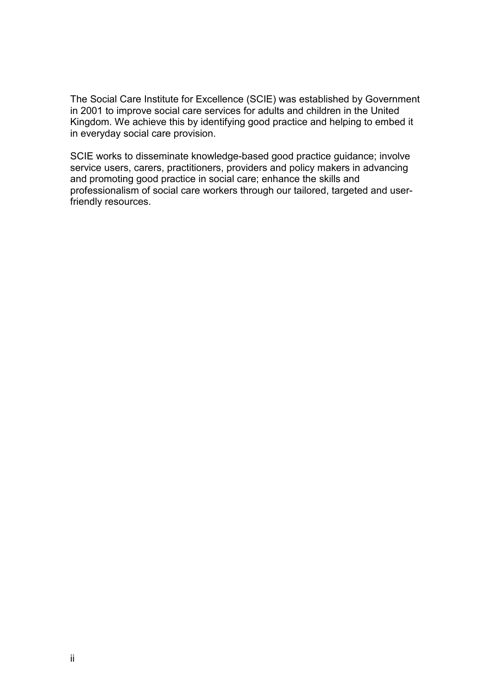The Social Care Institute for Excellence (SCIE) was established by Government in 2001 to improve social care services for adults and children in the United Kingdom. We achieve this by identifying good practice and helping to embed it in everyday social care provision.

SCIE works to disseminate knowledge-based good practice guidance; involve service users, carers, practitioners, providers and policy makers in advancing and promoting good practice in social care; enhance the skills and professionalism of social care workers through our tailored, targeted and userfriendly resources.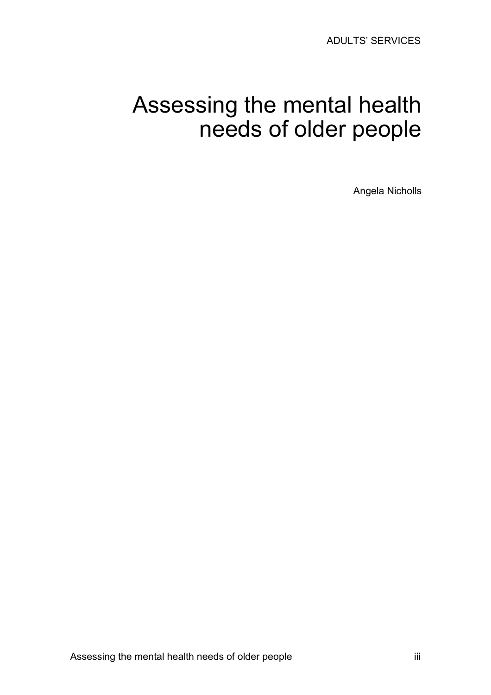# Assessing the mental health needs of older people

Angela Nicholls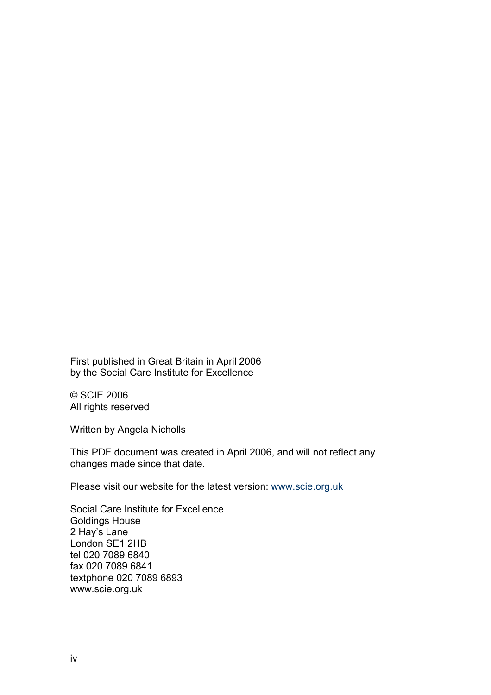First published in Great Britain in April 2006 by the Social Care Institute for Excellence

© SCIE 2006 All rights reserved

Written by Angela Nicholls

This PDF document was created in April 2006, and will not reflect any changes made since that date.

Please visit our website for the latest version: www.scie.org.uk

Social Care Institute for Excellence Goldings House 2 Hay's Lane London SE1 2HB tel 020 7089 6840 fax 020 7089 6841 textphone 020 7089 6893 www.scie.org.uk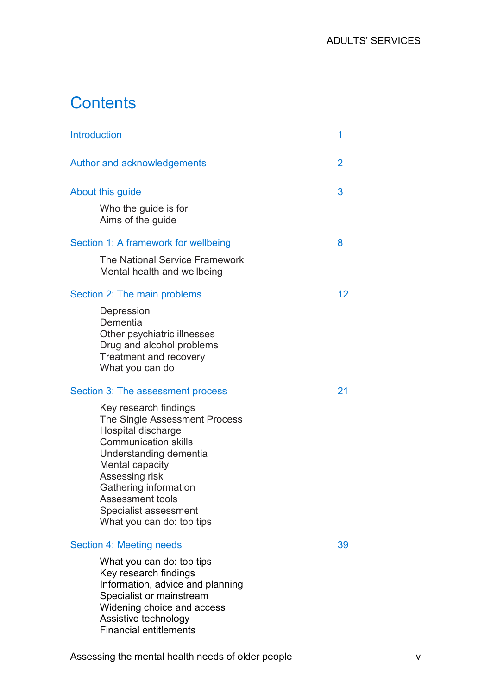# **Contents**

| <b>Introduction</b>                  |                                                                                                                                                                                                                                                                                             | 1               |
|--------------------------------------|---------------------------------------------------------------------------------------------------------------------------------------------------------------------------------------------------------------------------------------------------------------------------------------------|-----------------|
|                                      | Author and acknowledgements                                                                                                                                                                                                                                                                 | 2               |
| About this guide                     |                                                                                                                                                                                                                                                                                             | 3               |
|                                      | Who the guide is for<br>Aims of the guide                                                                                                                                                                                                                                                   |                 |
| Section 1: A framework for wellbeing |                                                                                                                                                                                                                                                                                             | 8               |
|                                      | The National Service Framework<br>Mental health and wellbeing                                                                                                                                                                                                                               |                 |
| Section 2: The main problems         |                                                                                                                                                                                                                                                                                             | 12 <sup>2</sup> |
|                                      | Depression<br>Dementia<br>Other psychiatric illnesses<br>Drug and alcohol problems<br>Treatment and recovery<br>What you can do                                                                                                                                                             |                 |
| Section 3: The assessment process    |                                                                                                                                                                                                                                                                                             | 21              |
|                                      | Key research findings<br>The Single Assessment Process<br>Hospital discharge<br><b>Communication skills</b><br>Understanding dementia<br><b>Mental capacity</b><br>Assessing risk<br>Gathering information<br><b>Assessment tools</b><br>Specialist assessment<br>What you can do: top tips |                 |
| Section 4: Meeting needs             |                                                                                                                                                                                                                                                                                             | 39              |
|                                      | What you can do: top tips<br>Key research findings<br>Information, advice and planning<br>Specialist or mainstream<br>Widening choice and access<br>Assistive technology                                                                                                                    |                 |

Financial entitlements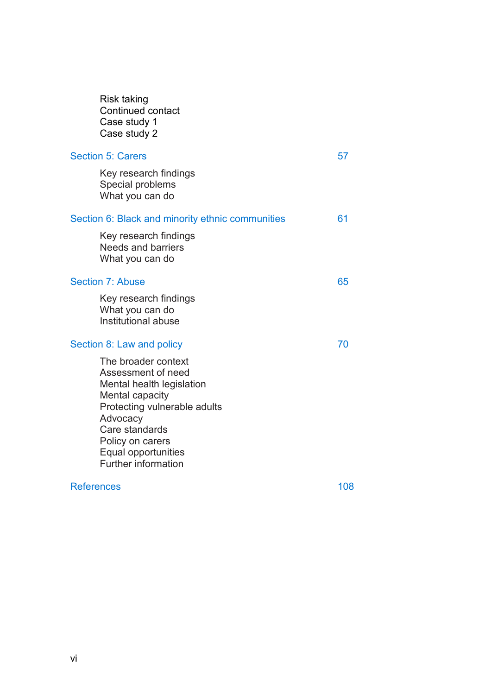| Risk taking<br>Continued contact<br>Case study 1<br>Case study 2                                                                                                                                                                 |     |
|----------------------------------------------------------------------------------------------------------------------------------------------------------------------------------------------------------------------------------|-----|
| <b>Section 5: Carers</b>                                                                                                                                                                                                         |     |
| Key research findings<br>Special problems<br>What you can do                                                                                                                                                                     |     |
| Section 6: Black and minority ethnic communities                                                                                                                                                                                 |     |
| Key research findings<br><b>Needs and barriers</b><br>What you can do                                                                                                                                                            |     |
| <b>Section 7: Abuse</b>                                                                                                                                                                                                          |     |
| Key research findings<br>What you can do<br>Institutional abuse                                                                                                                                                                  |     |
| Section 8: Law and policy                                                                                                                                                                                                        |     |
| The broader context<br>Assessment of need<br>Mental health legislation<br>Mental capacity<br>Protecting vulnerable adults<br>Advocacy<br>Care standards<br>Policy on carers<br>Equal opportunities<br><b>Further information</b> |     |
| <b>References</b>                                                                                                                                                                                                                | 108 |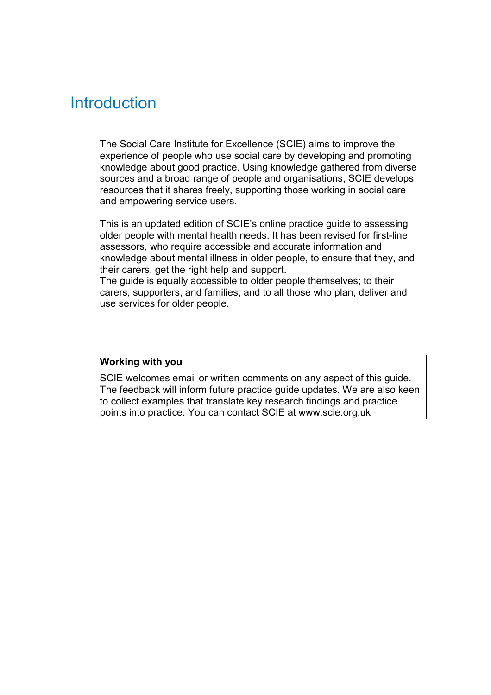# **Introduction**

The Social Care Institute for Excellence (SCIE) aims to improve the experience of people who use social care by developing and promoting knowledge about good practice. Using knowledge gathered from diverse sources and a broad range of people and organisations, SCIE develops resources that it shares freely, supporting those working in social care and empowering service users.

This is an updated edition of SCIE's online practice guide to assessing older people with mental health needs. It has been revised for first-line assessors, who require accessible and accurate information and knowledge about mental illness in older people, to ensure that they, and their carers, get the right help and support. The guide is equally accessible to older people themselves; to their carers, supporters, and families; and to all those who plan, deliver and use services for older people.

#### Working with you

SCIE welcomes email or written comments on any aspect of this guide. The feedback will inform future practice guide updates. We are also keen to collect examples that translate key research findings and practice points into practice. You can contact SCIE at www.scie.org.uk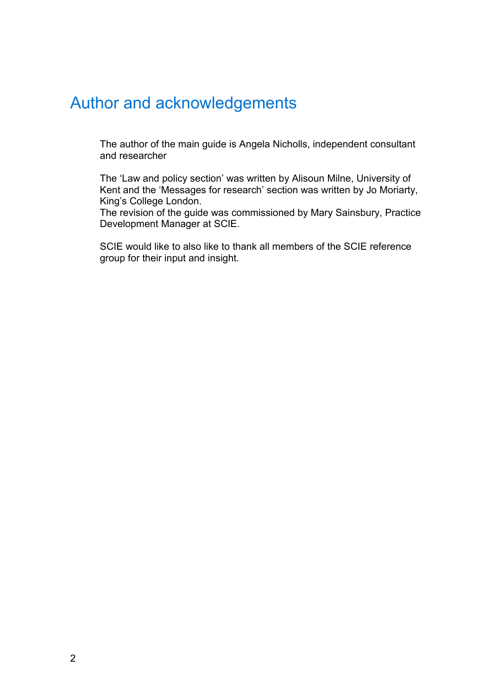# Author and acknowledgements

The author of the main guide is Angela Nicholls, independent consultant and researcher

The 'Law and policy section' was written by Alisoun Milne, University of Kent and the 'Messages for research' section was written by Jo Moriarty, King's College London.

The revision of the guide was commissioned by Mary Sainsbury, Practice Development Manager at SCIE.

SCIE would like to also like to thank all members of the SCIE reference group for their input and insight.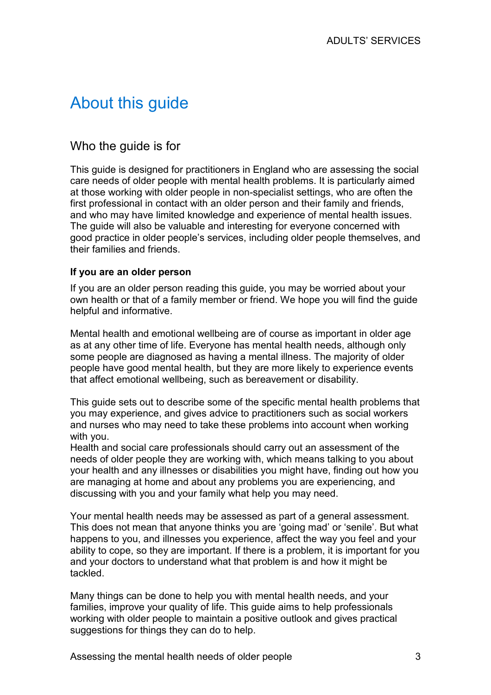# About this guide

#### Who the guide is for

This guide is designed for practitioners in England who are assessing the social care needs of older people with mental health problems. It is particularly aimed at those working with older people in non-specialist settings, who are often the first professional in contact with an older person and their family and friends, and who may have limited knowledge and experience of mental health issues. The guide will also be valuable and interesting for everyone concerned with good practice in older people's services, including older people themselves, and their families and friends.

#### If you are an older person

If you are an older person reading this guide, you may be worried about your own health or that of a family member or friend. We hope you will find the guide helpful and informative.

Mental health and emotional wellbeing are of course as important in older age as at any other time of life. Everyone has mental health needs, although only some people are diagnosed as having a mental illness. The majority of older people have good mental health, but they are more likely to experience events that affect emotional wellbeing, such as bereavement or disability.

This guide sets out to describe some of the specific mental health problems that you may experience, and gives advice to practitioners such as social workers and nurses who may need to take these problems into account when working with you.

Health and social care professionals should carry out an assessment of the needs of older people they are working with, which means talking to you about your health and any illnesses or disabilities you might have, finding out how you are managing at home and about any problems you are experiencing, and discussing with you and your family what help you may need.

Your mental health needs may be assessed as part of a general assessment. This does not mean that anyone thinks you are 'going mad' or 'senile'. But what happens to you, and illnesses you experience, affect the way you feel and your ability to cope, so they are important. If there is a problem, it is important for you and your doctors to understand what that problem is and how it might be tackled.

Many things can be done to help you with mental health needs, and your families, improve your quality of life. This guide aims to help professionals working with older people to maintain a positive outlook and gives practical suggestions for things they can do to help.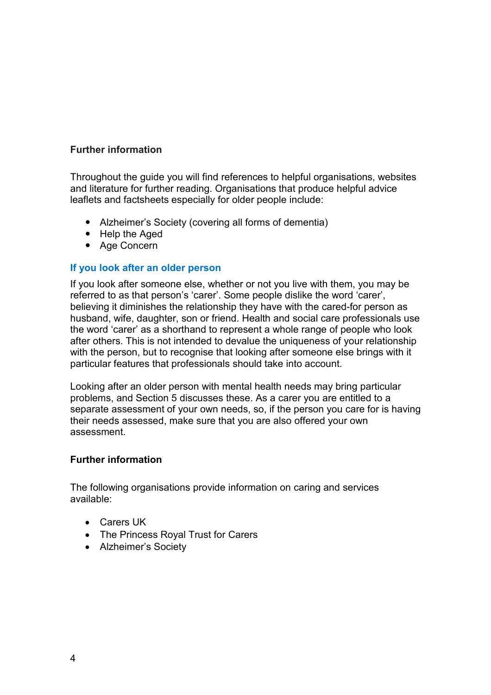#### Further information

Throughout the guide you will find references to helpful organisations, websites and literature for further reading. Organisations that produce helpful advice leaflets and factsheets especially for older people include:

- Alzheimer's Society (covering all forms of dementia)
- Help the Aged
- Age Concern

#### If you look after an older person

If you look after someone else, whether or not you live with them, you may be referred to as that person's 'carer'. Some people dislike the word 'carer', believing it diminishes the relationship they have with the cared-for person as husband, wife, daughter, son or friend. Health and social care professionals use the word 'carer' as a shorthand to represent a whole range of people who look after others. This is not intended to devalue the uniqueness of your relationship with the person, but to recognise that looking after someone else brings with it particular features that professionals should take into account.

Looking after an older person with mental health needs may bring particular problems, and Section 5 discusses these. As a carer you are entitled to a separate assessment of your own needs, so, if the person you care for is having their needs assessed, make sure that you are also offered your own assessment.

#### Further information

The following organisations provide information on caring and services available:

- Carers UK
- The Princess Royal Trust for Carers
- Alzheimer's Society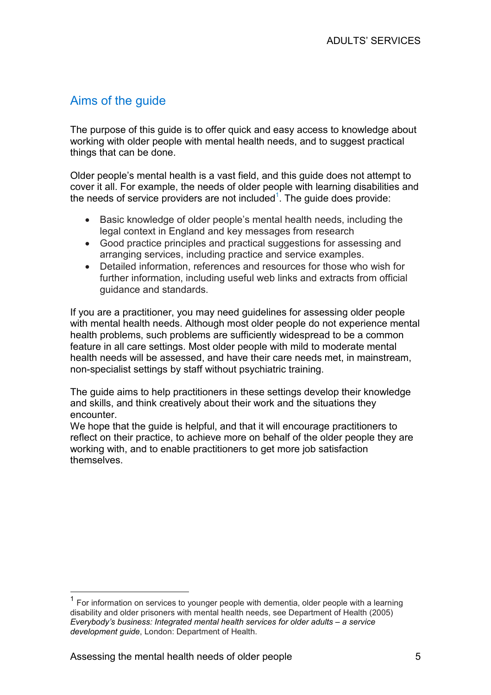#### Aims of the guide

The purpose of this guide is to offer quick and easy access to knowledge about working with older people with mental health needs, and to suggest practical things that can be done.

Older people's mental health is a vast field, and this guide does not attempt to cover it all. For example, the needs of older people with learning disabilities and the needs of service providers are not included<sup>1</sup>. The guide does provide:

- Basic knowledge of older people's mental health needs, including the legal context in England and key messages from research
- Good practice principles and practical suggestions for assessing and arranging services, including practice and service examples.
- Detailed information, references and resources for those who wish for further information, including useful web links and extracts from official guidance and standards.

If you are a practitioner, you may need guidelines for assessing older people with mental health needs. Although most older people do not experience mental health problems, such problems are sufficiently widespread to be a common feature in all care settings. Most older people with mild to moderate mental health needs will be assessed, and have their care needs met, in mainstream, non-specialist settings by staff without psychiatric training.

The guide aims to help practitioners in these settings develop their knowledge and skills, and think creatively about their work and the situations they encounter.

We hope that the guide is helpful, and that it will encourage practitioners to reflect on their practice, to achieve more on behalf of the older people they are working with, and to enable practitioners to get more job satisfaction themselves.

 $\overline{a}$ 

<sup>1</sup> For information on services to younger people with dementia, older people with a learning disability and older prisoners with mental health needs, see Department of Health (2005) Everybody's business: Integrated mental health services for older adults – a service development guide, London: Department of Health.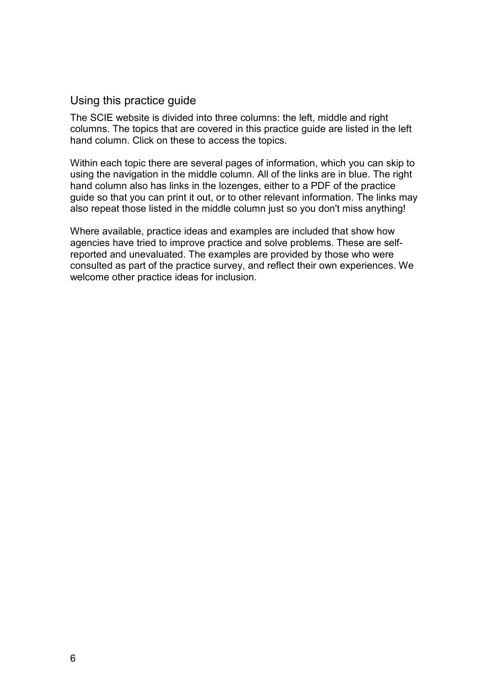#### Using this practice guide

The SCIE website is divided into three columns: the left, middle and right columns. The topics that are covered in this practice guide are listed in the left hand column. Click on these to access the topics.

Within each topic there are several pages of information, which you can skip to using the navigation in the middle column. All of the links are in blue. The right hand column also has links in the lozenges, either to a PDF of the practice guide so that you can print it out, or to other relevant information. The links may also repeat those listed in the middle column just so you don't miss anything!

Where available, practice ideas and examples are included that show how agencies have tried to improve practice and solve problems. These are selfreported and unevaluated. The examples are provided by those who were consulted as part of the practice survey, and reflect their own experiences. We welcome other practice ideas for inclusion.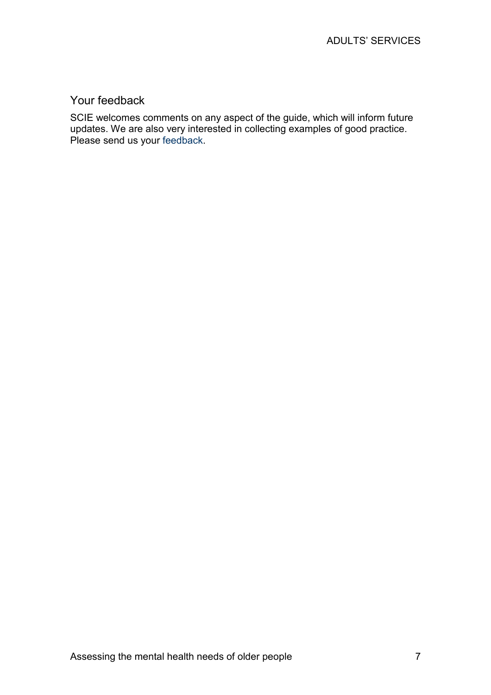#### Your feedback

SCIE welcomes comments on any aspect of the guide, which will inform future updates. We are also very interested in collecting examples of good practice. Please send us your feedback.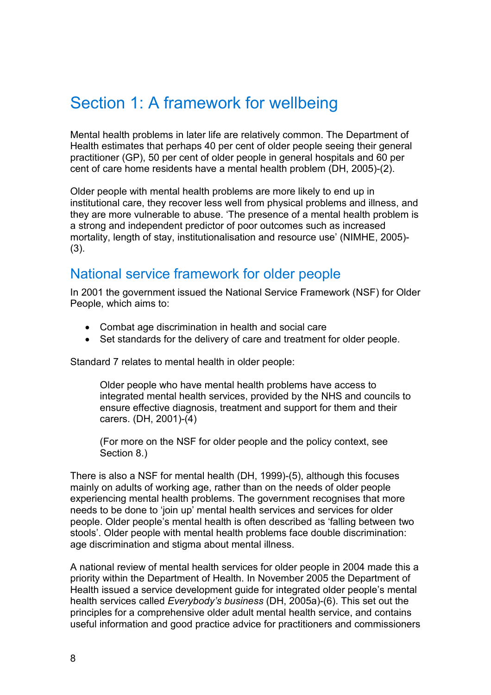# Section 1: A framework for wellbeing

Mental health problems in later life are relatively common. The Department of Health estimates that perhaps 40 per cent of older people seeing their general practitioner (GP), 50 per cent of older people in general hospitals and 60 per cent of care home residents have a mental health problem (DH, 2005)-(2).

Older people with mental health problems are more likely to end up in institutional care, they recover less well from physical problems and illness, and they are more vulnerable to abuse. 'The presence of a mental health problem is a strong and independent predictor of poor outcomes such as increased mortality, length of stay, institutionalisation and resource use' (NIMHE, 2005)- (3).

## National service framework for older people

In 2001 the government issued the National Service Framework (NSF) for Older People, which aims to:

- Combat age discrimination in health and social care
- Set standards for the delivery of care and treatment for older people.

Standard 7 relates to mental health in older people:

Older people who have mental health problems have access to integrated mental health services, provided by the NHS and councils to ensure effective diagnosis, treatment and support for them and their carers. (DH, 2001)-(4)

(For more on the NSF for older people and the policy context, see Section 8.)

There is also a NSF for mental health (DH, 1999)-(5), although this focuses mainly on adults of working age, rather than on the needs of older people experiencing mental health problems. The government recognises that more needs to be done to 'join up' mental health services and services for older people. Older people's mental health is often described as 'falling between two stools'. Older people with mental health problems face double discrimination: age discrimination and stigma about mental illness.

A national review of mental health services for older people in 2004 made this a priority within the Department of Health. In November 2005 the Department of Health issued a service development guide for integrated older people's mental health services called Everybody's business (DH, 2005a)-(6). This set out the principles for a comprehensive older adult mental health service, and contains useful information and good practice advice for practitioners and commissioners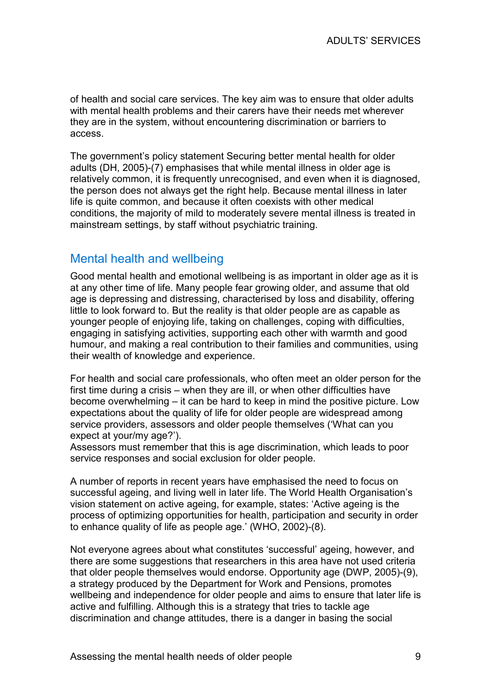of health and social care services. The key aim was to ensure that older adults with mental health problems and their carers have their needs met wherever they are in the system, without encountering discrimination or barriers to access.

The government's policy statement Securing better mental health for older adults (DH, 2005)-(7) emphasises that while mental illness in older age is relatively common, it is frequently unrecognised, and even when it is diagnosed, the person does not always get the right help. Because mental illness in later life is quite common, and because it often coexists with other medical conditions, the majority of mild to moderately severe mental illness is treated in mainstream settings, by staff without psychiatric training.

#### Mental health and wellbeing

Good mental health and emotional wellbeing is as important in older age as it is at any other time of life. Many people fear growing older, and assume that old age is depressing and distressing, characterised by loss and disability, offering little to look forward to. But the reality is that older people are as capable as younger people of enjoying life, taking on challenges, coping with difficulties, engaging in satisfying activities, supporting each other with warmth and good humour, and making a real contribution to their families and communities, using their wealth of knowledge and experience.

For health and social care professionals, who often meet an older person for the first time during a crisis – when they are ill, or when other difficulties have become overwhelming – it can be hard to keep in mind the positive picture. Low expectations about the quality of life for older people are widespread among service providers, assessors and older people themselves ('What can you expect at your/my age?').

Assessors must remember that this is age discrimination, which leads to poor service responses and social exclusion for older people.

A number of reports in recent years have emphasised the need to focus on successful ageing, and living well in later life. The World Health Organisation's vision statement on active ageing, for example, states: 'Active ageing is the process of optimizing opportunities for health, participation and security in order to enhance quality of life as people age.' (WHO, 2002)-(8).

Not everyone agrees about what constitutes 'successful' ageing, however, and there are some suggestions that researchers in this area have not used criteria that older people themselves would endorse. Opportunity age (DWP, 2005)-(9), a strategy produced by the Department for Work and Pensions, promotes wellbeing and independence for older people and aims to ensure that later life is active and fulfilling. Although this is a strategy that tries to tackle age discrimination and change attitudes, there is a danger in basing the social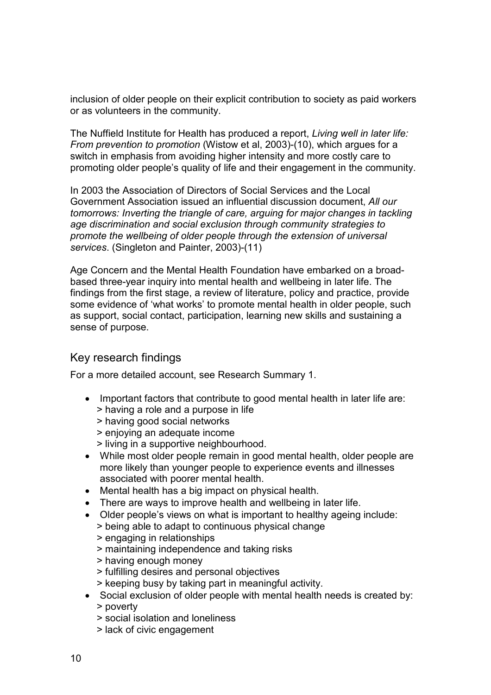inclusion of older people on their explicit contribution to society as paid workers or as volunteers in the community.

The Nuffield Institute for Health has produced a report, Living well in later life: From prevention to promotion (Wistow et al, 2003)-(10), which argues for a switch in emphasis from avoiding higher intensity and more costly care to promoting older people's quality of life and their engagement in the community.

In 2003 the Association of Directors of Social Services and the Local Government Association issued an influential discussion document, All our tomorrows: Inverting the triangle of care, arguing for major changes in tackling age discrimination and social exclusion through community strategies to promote the wellbeing of older people through the extension of universal services. (Singleton and Painter, 2003)-(11)

Age Concern and the Mental Health Foundation have embarked on a broadbased three-year inquiry into mental health and wellbeing in later life. The findings from the first stage, a review of literature, policy and practice, provide some evidence of 'what works' to promote mental health in older people, such as support, social contact, participation, learning new skills and sustaining a sense of purpose.

#### Key research findings

For a more detailed account, see Research Summary 1.

- Important factors that contribute to good mental health in later life are:
	- > having a role and a purpose in life
	- > having good social networks
	- > enjoying an adequate income
	- > living in a supportive neighbourhood.
- While most older people remain in good mental health, older people are more likely than younger people to experience events and illnesses associated with poorer mental health.
- Mental health has a big impact on physical health.
- There are ways to improve health and wellbeing in later life.
- Older people's views on what is important to healthy ageing include:
	- > being able to adapt to continuous physical change
	- > engaging in relationships
	- > maintaining independence and taking risks
	- > having enough money
	- > fulfilling desires and personal objectives
	- > keeping busy by taking part in meaningful activity.
- Social exclusion of older people with mental health needs is created by: > poverty
	- > social isolation and loneliness
	- > lack of civic engagement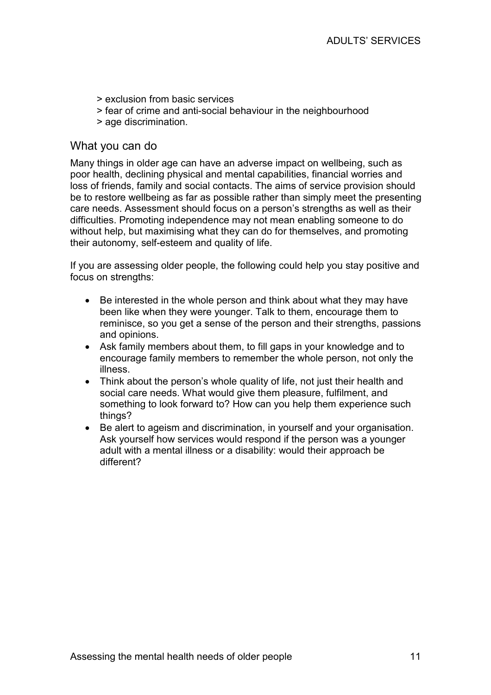- > exclusion from basic services
- > fear of crime and anti-social behaviour in the neighbourhood
- > age discrimination.

#### What you can do

Many things in older age can have an adverse impact on wellbeing, such as poor health, declining physical and mental capabilities, financial worries and loss of friends, family and social contacts. The aims of service provision should be to restore wellbeing as far as possible rather than simply meet the presenting care needs. Assessment should focus on a person's strengths as well as their difficulties. Promoting independence may not mean enabling someone to do without help, but maximising what they can do for themselves, and promoting their autonomy, self-esteem and quality of life.

If you are assessing older people, the following could help you stay positive and focus on strengths:

- Be interested in the whole person and think about what they may have been like when they were younger. Talk to them, encourage them to reminisce, so you get a sense of the person and their strengths, passions and opinions.
- Ask family members about them, to fill gaps in your knowledge and to encourage family members to remember the whole person, not only the illness.
- Think about the person's whole quality of life, not just their health and social care needs. What would give them pleasure, fulfilment, and something to look forward to? How can you help them experience such things?
- Be alert to ageism and discrimination, in yourself and your organisation. Ask yourself how services would respond if the person was a younger adult with a mental illness or a disability: would their approach be different?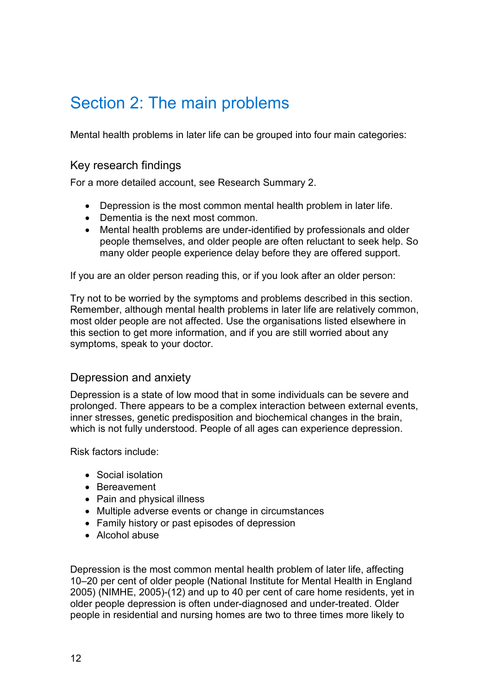# Section 2: The main problems

Mental health problems in later life can be grouped into four main categories:

#### Key research findings

For a more detailed account, see Research Summary 2.

- Depression is the most common mental health problem in later life.
- Dementia is the next most common.
- Mental health problems are under-identified by professionals and older people themselves, and older people are often reluctant to seek help. So many older people experience delay before they are offered support.

If you are an older person reading this, or if you look after an older person:

Try not to be worried by the symptoms and problems described in this section. Remember, although mental health problems in later life are relatively common, most older people are not affected. Use the organisations listed elsewhere in this section to get more information, and if you are still worried about any symptoms, speak to your doctor.

#### Depression and anxiety

Depression is a state of low mood that in some individuals can be severe and prolonged. There appears to be a complex interaction between external events, inner stresses, genetic predisposition and biochemical changes in the brain, which is not fully understood. People of all ages can experience depression.

Risk factors include:

- Social isolation
- Bereavement
- Pain and physical illness
- Multiple adverse events or change in circumstances
- Family history or past episodes of depression
- Alcohol abuse

Depression is the most common mental health problem of later life, affecting 10–20 per cent of older people (National Institute for Mental Health in England 2005) (NIMHE, 2005)-(12) and up to 40 per cent of care home residents, yet in older people depression is often under-diagnosed and under-treated. Older people in residential and nursing homes are two to three times more likely to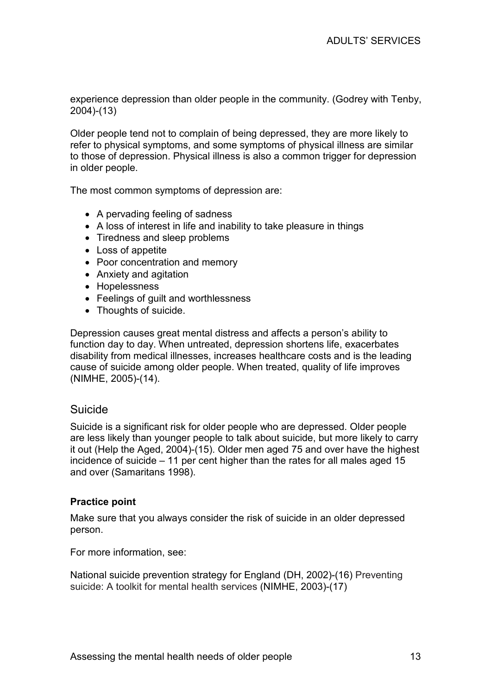experience depression than older people in the community. (Godrey with Tenby, 2004)-(13)

Older people tend not to complain of being depressed, they are more likely to refer to physical symptoms, and some symptoms of physical illness are similar to those of depression. Physical illness is also a common trigger for depression in older people.

The most common symptoms of depression are:

- A pervading feeling of sadness
- A loss of interest in life and inability to take pleasure in things
- Tiredness and sleep problems
- Loss of appetite
- Poor concentration and memory
- Anxiety and agitation
- Hopelessness
- Feelings of guilt and worthlessness
- Thoughts of suicide.

Depression causes great mental distress and affects a person's ability to function day to day. When untreated, depression shortens life, exacerbates disability from medical illnesses, increases healthcare costs and is the leading cause of suicide among older people. When treated, quality of life improves (NIMHE, 2005)-(14).

#### Suicide

Suicide is a significant risk for older people who are depressed. Older people are less likely than younger people to talk about suicide, but more likely to carry it out (Help the Aged, 2004)-(15). Older men aged 75 and over have the highest incidence of suicide – 11 per cent higher than the rates for all males aged 15 and over (Samaritans 1998).

#### Practice point

Make sure that you always consider the risk of suicide in an older depressed person.

For more information, see:

National suicide prevention strategy for England (DH, 2002)-(16) Preventing suicide: A toolkit for mental health services (NIMHE, 2003)-(17)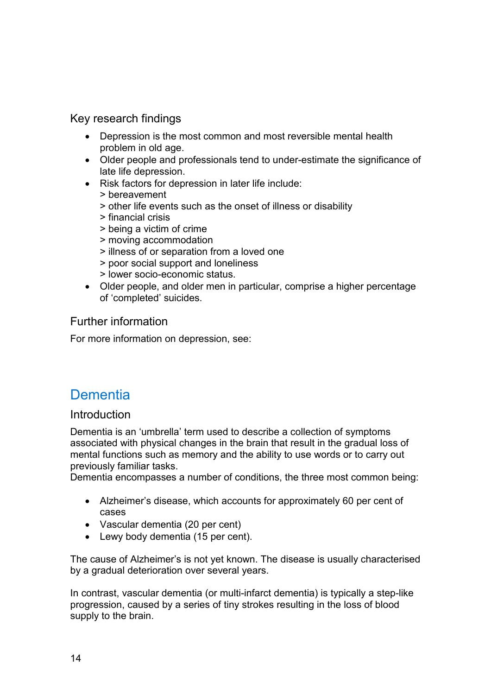#### Key research findings

- Depression is the most common and most reversible mental health problem in old age.
- Older people and professionals tend to under-estimate the significance of late life depression.
- Risk factors for depression in later life include:
	- > bereavement
	- > other life events such as the onset of illness or disability
	- > financial crisis
	- > being a victim of crime
	- > moving accommodation
	- > illness of or separation from a loved one
	- > poor social support and loneliness
	- > lower socio-economic status.
- Older people, and older men in particular, comprise a higher percentage of 'completed' suicides.

#### Further information

For more information on depression, see:

# **Dementia**

#### **Introduction**

Dementia is an 'umbrella' term used to describe a collection of symptoms associated with physical changes in the brain that result in the gradual loss of mental functions such as memory and the ability to use words or to carry out previously familiar tasks.

Dementia encompasses a number of conditions, the three most common being:

- Alzheimer's disease, which accounts for approximately 60 per cent of cases
- Vascular dementia (20 per cent)
- Lewy body dementia (15 per cent).

The cause of Alzheimer's is not yet known. The disease is usually characterised by a gradual deterioration over several years.

In contrast, vascular dementia (or multi-infarct dementia) is typically a step-like progression, caused by a series of tiny strokes resulting in the loss of blood supply to the brain.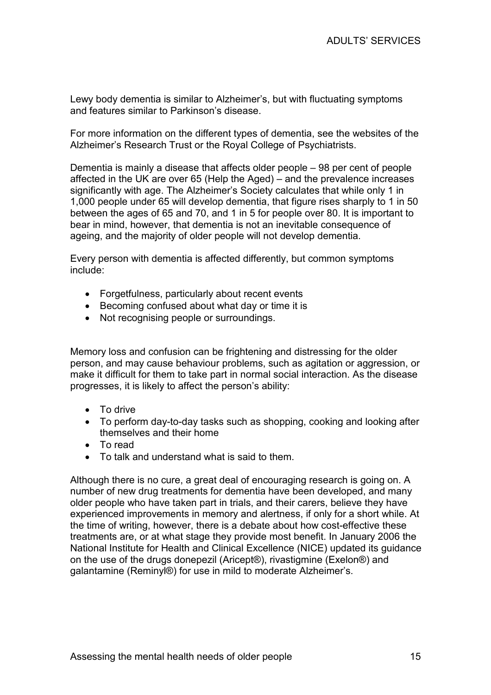Lewy body dementia is similar to Alzheimer's, but with fluctuating symptoms and features similar to Parkinson's disease.

For more information on the different types of dementia, see the websites of the Alzheimer's Research Trust or the Royal College of Psychiatrists.

Dementia is mainly a disease that affects older people – 98 per cent of people affected in the UK are over 65 (Help the Aged) – and the prevalence increases significantly with age. The Alzheimer's Society calculates that while only 1 in 1,000 people under 65 will develop dementia, that figure rises sharply to 1 in 50 between the ages of 65 and 70, and 1 in 5 for people over 80. It is important to bear in mind, however, that dementia is not an inevitable consequence of ageing, and the majority of older people will not develop dementia.

Every person with dementia is affected differently, but common symptoms include:

- Forgetfulness, particularly about recent events
- Becoming confused about what day or time it is
- Not recognising people or surroundings.

Memory loss and confusion can be frightening and distressing for the older person, and may cause behaviour problems, such as agitation or aggression, or make it difficult for them to take part in normal social interaction. As the disease progresses, it is likely to affect the person's ability:

- To drive
- To perform day-to-day tasks such as shopping, cooking and looking after themselves and their home
- To read
- To talk and understand what is said to them.

Although there is no cure, a great deal of encouraging research is going on. A number of new drug treatments for dementia have been developed, and many older people who have taken part in trials, and their carers, believe they have experienced improvements in memory and alertness, if only for a short while. At the time of writing, however, there is a debate about how cost-effective these treatments are, or at what stage they provide most benefit. In January 2006 the National Institute for Health and Clinical Excellence (NICE) updated its guidance on the use of the drugs donepezil (Aricept®), rivastigmine (Exelon®) and galantamine (Reminyl®) for use in mild to moderate Alzheimer's.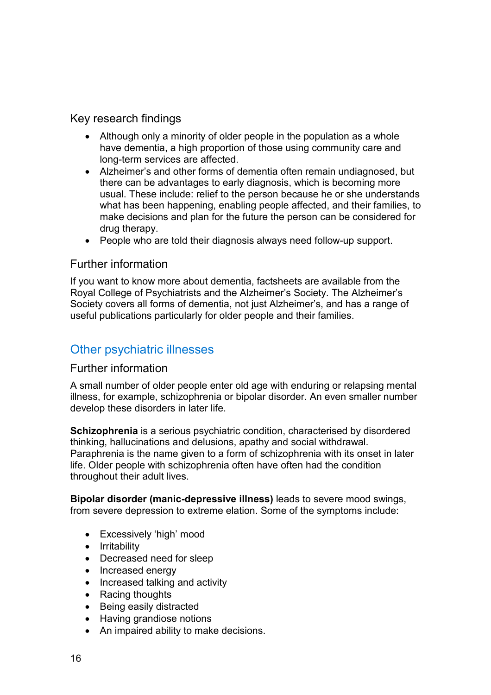#### Key research findings

- Although only a minority of older people in the population as a whole have dementia, a high proportion of those using community care and long-term services are affected.
- Alzheimer's and other forms of dementia often remain undiagnosed, but there can be advantages to early diagnosis, which is becoming more usual. These include: relief to the person because he or she understands what has been happening, enabling people affected, and their families, to make decisions and plan for the future the person can be considered for drug therapy.
- People who are told their diagnosis always need follow-up support.

#### Further information

If you want to know more about dementia, factsheets are available from the Royal College of Psychiatrists and the Alzheimer's Society. The Alzheimer's Society covers all forms of dementia, not just Alzheimer's, and has a range of useful publications particularly for older people and their families.

#### Other psychiatric illnesses

#### Further information

A small number of older people enter old age with enduring or relapsing mental illness, for example, schizophrenia or bipolar disorder. An even smaller number develop these disorders in later life.

Schizophrenia is a serious psychiatric condition, characterised by disordered thinking, hallucinations and delusions, apathy and social withdrawal. Paraphrenia is the name given to a form of schizophrenia with its onset in later life. Older people with schizophrenia often have often had the condition throughout their adult lives.

Bipolar disorder (manic-depressive illness) leads to severe mood swings, from severe depression to extreme elation. Some of the symptoms include:

- Excessively 'high' mood
- Irritability
- Decreased need for sleep
- Increased energy
- Increased talking and activity
- Racing thoughts
- Being easily distracted
- Having grandiose notions
- An impaired ability to make decisions.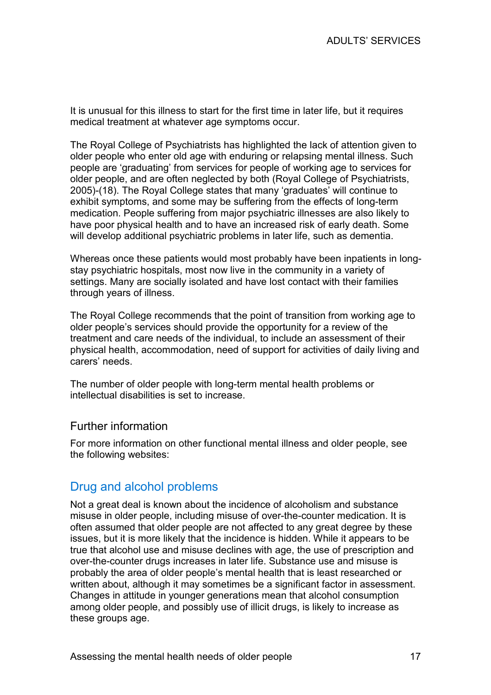It is unusual for this illness to start for the first time in later life, but it requires medical treatment at whatever age symptoms occur.

The Royal College of Psychiatrists has highlighted the lack of attention given to older people who enter old age with enduring or relapsing mental illness. Such people are 'graduating' from services for people of working age to services for older people, and are often neglected by both (Royal College of Psychiatrists, 2005)-(18). The Royal College states that many 'graduates' will continue to exhibit symptoms, and some may be suffering from the effects of long-term medication. People suffering from major psychiatric illnesses are also likely to have poor physical health and to have an increased risk of early death. Some will develop additional psychiatric problems in later life, such as dementia.

Whereas once these patients would most probably have been inpatients in longstay psychiatric hospitals, most now live in the community in a variety of settings. Many are socially isolated and have lost contact with their families through years of illness.

The Royal College recommends that the point of transition from working age to older people's services should provide the opportunity for a review of the treatment and care needs of the individual, to include an assessment of their physical health, accommodation, need of support for activities of daily living and carers' needs.

The number of older people with long-term mental health problems or intellectual disabilities is set to increase.

#### Further information

For more information on other functional mental illness and older people, see the following websites:

#### Drug and alcohol problems

Not a great deal is known about the incidence of alcoholism and substance misuse in older people, including misuse of over-the-counter medication. It is often assumed that older people are not affected to any great degree by these issues, but it is more likely that the incidence is hidden. While it appears to be true that alcohol use and misuse declines with age, the use of prescription and over-the-counter drugs increases in later life. Substance use and misuse is probably the area of older people's mental health that is least researched or written about, although it may sometimes be a significant factor in assessment. Changes in attitude in younger generations mean that alcohol consumption among older people, and possibly use of illicit drugs, is likely to increase as these groups age.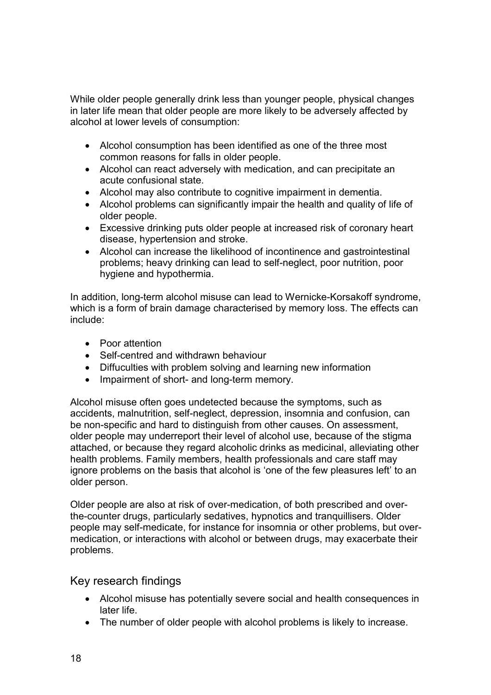While older people generally drink less than younger people, physical changes in later life mean that older people are more likely to be adversely affected by alcohol at lower levels of consumption:

- Alcohol consumption has been identified as one of the three most common reasons for falls in older people.
- Alcohol can react adversely with medication, and can precipitate an acute confusional state.
- Alcohol may also contribute to cognitive impairment in dementia.
- Alcohol problems can significantly impair the health and quality of life of older people.
- Excessive drinking puts older people at increased risk of coronary heart disease, hypertension and stroke.
- Alcohol can increase the likelihood of incontinence and gastrointestinal problems; heavy drinking can lead to self-neglect, poor nutrition, poor hygiene and hypothermia.

In addition, long-term alcohol misuse can lead to Wernicke-Korsakoff syndrome, which is a form of brain damage characterised by memory loss. The effects can include:

- Poor attention
- Self-centred and withdrawn behaviour
- Diffuculties with problem solving and learning new information
- Impairment of short- and long-term memory.

Alcohol misuse often goes undetected because the symptoms, such as accidents, malnutrition, self-neglect, depression, insomnia and confusion, can be non-specific and hard to distinguish from other causes. On assessment, older people may underreport their level of alcohol use, because of the stigma attached, or because they regard alcoholic drinks as medicinal, alleviating other health problems. Family members, health professionals and care staff may ignore problems on the basis that alcohol is 'one of the few pleasures left' to an older person.

Older people are also at risk of over-medication, of both prescribed and overthe-counter drugs, particularly sedatives, hypnotics and tranquillisers. Older people may self-medicate, for instance for insomnia or other problems, but overmedication, or interactions with alcohol or between drugs, may exacerbate their problems.

#### Key research findings

- Alcohol misuse has potentially severe social and health consequences in later life.
- The number of older people with alcohol problems is likely to increase.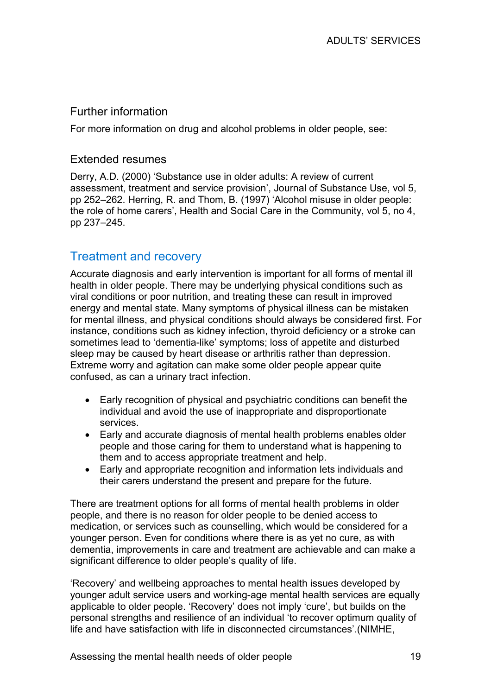#### Further information

For more information on drug and alcohol problems in older people, see:

#### Extended resumes

Derry, A.D. (2000) 'Substance use in older adults: A review of current assessment, treatment and service provision', Journal of Substance Use, vol 5, pp 252–262. Herring, R. and Thom, B. (1997) 'Alcohol misuse in older people: the role of home carers', Health and Social Care in the Community, vol 5, no 4, pp 237–245.

#### Treatment and recovery

Accurate diagnosis and early intervention is important for all forms of mental ill health in older people. There may be underlying physical conditions such as viral conditions or poor nutrition, and treating these can result in improved energy and mental state. Many symptoms of physical illness can be mistaken for mental illness, and physical conditions should always be considered first. For instance, conditions such as kidney infection, thyroid deficiency or a stroke can sometimes lead to 'dementia-like' symptoms; loss of appetite and disturbed sleep may be caused by heart disease or arthritis rather than depression. Extreme worry and agitation can make some older people appear quite confused, as can a urinary tract infection.

- Early recognition of physical and psychiatric conditions can benefit the individual and avoid the use of inappropriate and disproportionate services.
- Early and accurate diagnosis of mental health problems enables older people and those caring for them to understand what is happening to them and to access appropriate treatment and help.
- Early and appropriate recognition and information lets individuals and their carers understand the present and prepare for the future.

There are treatment options for all forms of mental health problems in older people, and there is no reason for older people to be denied access to medication, or services such as counselling, which would be considered for a younger person. Even for conditions where there is as yet no cure, as with dementia, improvements in care and treatment are achievable and can make a significant difference to older people's quality of life.

'Recovery' and wellbeing approaches to mental health issues developed by younger adult service users and working-age mental health services are equally applicable to older people. 'Recovery' does not imply 'cure', but builds on the personal strengths and resilience of an individual 'to recover optimum quality of life and have satisfaction with life in disconnected circumstances'.(NIMHE,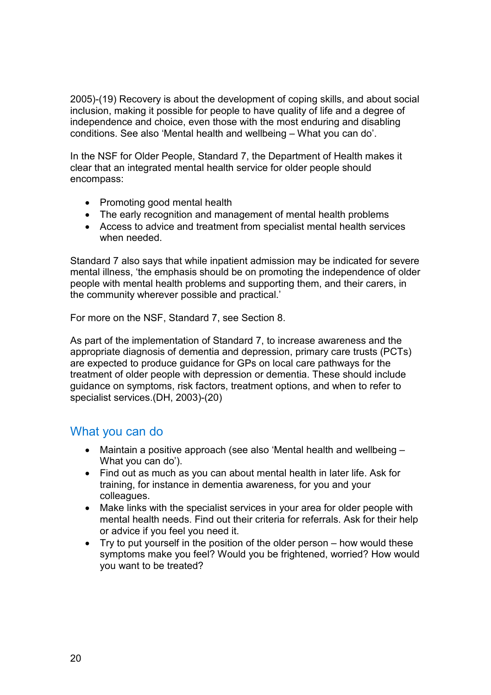2005)-(19) Recovery is about the development of coping skills, and about social inclusion, making it possible for people to have quality of life and a degree of independence and choice, even those with the most enduring and disabling conditions. See also 'Mental health and wellbeing – What you can do'.

In the NSF for Older People, Standard 7, the Department of Health makes it clear that an integrated mental health service for older people should encompass:

- Promoting good mental health
- The early recognition and management of mental health problems
- Access to advice and treatment from specialist mental health services when needed.

Standard 7 also says that while inpatient admission may be indicated for severe mental illness, 'the emphasis should be on promoting the independence of older people with mental health problems and supporting them, and their carers, in the community wherever possible and practical.'

For more on the NSF, Standard 7, see Section 8.

As part of the implementation of Standard 7, to increase awareness and the appropriate diagnosis of dementia and depression, primary care trusts (PCTs) are expected to produce guidance for GPs on local care pathways for the treatment of older people with depression or dementia. These should include guidance on symptoms, risk factors, treatment options, and when to refer to specialist services.(DH, 2003)-(20)

#### What you can do

- Maintain a positive approach (see also 'Mental health and wellbeing What you can do').
- Find out as much as you can about mental health in later life. Ask for training, for instance in dementia awareness, for you and your colleagues.
- Make links with the specialist services in your area for older people with mental health needs. Find out their criteria for referrals. Ask for their help or advice if you feel you need it.
- Try to put yourself in the position of the older person how would these symptoms make you feel? Would you be frightened, worried? How would you want to be treated?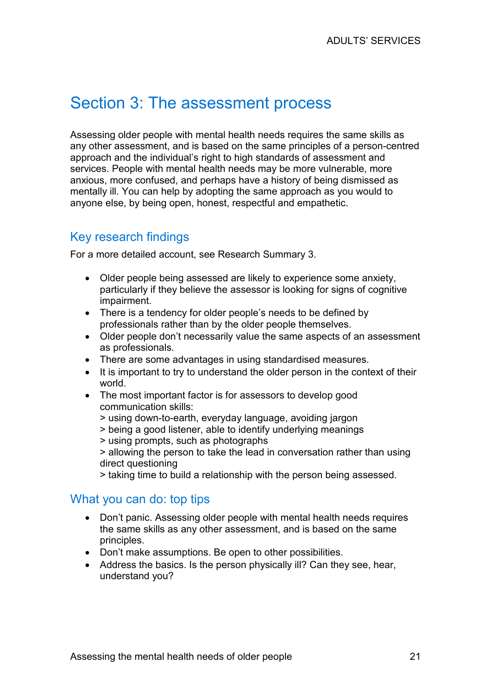# Section 3: The assessment process

Assessing older people with mental health needs requires the same skills as any other assessment, and is based on the same principles of a person-centred approach and the individual's right to high standards of assessment and services. People with mental health needs may be more vulnerable, more anxious, more confused, and perhaps have a history of being dismissed as mentally ill. You can help by adopting the same approach as you would to anyone else, by being open, honest, respectful and empathetic.

#### Key research findings

For a more detailed account, see Research Summary 3.

- Older people being assessed are likely to experience some anxiety, particularly if they believe the assessor is looking for signs of cognitive impairment.
- There is a tendency for older people's needs to be defined by professionals rather than by the older people themselves.
- Older people don't necessarily value the same aspects of an assessment as professionals.
- There are some advantages in using standardised measures.
- It is important to try to understand the older person in the context of their world.
- The most important factor is for assessors to develop good communication skills:
	- > using down-to-earth, everyday language, avoiding jargon
	- > being a good listener, able to identify underlying meanings
	- > using prompts, such as photographs
	- > allowing the person to take the lead in conversation rather than using direct questioning
	- > taking time to build a relationship with the person being assessed.

#### What you can do: top tips

- Don't panic. Assessing older people with mental health needs requires the same skills as any other assessment, and is based on the same principles.
- Don't make assumptions. Be open to other possibilities.
- Address the basics, Is the person physically ill? Can they see, hear, understand you?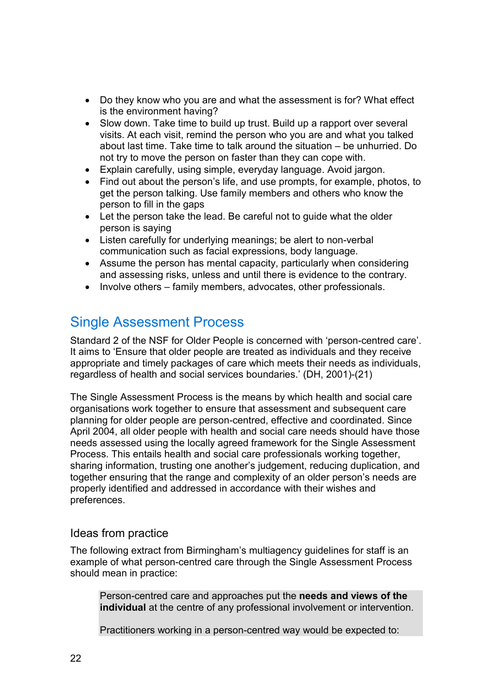- Do they know who you are and what the assessment is for? What effect is the environment having?
- Slow down. Take time to build up trust. Build up a rapport over several visits. At each visit, remind the person who you are and what you talked about last time. Take time to talk around the situation – be unhurried. Do not try to move the person on faster than they can cope with.
- Explain carefully, using simple, everyday language. Avoid jargon.
- Find out about the person's life, and use prompts, for example, photos, to get the person talking. Use family members and others who know the person to fill in the gaps
- Let the person take the lead. Be careful not to guide what the older person is saying
- Listen carefully for underlying meanings; be alert to non-verbal communication such as facial expressions, body language.
- Assume the person has mental capacity, particularly when considering and assessing risks, unless and until there is evidence to the contrary.
- Involve others family members, advocates, other professionals.

# Single Assessment Process

Standard 2 of the NSF for Older People is concerned with 'person-centred care'. It aims to 'Ensure that older people are treated as individuals and they receive appropriate and timely packages of care which meets their needs as individuals, regardless of health and social services boundaries.' (DH, 2001)-(21)

The Single Assessment Process is the means by which health and social care organisations work together to ensure that assessment and subsequent care planning for older people are person-centred, effective and coordinated. Since April 2004, all older people with health and social care needs should have those needs assessed using the locally agreed framework for the Single Assessment Process. This entails health and social care professionals working together, sharing information, trusting one another's judgement, reducing duplication, and together ensuring that the range and complexity of an older person's needs are properly identified and addressed in accordance with their wishes and preferences.

#### Ideas from practice

The following extract from Birmingham's multiagency guidelines for staff is an example of what person-centred care through the Single Assessment Process should mean in practice:

Person-centred care and approaches put the needs and views of the individual at the centre of any professional involvement or intervention.

Practitioners working in a person-centred way would be expected to: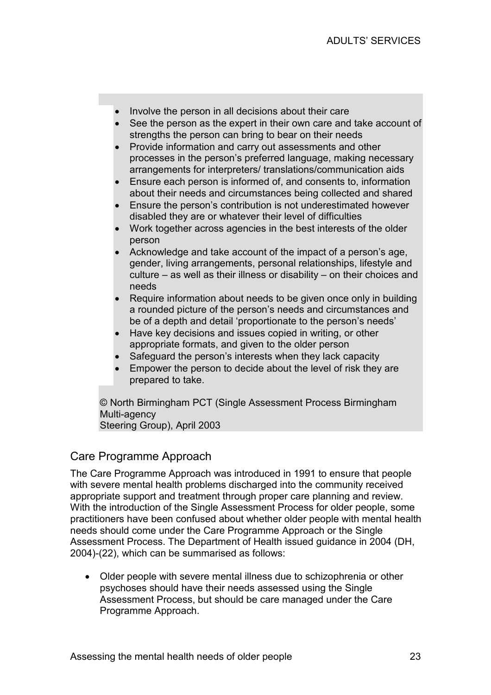- Involve the person in all decisions about their care
- See the person as the expert in their own care and take account of strengths the person can bring to bear on their needs
- Provide information and carry out assessments and other processes in the person's preferred language, making necessary arrangements for interpreters/ translations/communication aids
- Ensure each person is informed of, and consents to, information about their needs and circumstances being collected and shared
- Ensure the person's contribution is not underestimated however disabled they are or whatever their level of difficulties
- Work together across agencies in the best interests of the older person
- Acknowledge and take account of the impact of a person's age, gender, living arrangements, personal relationships, lifestyle and culture – as well as their illness or disability – on their choices and needs
- Require information about needs to be given once only in building a rounded picture of the person's needs and circumstances and be of a depth and detail 'proportionate to the person's needs'
- Have key decisions and issues copied in writing, or other appropriate formats, and given to the older person
- Safeguard the person's interests when they lack capacity
- Empower the person to decide about the level of risk they are prepared to take.

© North Birmingham PCT (Single Assessment Process Birmingham Multi-agency Steering Group), April 2003

#### Care Programme Approach

The Care Programme Approach was introduced in 1991 to ensure that people with severe mental health problems discharged into the community received appropriate support and treatment through proper care planning and review. With the introduction of the Single Assessment Process for older people, some practitioners have been confused about whether older people with mental health needs should come under the Care Programme Approach or the Single Assessment Process. The Department of Health issued guidance in 2004 (DH, 2004)-(22), which can be summarised as follows:

• Older people with severe mental illness due to schizophrenia or other psychoses should have their needs assessed using the Single Assessment Process, but should be care managed under the Care Programme Approach.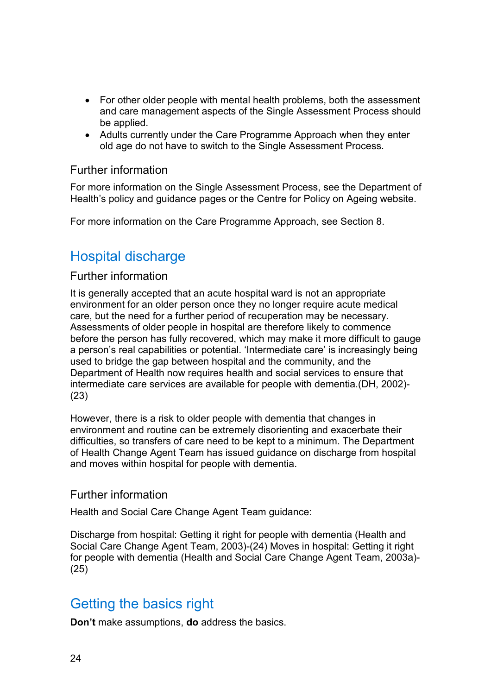- For other older people with mental health problems, both the assessment and care management aspects of the Single Assessment Process should be applied.
- Adults currently under the Care Programme Approach when they enter old age do not have to switch to the Single Assessment Process.

#### Further information

For more information on the Single Assessment Process, see the Department of Health's policy and guidance pages or the Centre for Policy on Ageing website.

For more information on the Care Programme Approach, see Section 8.

# Hospital discharge

#### Further information

It is generally accepted that an acute hospital ward is not an appropriate environment for an older person once they no longer require acute medical care, but the need for a further period of recuperation may be necessary. Assessments of older people in hospital are therefore likely to commence before the person has fully recovered, which may make it more difficult to gauge a person's real capabilities or potential. 'Intermediate care' is increasingly being used to bridge the gap between hospital and the community, and the Department of Health now requires health and social services to ensure that intermediate care services are available for people with dementia.(DH, 2002)- (23)

However, there is a risk to older people with dementia that changes in environment and routine can be extremely disorienting and exacerbate their difficulties, so transfers of care need to be kept to a minimum. The Department of Health Change Agent Team has issued guidance on discharge from hospital and moves within hospital for people with dementia.

#### Further information

Health and Social Care Change Agent Team guidance:

Discharge from hospital: Getting it right for people with dementia (Health and Social Care Change Agent Team, 2003)-(24) Moves in hospital: Getting it right for people with dementia (Health and Social Care Change Agent Team, 2003a)- (25)

### Getting the basics right

Don't make assumptions, do address the basics.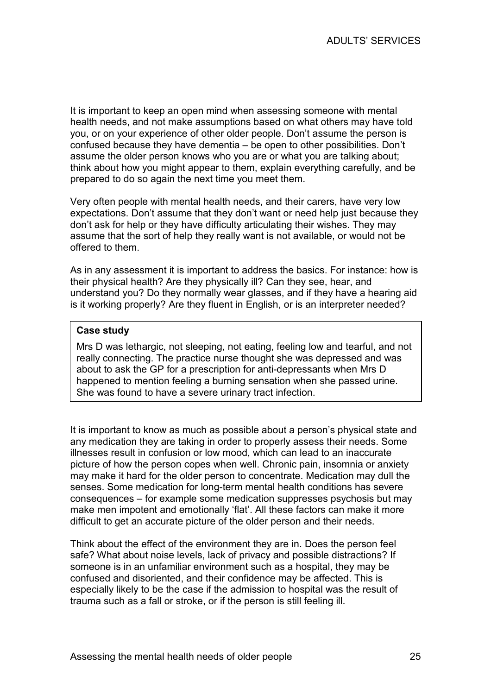It is important to keep an open mind when assessing someone with mental health needs, and not make assumptions based on what others may have told you, or on your experience of other older people. Don't assume the person is confused because they have dementia – be open to other possibilities. Don't assume the older person knows who you are or what you are talking about; think about how you might appear to them, explain everything carefully, and be prepared to do so again the next time you meet them.

Very often people with mental health needs, and their carers, have very low expectations. Don't assume that they don't want or need help just because they don't ask for help or they have difficulty articulating their wishes. They may assume that the sort of help they really want is not available, or would not be offered to them.

As in any assessment it is important to address the basics. For instance: how is their physical health? Are they physically ill? Can they see, hear, and understand you? Do they normally wear glasses, and if they have a hearing aid is it working properly? Are they fluent in English, or is an interpreter needed?

#### Case study

Mrs D was lethargic, not sleeping, not eating, feeling low and tearful, and not really connecting. The practice nurse thought she was depressed and was about to ask the GP for a prescription for anti-depressants when Mrs D happened to mention feeling a burning sensation when she passed urine. She was found to have a severe urinary tract infection.

It is important to know as much as possible about a person's physical state and any medication they are taking in order to properly assess their needs. Some illnesses result in confusion or low mood, which can lead to an inaccurate picture of how the person copes when well. Chronic pain, insomnia or anxiety may make it hard for the older person to concentrate. Medication may dull the senses. Some medication for long-term mental health conditions has severe consequences – for example some medication suppresses psychosis but may make men impotent and emotionally 'flat'. All these factors can make it more difficult to get an accurate picture of the older person and their needs.

Think about the effect of the environment they are in. Does the person feel safe? What about noise levels, lack of privacy and possible distractions? If someone is in an unfamiliar environment such as a hospital, they may be confused and disoriented, and their confidence may be affected. This is especially likely to be the case if the admission to hospital was the result of trauma such as a fall or stroke, or if the person is still feeling ill.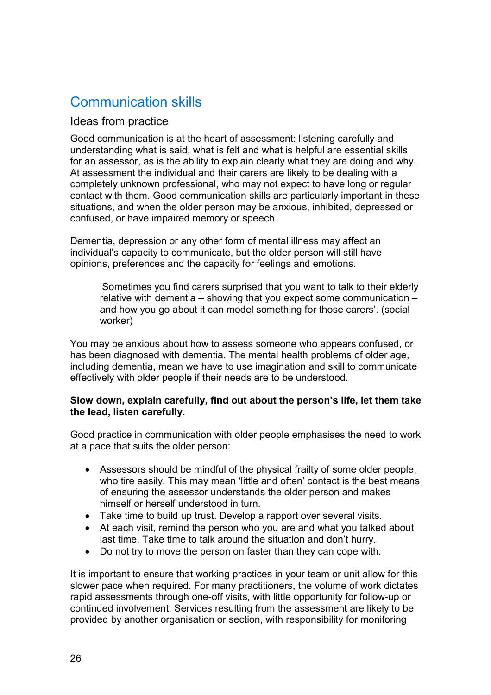# Communication skills

#### Ideas from practice

Good communication is at the heart of assessment: listening carefully and understanding what is said, what is felt and what is helpful are essential skills for an assessor, as is the ability to explain clearly what they are doing and why. At assessment the individual and their carers are likely to be dealing with a completely unknown professional, who may not expect to have long or regular contact with them. Good communication skills are particularly important in these situations, and when the older person may be anxious, inhibited, depressed or confused, or have impaired memory or speech.

Dementia, depression or any other form of mental illness may affect an individual's capacity to communicate, but the older person will still have opinions, preferences and the capacity for feelings and emotions.

'Sometimes you find carers surprised that you want to talk to their elderly relative with dementia – showing that you expect some communication – and how you go about it can model something for those carers'. (social worker)

You may be anxious about how to assess someone who appears confused, or has been diagnosed with dementia. The mental health problems of older age, including dementia, mean we have to use imagination and skill to communicate effectively with older people if their needs are to be understood.

#### Slow down, explain carefully, find out about the person's life, let them take the lead, listen carefully.

Good practice in communication with older people emphasises the need to work at a pace that suits the older person:

- Assessors should be mindful of the physical frailty of some older people, who tire easily. This may mean 'little and often' contact is the best means of ensuring the assessor understands the older person and makes himself or herself understood in turn.
- Take time to build up trust. Develop a rapport over several visits.
- At each visit, remind the person who you are and what you talked about last time. Take time to talk around the situation and don't hurry.
- Do not try to move the person on faster than they can cope with.

It is important to ensure that working practices in your team or unit allow for this slower pace when required. For many practitioners, the volume of work dictates rapid assessments through one-off visits, with little opportunity for follow-up or continued involvement. Services resulting from the assessment are likely to be provided by another organisation or section, with responsibility for monitoring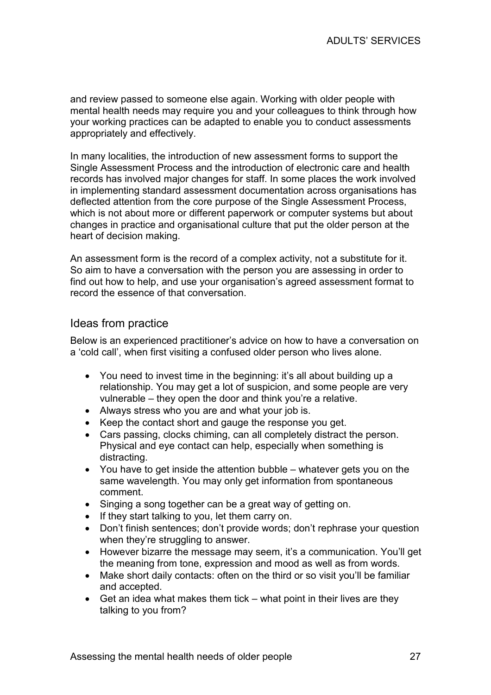and review passed to someone else again. Working with older people with mental health needs may require you and your colleagues to think through how your working practices can be adapted to enable you to conduct assessments appropriately and effectively.

In many localities, the introduction of new assessment forms to support the Single Assessment Process and the introduction of electronic care and health records has involved major changes for staff. In some places the work involved in implementing standard assessment documentation across organisations has deflected attention from the core purpose of the Single Assessment Process, which is not about more or different paperwork or computer systems but about changes in practice and organisational culture that put the older person at the heart of decision making.

An assessment form is the record of a complex activity, not a substitute for it. So aim to have a conversation with the person you are assessing in order to find out how to help, and use your organisation's agreed assessment format to record the essence of that conversation.

#### Ideas from practice

Below is an experienced practitioner's advice on how to have a conversation on a 'cold call', when first visiting a confused older person who lives alone.

- You need to invest time in the beginning: it's all about building up a relationship. You may get a lot of suspicion, and some people are very vulnerable – they open the door and think you're a relative.
- Always stress who you are and what your job is.
- Keep the contact short and gauge the response you get.
- Cars passing, clocks chiming, can all completely distract the person. Physical and eye contact can help, especially when something is distracting.
- You have to get inside the attention bubble whatever gets you on the same wavelength. You may only get information from spontaneous comment.
- Singing a song together can be a great way of getting on.
- If they start talking to you, let them carry on.
- Don't finish sentences; don't provide words; don't rephrase your question when they're struggling to answer.
- However bizarre the message may seem, it's a communication. You'll get the meaning from tone, expression and mood as well as from words.
- Make short daily contacts: often on the third or so visit you'll be familiar and accepted.
- Get an idea what makes them tick what point in their lives are they talking to you from?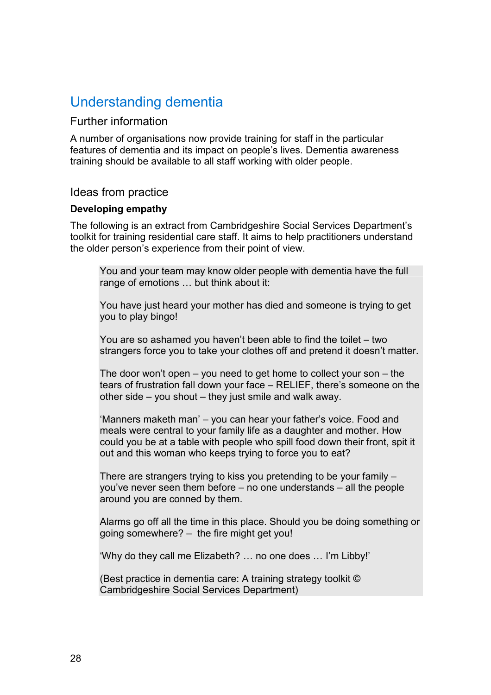# Understanding dementia

#### Further information

A number of organisations now provide training for staff in the particular features of dementia and its impact on people's lives. Dementia awareness training should be available to all staff working with older people.

#### Ideas from practice

#### Developing empathy

The following is an extract from Cambridgeshire Social Services Department's toolkit for training residential care staff. It aims to help practitioners understand the older person's experience from their point of view.

You and your team may know older people with dementia have the full range of emotions … but think about it:

You have just heard your mother has died and someone is trying to get you to play bingo!

You are so ashamed you haven't been able to find the toilet – two strangers force you to take your clothes off and pretend it doesn't matter.

The door won't open  $-$  you need to get home to collect your son  $-$  the tears of frustration fall down your face – RELIEF, there's someone on the other side – you shout – they just smile and walk away.

'Manners maketh man' – you can hear your father's voice. Food and meals were central to your family life as a daughter and mother. How could you be at a table with people who spill food down their front, spit it out and this woman who keeps trying to force you to eat?

There are strangers trying to kiss you pretending to be your family – you've never seen them before – no one understands – all the people around you are conned by them.

Alarms go off all the time in this place. Should you be doing something or going somewhere? – the fire might get you!

'Why do they call me Elizabeth? … no one does … I'm Libby!'

(Best practice in dementia care: A training strategy toolkit © Cambridgeshire Social Services Department)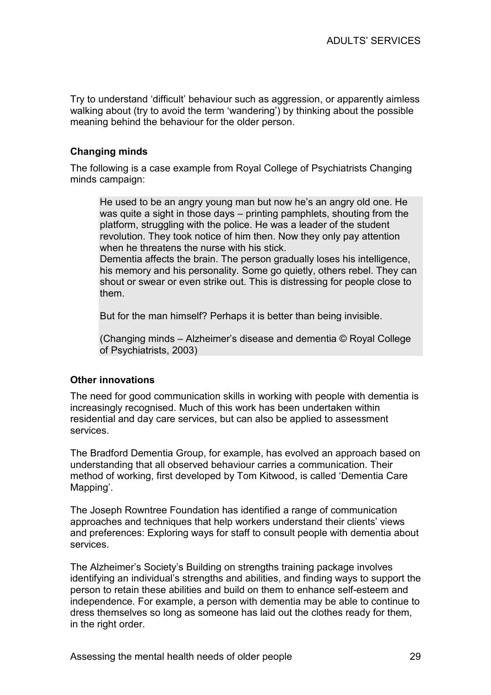Try to understand 'difficult' behaviour such as aggression, or apparently aimless walking about (try to avoid the term 'wandering') by thinking about the possible meaning behind the behaviour for the older person.

#### Changing minds

The following is a case example from Royal College of Psychiatrists Changing minds campaign:

He used to be an angry young man but now he's an angry old one. He was quite a sight in those days – printing pamphlets, shouting from the platform, struggling with the police. He was a leader of the student revolution. They took notice of him then. Now they only pay attention when he threatens the nurse with his stick.

Dementia affects the brain. The person gradually loses his intelligence, his memory and his personality. Some go quietly, others rebel. They can shout or swear or even strike out. This is distressing for people close to them.

But for the man himself? Perhaps it is better than being invisible.

(Changing minds – Alzheimer's disease and dementia © Royal College of Psychiatrists, 2003)

#### Other innovations

The need for good communication skills in working with people with dementia is increasingly recognised. Much of this work has been undertaken within residential and day care services, but can also be applied to assessment services.

The Bradford Dementia Group, for example, has evolved an approach based on understanding that all observed behaviour carries a communication. Their method of working, first developed by Tom Kitwood, is called 'Dementia Care Mapping'.

The Joseph Rowntree Foundation has identified a range of communication approaches and techniques that help workers understand their clients' views and preferences: Exploring ways for staff to consult people with dementia about services.

The Alzheimer's Society's Building on strengths training package involves identifying an individual's strengths and abilities, and finding ways to support the person to retain these abilities and build on them to enhance self-esteem and independence. For example, a person with dementia may be able to continue to dress themselves so long as someone has laid out the clothes ready for them, in the right order.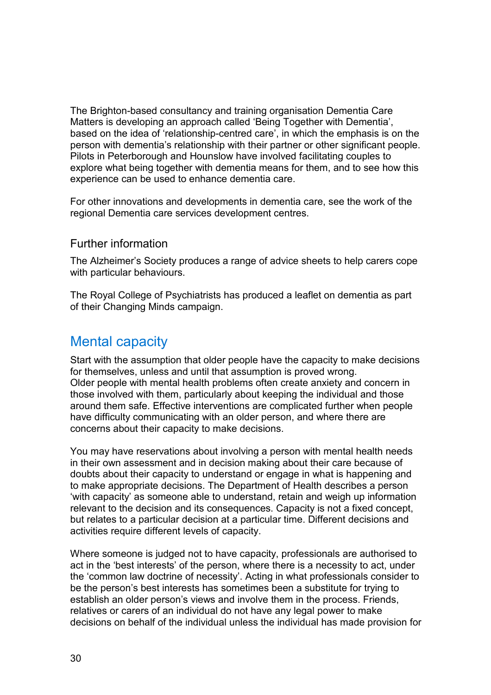The Brighton-based consultancy and training organisation Dementia Care Matters is developing an approach called 'Being Together with Dementia', based on the idea of 'relationship-centred care', in which the emphasis is on the person with dementia's relationship with their partner or other significant people. Pilots in Peterborough and Hounslow have involved facilitating couples to explore what being together with dementia means for them, and to see how this experience can be used to enhance dementia care.

For other innovations and developments in dementia care, see the work of the regional Dementia care services development centres.

#### Further information

The Alzheimer's Society produces a range of advice sheets to help carers cope with particular behaviours.

The Royal College of Psychiatrists has produced a leaflet on dementia as part of their Changing Minds campaign.

## Mental capacity

Start with the assumption that older people have the capacity to make decisions for themselves, unless and until that assumption is proved wrong. Older people with mental health problems often create anxiety and concern in those involved with them, particularly about keeping the individual and those around them safe. Effective interventions are complicated further when people have difficulty communicating with an older person, and where there are concerns about their capacity to make decisions.

You may have reservations about involving a person with mental health needs in their own assessment and in decision making about their care because of doubts about their capacity to understand or engage in what is happening and to make appropriate decisions. The Department of Health describes a person 'with capacity' as someone able to understand, retain and weigh up information relevant to the decision and its consequences. Capacity is not a fixed concept, but relates to a particular decision at a particular time. Different decisions and activities require different levels of capacity.

Where someone is judged not to have capacity, professionals are authorised to act in the 'best interests' of the person, where there is a necessity to act, under the 'common law doctrine of necessity'. Acting in what professionals consider to be the person's best interests has sometimes been a substitute for trying to establish an older person's views and involve them in the process. Friends, relatives or carers of an individual do not have any legal power to make decisions on behalf of the individual unless the individual has made provision for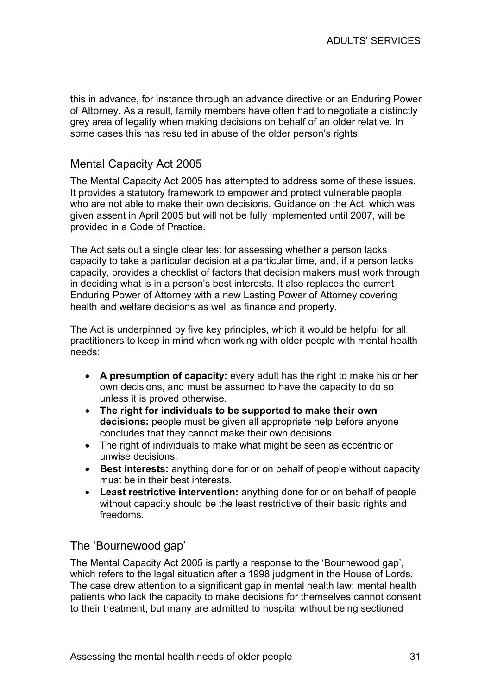this in advance, for instance through an advance directive or an Enduring Power of Attorney. As a result, family members have often had to negotiate a distinctly grey area of legality when making decisions on behalf of an older relative. In some cases this has resulted in abuse of the older person's rights.

## Mental Capacity Act 2005

The Mental Capacity Act 2005 has attempted to address some of these issues. It provides a statutory framework to empower and protect vulnerable people who are not able to make their own decisions. Guidance on the Act, which was given assent in April 2005 but will not be fully implemented until 2007, will be provided in a Code of Practice.

The Act sets out a single clear test for assessing whether a person lacks capacity to take a particular decision at a particular time, and, if a person lacks capacity, provides a checklist of factors that decision makers must work through in deciding what is in a person's best interests. It also replaces the current Enduring Power of Attorney with a new Lasting Power of Attorney covering health and welfare decisions as well as finance and property.

The Act is underpinned by five key principles, which it would be helpful for all practitioners to keep in mind when working with older people with mental health needs:

- A presumption of capacity: every adult has the right to make his or her own decisions, and must be assumed to have the capacity to do so unless it is proved otherwise.
- The right for individuals to be supported to make their own decisions: people must be given all appropriate help before anyone concludes that they cannot make their own decisions.
- The right of individuals to make what might be seen as eccentric or unwise decisions.
- Best interests: anything done for or on behalf of people without capacity must be in their best interests.
- Least restrictive intervention: anything done for or on behalf of people without capacity should be the least restrictive of their basic rights and freedoms.

### The 'Bournewood gap'

The Mental Capacity Act 2005 is partly a response to the 'Bournewood gap', which refers to the legal situation after a 1998 judgment in the House of Lords. The case drew attention to a significant gap in mental health law: mental health patients who lack the capacity to make decisions for themselves cannot consent to their treatment, but many are admitted to hospital without being sectioned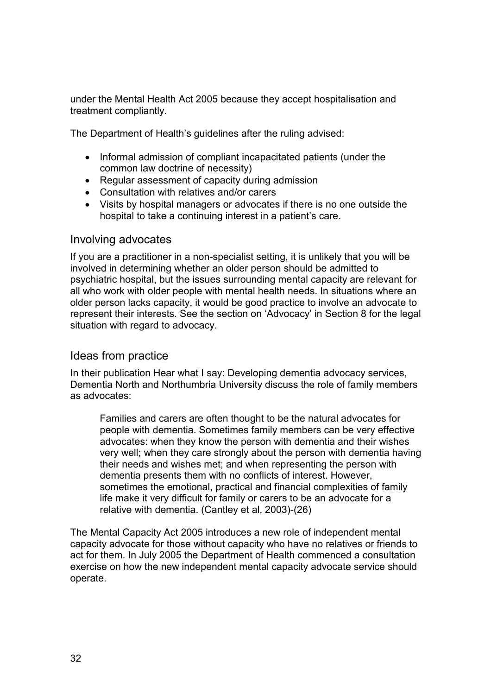under the Mental Health Act 2005 because they accept hospitalisation and treatment compliantly.

The Department of Health's guidelines after the ruling advised:

- Informal admission of compliant incapacitated patients (under the common law doctrine of necessity)
- Regular assessment of capacity during admission
- Consultation with relatives and/or carers
- Visits by hospital managers or advocates if there is no one outside the hospital to take a continuing interest in a patient's care.

### Involving advocates

If you are a practitioner in a non-specialist setting, it is unlikely that you will be involved in determining whether an older person should be admitted to psychiatric hospital, but the issues surrounding mental capacity are relevant for all who work with older people with mental health needs. In situations where an older person lacks capacity, it would be good practice to involve an advocate to represent their interests. See the section on 'Advocacy' in Section 8 for the legal situation with regard to advocacy.

### Ideas from practice

In their publication Hear what I say: Developing dementia advocacy services, Dementia North and Northumbria University discuss the role of family members as advocates:

Families and carers are often thought to be the natural advocates for people with dementia. Sometimes family members can be very effective advocates: when they know the person with dementia and their wishes very well; when they care strongly about the person with dementia having their needs and wishes met; and when representing the person with dementia presents them with no conflicts of interest. However, sometimes the emotional, practical and financial complexities of family life make it very difficult for family or carers to be an advocate for a relative with dementia. (Cantley et al, 2003)-(26)

The Mental Capacity Act 2005 introduces a new role of independent mental capacity advocate for those without capacity who have no relatives or friends to act for them. In July 2005 the Department of Health commenced a consultation exercise on how the new independent mental capacity advocate service should operate.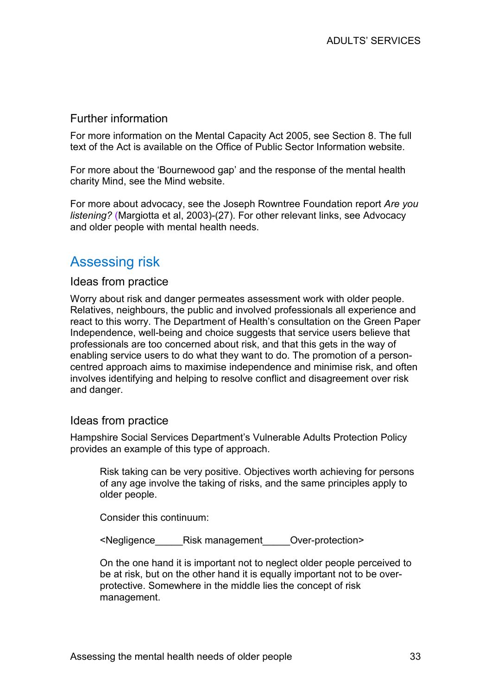### Further information

For more information on the Mental Capacity Act 2005, see Section 8. The full text of the Act is available on the Office of Public Sector Information website.

For more about the 'Bournewood gap' and the response of the mental health charity Mind, see the Mind website.

For more about advocacy, see the Joseph Rowntree Foundation report Are you listening? (Margiotta et al, 2003)-(27). For other relevant links, see Advocacy and older people with mental health needs.

## Assessing risk

### Ideas from practice

Worry about risk and danger permeates assessment work with older people. Relatives, neighbours, the public and involved professionals all experience and react to this worry. The Department of Health's consultation on the Green Paper Independence, well-being and choice suggests that service users believe that professionals are too concerned about risk, and that this gets in the way of enabling service users to do what they want to do. The promotion of a personcentred approach aims to maximise independence and minimise risk, and often involves identifying and helping to resolve conflict and disagreement over risk and danger.

### Ideas from practice

Hampshire Social Services Department's Vulnerable Adults Protection Policy provides an example of this type of approach.

Risk taking can be very positive. Objectives worth achieving for persons of any age involve the taking of risks, and the same principles apply to older people.

Consider this continuum:

<Negligence\_\_\_\_\_Risk management\_\_\_\_\_Over-protection>

On the one hand it is important not to neglect older people perceived to be at risk, but on the other hand it is equally important not to be overprotective. Somewhere in the middle lies the concept of risk management.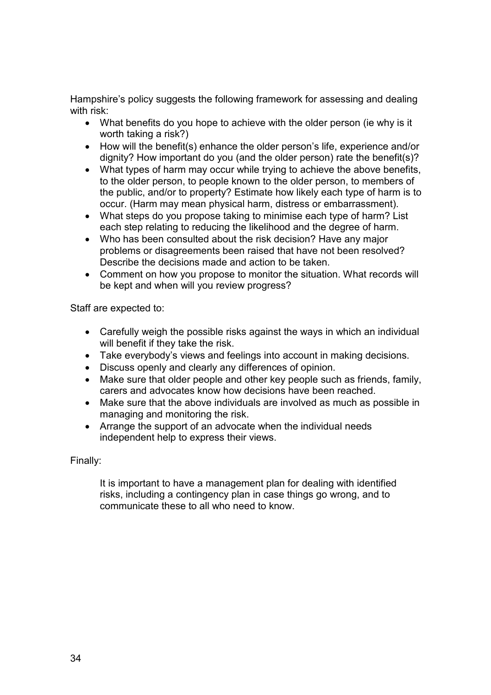Hampshire's policy suggests the following framework for assessing and dealing with risk:

- What benefits do you hope to achieve with the older person (ie why is it worth taking a risk?)
- How will the benefit(s) enhance the older person's life, experience and/or dignity? How important do you (and the older person) rate the benefit(s)?
- What types of harm may occur while trying to achieve the above benefits, to the older person, to people known to the older person, to members of the public, and/or to property? Estimate how likely each type of harm is to occur. (Harm may mean physical harm, distress or embarrassment).
- What steps do you propose taking to minimise each type of harm? List each step relating to reducing the likelihood and the degree of harm.
- Who has been consulted about the risk decision? Have any major problems or disagreements been raised that have not been resolved? Describe the decisions made and action to be taken.
- Comment on how you propose to monitor the situation. What records will be kept and when will you review progress?

Staff are expected to:

- Carefully weigh the possible risks against the ways in which an individual will benefit if they take the risk.
- Take everybody's views and feelings into account in making decisions.
- Discuss openly and clearly any differences of opinion.
- Make sure that older people and other key people such as friends, family, carers and advocates know how decisions have been reached.
- Make sure that the above individuals are involved as much as possible in managing and monitoring the risk.
- Arrange the support of an advocate when the individual needs independent help to express their views.

Finally:

It is important to have a management plan for dealing with identified risks, including a contingency plan in case things go wrong, and to communicate these to all who need to know.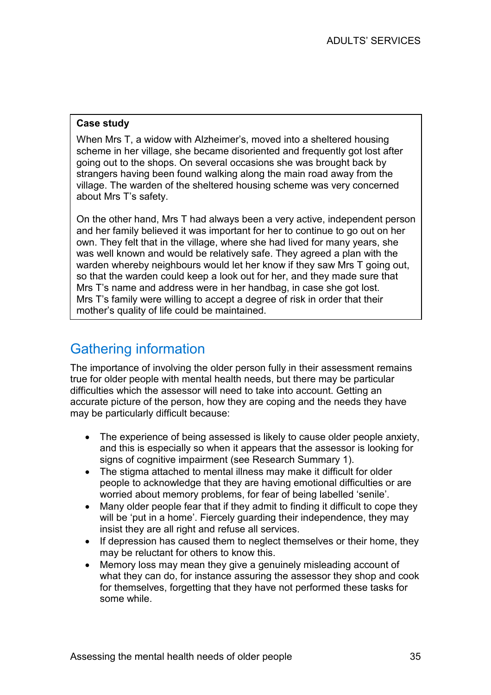### Case study

When Mrs T, a widow with Alzheimer's, moved into a sheltered housing scheme in her village, she became disoriented and frequently got lost after going out to the shops. On several occasions she was brought back by strangers having been found walking along the main road away from the village. The warden of the sheltered housing scheme was very concerned about Mrs T's safety.

On the other hand, Mrs T had always been a very active, independent person and her family believed it was important for her to continue to go out on her own. They felt that in the village, where she had lived for many years, she was well known and would be relatively safe. They agreed a plan with the warden whereby neighbours would let her know if they saw Mrs T going out, so that the warden could keep a look out for her, and they made sure that Mrs T's name and address were in her handbag, in case she got lost. Mrs T's family were willing to accept a degree of risk in order that their mother's quality of life could be maintained.

# Gathering information

The importance of involving the older person fully in their assessment remains true for older people with mental health needs, but there may be particular difficulties which the assessor will need to take into account. Getting an accurate picture of the person, how they are coping and the needs they have may be particularly difficult because:

- The experience of being assessed is likely to cause older people anxiety, and this is especially so when it appears that the assessor is looking for signs of cognitive impairment (see Research Summary 1).
- The stigma attached to mental illness may make it difficult for older people to acknowledge that they are having emotional difficulties or are worried about memory problems, for fear of being labelled 'senile'.
- Many older people fear that if they admit to finding it difficult to cope they will be 'put in a home'. Fiercely guarding their independence, they may insist they are all right and refuse all services.
- If depression has caused them to neglect themselves or their home, they may be reluctant for others to know this.
- Memory loss may mean they give a genuinely misleading account of what they can do, for instance assuring the assessor they shop and cook for themselves, forgetting that they have not performed these tasks for some while.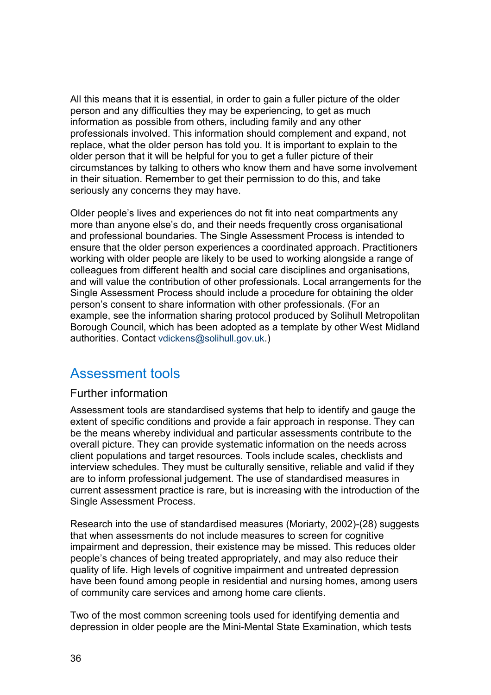All this means that it is essential, in order to gain a fuller picture of the older person and any difficulties they may be experiencing, to get as much information as possible from others, including family and any other professionals involved. This information should complement and expand, not replace, what the older person has told you. It is important to explain to the older person that it will be helpful for you to get a fuller picture of their circumstances by talking to others who know them and have some involvement in their situation. Remember to get their permission to do this, and take seriously any concerns they may have.

Older people's lives and experiences do not fit into neat compartments any more than anyone else's do, and their needs frequently cross organisational and professional boundaries. The Single Assessment Process is intended to ensure that the older person experiences a coordinated approach. Practitioners working with older people are likely to be used to working alongside a range of colleagues from different health and social care disciplines and organisations, and will value the contribution of other professionals. Local arrangements for the Single Assessment Process should include a procedure for obtaining the older person's consent to share information with other professionals. (For an example, see the information sharing protocol produced by Solihull Metropolitan Borough Council, which has been adopted as a template by other West Midland authorities. Contact vdickens@solihull.gov.uk.)

# Assessment tools

## Further information

Assessment tools are standardised systems that help to identify and gauge the extent of specific conditions and provide a fair approach in response. They can be the means whereby individual and particular assessments contribute to the overall picture. They can provide systematic information on the needs across client populations and target resources. Tools include scales, checklists and interview schedules. They must be culturally sensitive, reliable and valid if they are to inform professional judgement. The use of standardised measures in current assessment practice is rare, but is increasing with the introduction of the Single Assessment Process.

Research into the use of standardised measures (Moriarty, 2002)-(28) suggests that when assessments do not include measures to screen for cognitive impairment and depression, their existence may be missed. This reduces older people's chances of being treated appropriately, and may also reduce their quality of life. High levels of cognitive impairment and untreated depression have been found among people in residential and nursing homes, among users of community care services and among home care clients.

Two of the most common screening tools used for identifying dementia and depression in older people are the Mini-Mental State Examination, which tests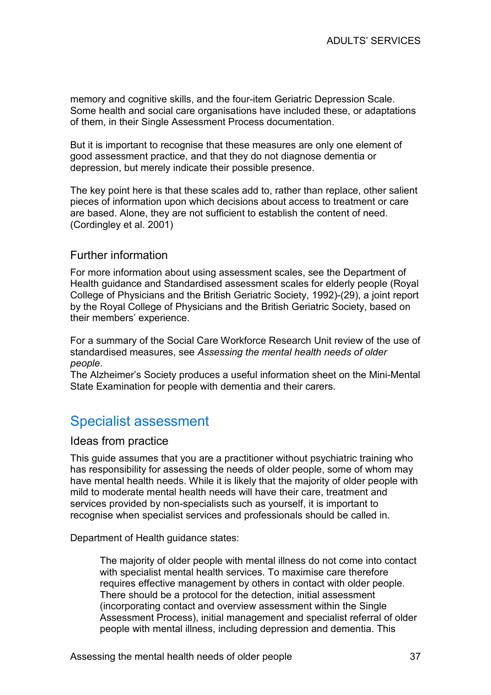memory and cognitive skills, and the four-item Geriatric Depression Scale. Some health and social care organisations have included these, or adaptations of them, in their Single Assessment Process documentation.

But it is important to recognise that these measures are only one element of good assessment practice, and that they do not diagnose dementia or depression, but merely indicate their possible presence.

The key point here is that these scales add to, rather than replace, other salient pieces of information upon which decisions about access to treatment or care are based. Alone, they are not sufficient to establish the content of need. (Cordingley et al. 2001)

### Further information

For more information about using assessment scales, see the Department of Health guidance and Standardised assessment scales for elderly people (Royal College of Physicians and the British Geriatric Society, 1992)-(29), a joint report by the Royal College of Physicians and the British Geriatric Society, based on their members' experience.

For a summary of the Social Care Workforce Research Unit review of the use of standardised measures, see Assessing the mental health needs of older people.

The Alzheimer's Society produces a useful information sheet on the Mini-Mental State Examination for people with dementia and their carers.

## Specialist assessment

### Ideas from practice

This guide assumes that you are a practitioner without psychiatric training who has responsibility for assessing the needs of older people, some of whom may have mental health needs. While it is likely that the majority of older people with mild to moderate mental health needs will have their care, treatment and services provided by non-specialists such as yourself, it is important to recognise when specialist services and professionals should be called in.

Department of Health guidance states:

The majority of older people with mental illness do not come into contact with specialist mental health services. To maximise care therefore requires effective management by others in contact with older people. There should be a protocol for the detection, initial assessment (incorporating contact and overview assessment within the Single Assessment Process), initial management and specialist referral of older people with mental illness, including depression and dementia. This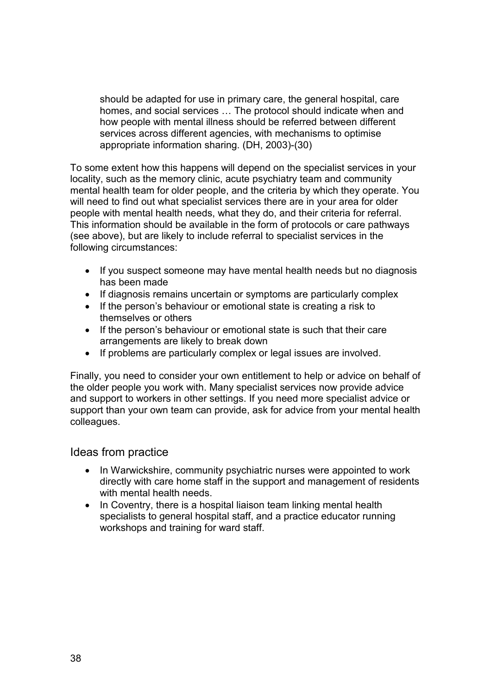should be adapted for use in primary care, the general hospital, care homes, and social services … The protocol should indicate when and how people with mental illness should be referred between different services across different agencies, with mechanisms to optimise appropriate information sharing. (DH, 2003)-(30)

To some extent how this happens will depend on the specialist services in your locality, such as the memory clinic, acute psychiatry team and community mental health team for older people, and the criteria by which they operate. You will need to find out what specialist services there are in your area for older people with mental health needs, what they do, and their criteria for referral. This information should be available in the form of protocols or care pathways (see above), but are likely to include referral to specialist services in the following circumstances:

- If you suspect someone may have mental health needs but no diagnosis has been made
- If diagnosis remains uncertain or symptoms are particularly complex
- If the person's behaviour or emotional state is creating a risk to themselves or others
- If the person's behaviour or emotional state is such that their care arrangements are likely to break down
- If problems are particularly complex or legal issues are involved.

Finally, you need to consider your own entitlement to help or advice on behalf of the older people you work with. Many specialist services now provide advice and support to workers in other settings. If you need more specialist advice or support than your own team can provide, ask for advice from your mental health colleagues.

### Ideas from practice

- In Warwickshire, community psychiatric nurses were appointed to work directly with care home staff in the support and management of residents with mental health needs.
- In Coventry, there is a hospital liaison team linking mental health specialists to general hospital staff, and a practice educator running workshops and training for ward staff.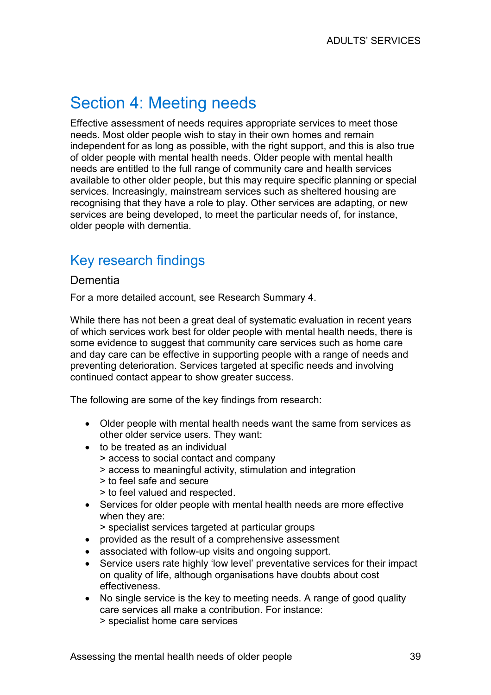# Section 4: Meeting needs

Effective assessment of needs requires appropriate services to meet those needs. Most older people wish to stay in their own homes and remain independent for as long as possible, with the right support, and this is also true of older people with mental health needs. Older people with mental health needs are entitled to the full range of community care and health services available to other older people, but this may require specific planning or special services. Increasingly, mainstream services such as sheltered housing are recognising that they have a role to play. Other services are adapting, or new services are being developed, to meet the particular needs of, for instance, older people with dementia.

# Key research findings

### **Dementia**

For a more detailed account, see Research Summary 4.

While there has not been a great deal of systematic evaluation in recent years of which services work best for older people with mental health needs, there is some evidence to suggest that community care services such as home care and day care can be effective in supporting people with a range of needs and preventing deterioration. Services targeted at specific needs and involving continued contact appear to show greater success.

The following are some of the key findings from research:

- Older people with mental health needs want the same from services as other older service users. They want:
- to be treated as an individual
	- > access to social contact and company
	- > access to meaningful activity, stimulation and integration
	- > to feel safe and secure
	- > to feel valued and respected.
- Services for older people with mental health needs are more effective when they are:
	- > specialist services targeted at particular groups
- provided as the result of a comprehensive assessment
- associated with follow-up visits and ongoing support.
- Service users rate highly 'low level' preventative services for their impact on quality of life, although organisations have doubts about cost effectiveness.
- No single service is the key to meeting needs. A range of good quality care services all make a contribution. For instance: > specialist home care services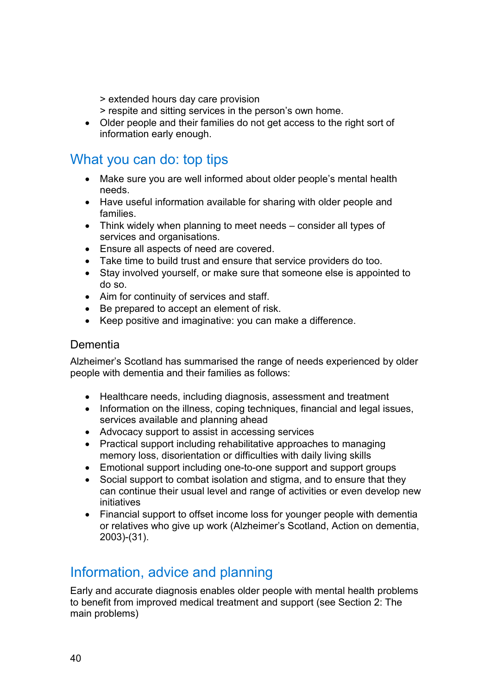- > extended hours day care provision
- > respite and sitting services in the person's own home.
- Older people and their families do not get access to the right sort of information early enough.

# What you can do: top tips

- Make sure you are well informed about older people's mental health needs.
- Have useful information available for sharing with older people and families.
- Think widely when planning to meet needs consider all types of services and organisations.
- Ensure all aspects of need are covered.
- Take time to build trust and ensure that service providers do too.
- Stay involved yourself, or make sure that someone else is appointed to do so.
- Aim for continuity of services and staff.
- Be prepared to accept an element of risk.
- Keep positive and imaginative: you can make a difference.

### **Dementia**

Alzheimer's Scotland has summarised the range of needs experienced by older people with dementia and their families as follows:

- Healthcare needs, including diagnosis, assessment and treatment
- Information on the illness, coping techniques, financial and legal issues, services available and planning ahead
- Advocacy support to assist in accessing services
- Practical support including rehabilitative approaches to managing memory loss, disorientation or difficulties with daily living skills
- Emotional support including one-to-one support and support groups
- Social support to combat isolation and stigma, and to ensure that they can continue their usual level and range of activities or even develop new initiatives
- Financial support to offset income loss for younger people with dementia or relatives who give up work (Alzheimer's Scotland, Action on dementia, 2003)-(31).

# Information, advice and planning

Early and accurate diagnosis enables older people with mental health problems to benefit from improved medical treatment and support (see Section 2: The main problems)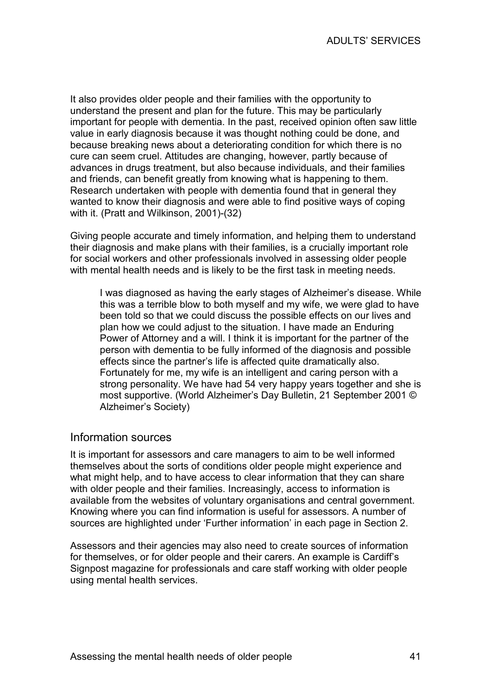It also provides older people and their families with the opportunity to understand the present and plan for the future. This may be particularly important for people with dementia. In the past, received opinion often saw little value in early diagnosis because it was thought nothing could be done, and because breaking news about a deteriorating condition for which there is no cure can seem cruel. Attitudes are changing, however, partly because of advances in drugs treatment, but also because individuals, and their families and friends, can benefit greatly from knowing what is happening to them. Research undertaken with people with dementia found that in general they wanted to know their diagnosis and were able to find positive ways of coping with it. (Pratt and Wilkinson, 2001)-(32)

Giving people accurate and timely information, and helping them to understand their diagnosis and make plans with their families, is a crucially important role for social workers and other professionals involved in assessing older people with mental health needs and is likely to be the first task in meeting needs.

I was diagnosed as having the early stages of Alzheimer's disease. While this was a terrible blow to both myself and my wife, we were glad to have been told so that we could discuss the possible effects on our lives and plan how we could adjust to the situation. I have made an Enduring Power of Attorney and a will. I think it is important for the partner of the person with dementia to be fully informed of the diagnosis and possible effects since the partner's life is affected quite dramatically also. Fortunately for me, my wife is an intelligent and caring person with a strong personality. We have had 54 very happy years together and she is most supportive. (World Alzheimer's Day Bulletin, 21 September 2001 © Alzheimer's Society)

### Information sources

It is important for assessors and care managers to aim to be well informed themselves about the sorts of conditions older people might experience and what might help, and to have access to clear information that they can share with older people and their families. Increasingly, access to information is available from the websites of voluntary organisations and central government. Knowing where you can find information is useful for assessors. A number of sources are highlighted under 'Further information' in each page in Section 2.

Assessors and their agencies may also need to create sources of information for themselves, or for older people and their carers. An example is Cardiff's Signpost magazine for professionals and care staff working with older people using mental health services.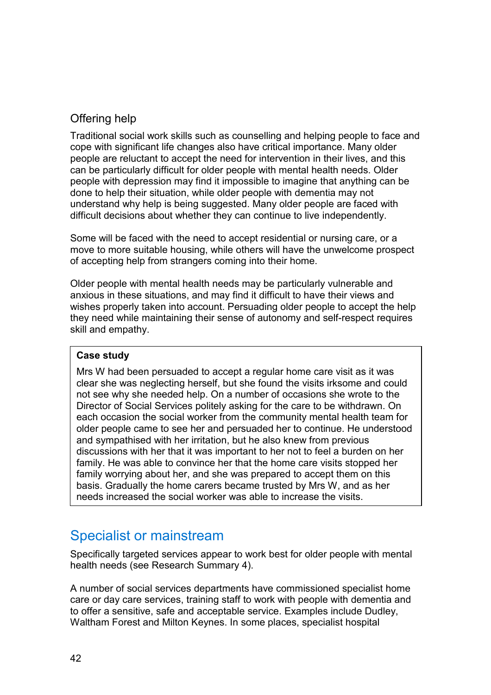## Offering help

Traditional social work skills such as counselling and helping people to face and cope with significant life changes also have critical importance. Many older people are reluctant to accept the need for intervention in their lives, and this can be particularly difficult for older people with mental health needs. Older people with depression may find it impossible to imagine that anything can be done to help their situation, while older people with dementia may not understand why help is being suggested. Many older people are faced with difficult decisions about whether they can continue to live independently.

Some will be faced with the need to accept residential or nursing care, or a move to more suitable housing, while others will have the unwelcome prospect of accepting help from strangers coming into their home.

Older people with mental health needs may be particularly vulnerable and anxious in these situations, and may find it difficult to have their views and wishes properly taken into account. Persuading older people to accept the help they need while maintaining their sense of autonomy and self-respect requires skill and empathy.

### Case study

Mrs W had been persuaded to accept a regular home care visit as it was clear she was neglecting herself, but she found the visits irksome and could not see why she needed help. On a number of occasions she wrote to the Director of Social Services politely asking for the care to be withdrawn. On each occasion the social worker from the community mental health team for older people came to see her and persuaded her to continue. He understood and sympathised with her irritation, but he also knew from previous discussions with her that it was important to her not to feel a burden on her family. He was able to convince her that the home care visits stopped her family worrying about her, and she was prepared to accept them on this basis. Gradually the home carers became trusted by Mrs W, and as her needs increased the social worker was able to increase the visits.

## Specialist or mainstream

Specifically targeted services appear to work best for older people with mental health needs (see Research Summary 4).

A number of social services departments have commissioned specialist home care or day care services, training staff to work with people with dementia and to offer a sensitive, safe and acceptable service. Examples include Dudley, Waltham Forest and Milton Keynes. In some places, specialist hospital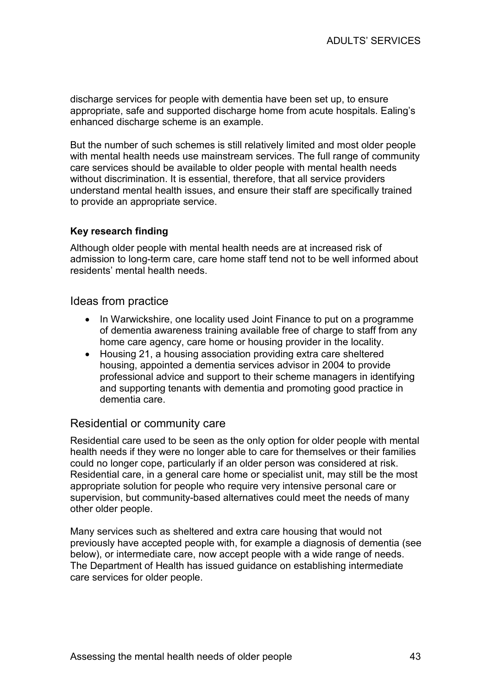discharge services for people with dementia have been set up, to ensure appropriate, safe and supported discharge home from acute hospitals. Ealing's enhanced discharge scheme is an example.

But the number of such schemes is still relatively limited and most older people with mental health needs use mainstream services. The full range of community care services should be available to older people with mental health needs without discrimination. It is essential, therefore, that all service providers understand mental health issues, and ensure their staff are specifically trained to provide an appropriate service.

### Key research finding

Although older people with mental health needs are at increased risk of admission to long-term care, care home staff tend not to be well informed about residents' mental health needs.

### Ideas from practice

- In Warwickshire, one locality used Joint Finance to put on a programme of dementia awareness training available free of charge to staff from any home care agency, care home or housing provider in the locality.
- Housing 21, a housing association providing extra care sheltered housing, appointed a dementia services advisor in 2004 to provide professional advice and support to their scheme managers in identifying and supporting tenants with dementia and promoting good practice in dementia care.

### Residential or community care

Residential care used to be seen as the only option for older people with mental health needs if they were no longer able to care for themselves or their families could no longer cope, particularly if an older person was considered at risk. Residential care, in a general care home or specialist unit, may still be the most appropriate solution for people who require very intensive personal care or supervision, but community-based alternatives could meet the needs of many other older people.

Many services such as sheltered and extra care housing that would not previously have accepted people with, for example a diagnosis of dementia (see below), or intermediate care, now accept people with a wide range of needs. The Department of Health has issued guidance on establishing intermediate care services for older people.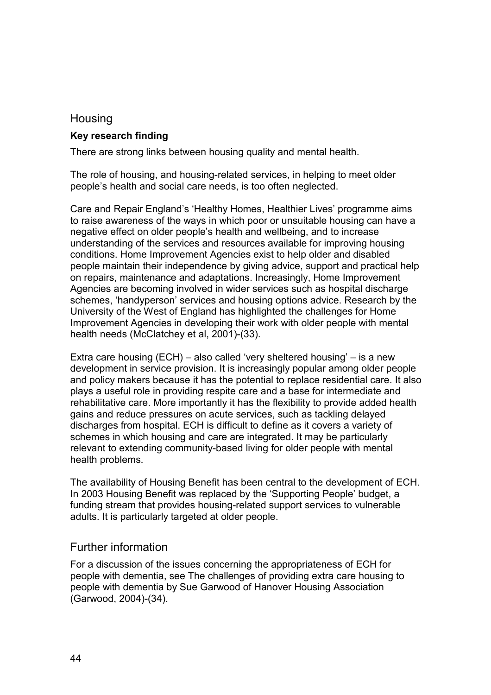### Housing

### Key research finding

There are strong links between housing quality and mental health.

The role of housing, and housing-related services, in helping to meet older people's health and social care needs, is too often neglected.

Care and Repair England's 'Healthy Homes, Healthier Lives' programme aims to raise awareness of the ways in which poor or unsuitable housing can have a negative effect on older people's health and wellbeing, and to increase understanding of the services and resources available for improving housing conditions. Home Improvement Agencies exist to help older and disabled people maintain their independence by giving advice, support and practical help on repairs, maintenance and adaptations. Increasingly, Home Improvement Agencies are becoming involved in wider services such as hospital discharge schemes, 'handyperson' services and housing options advice. Research by the University of the West of England has highlighted the challenges for Home Improvement Agencies in developing their work with older people with mental health needs (McClatchey et al, 2001)-(33).

Extra care housing (ECH) – also called 'very sheltered housing' – is a new development in service provision. It is increasingly popular among older people and policy makers because it has the potential to replace residential care. It also plays a useful role in providing respite care and a base for intermediate and rehabilitative care. More importantly it has the flexibility to provide added health gains and reduce pressures on acute services, such as tackling delayed discharges from hospital. ECH is difficult to define as it covers a variety of schemes in which housing and care are integrated. It may be particularly relevant to extending community-based living for older people with mental health problems.

The availability of Housing Benefit has been central to the development of ECH. In 2003 Housing Benefit was replaced by the 'Supporting People' budget, a funding stream that provides housing-related support services to vulnerable adults. It is particularly targeted at older people.

## Further information

For a discussion of the issues concerning the appropriateness of ECH for people with dementia, see The challenges of providing extra care housing to people with dementia by Sue Garwood of Hanover Housing Association (Garwood, 2004)-(34).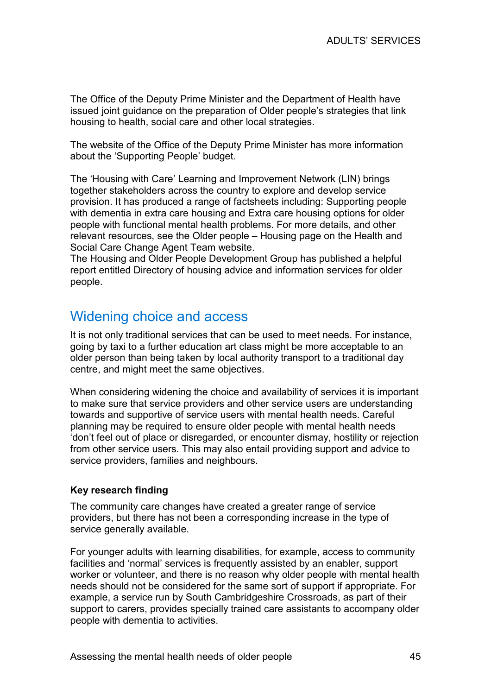The Office of the Deputy Prime Minister and the Department of Health have issued joint guidance on the preparation of Older people's strategies that link housing to health, social care and other local strategies.

The website of the Office of the Deputy Prime Minister has more information about the 'Supporting People' budget.

The 'Housing with Care' Learning and Improvement Network (LIN) brings together stakeholders across the country to explore and develop service provision. It has produced a range of factsheets including: Supporting people with dementia in extra care housing and Extra care housing options for older people with functional mental health problems. For more details, and other relevant resources, see the Older people – Housing page on the Health and Social Care Change Agent Team website.

The Housing and Older People Development Group has published a helpful report entitled Directory of housing advice and information services for older people.

## Widening choice and access

It is not only traditional services that can be used to meet needs. For instance, going by taxi to a further education art class might be more acceptable to an older person than being taken by local authority transport to a traditional day centre, and might meet the same objectives.

When considering widening the choice and availability of services it is important to make sure that service providers and other service users are understanding towards and supportive of service users with mental health needs. Careful planning may be required to ensure older people with mental health needs 'don't feel out of place or disregarded, or encounter dismay, hostility or rejection from other service users. This may also entail providing support and advice to service providers, families and neighbours.

### Key research finding

The community care changes have created a greater range of service providers, but there has not been a corresponding increase in the type of service generally available.

For younger adults with learning disabilities, for example, access to community facilities and 'normal' services is frequently assisted by an enabler, support worker or volunteer, and there is no reason why older people with mental health needs should not be considered for the same sort of support if appropriate. For example, a service run by South Cambridgeshire Crossroads, as part of their support to carers, provides specially trained care assistants to accompany older people with dementia to activities.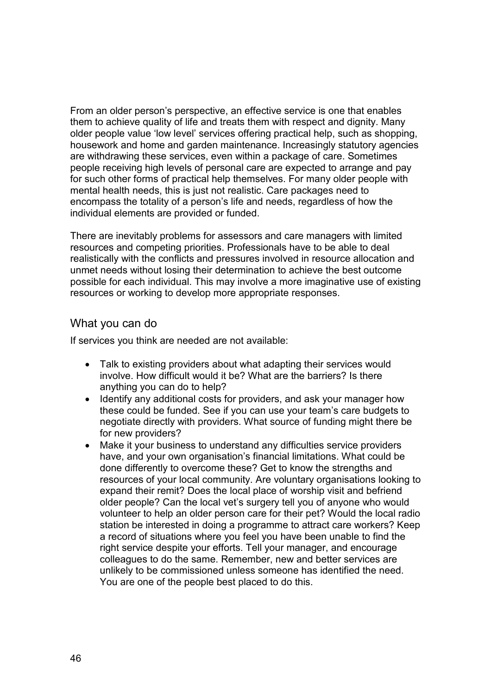From an older person's perspective, an effective service is one that enables them to achieve quality of life and treats them with respect and dignity. Many older people value 'low level' services offering practical help, such as shopping, housework and home and garden maintenance. Increasingly statutory agencies are withdrawing these services, even within a package of care. Sometimes people receiving high levels of personal care are expected to arrange and pay for such other forms of practical help themselves. For many older people with mental health needs, this is just not realistic. Care packages need to encompass the totality of a person's life and needs, regardless of how the individual elements are provided or funded.

There are inevitably problems for assessors and care managers with limited resources and competing priorities. Professionals have to be able to deal realistically with the conflicts and pressures involved in resource allocation and unmet needs without losing their determination to achieve the best outcome possible for each individual. This may involve a more imaginative use of existing resources or working to develop more appropriate responses.

### What you can do

If services you think are needed are not available:

- Talk to existing providers about what adapting their services would involve. How difficult would it be? What are the barriers? Is there anything you can do to help?
- Identify any additional costs for providers, and ask your manager how these could be funded. See if you can use your team's care budgets to negotiate directly with providers. What source of funding might there be for new providers?
- Make it your business to understand any difficulties service providers have, and your own organisation's financial limitations. What could be done differently to overcome these? Get to know the strengths and resources of your local community. Are voluntary organisations looking to expand their remit? Does the local place of worship visit and befriend older people? Can the local vet's surgery tell you of anyone who would volunteer to help an older person care for their pet? Would the local radio station be interested in doing a programme to attract care workers? Keep a record of situations where you feel you have been unable to find the right service despite your efforts. Tell your manager, and encourage colleagues to do the same. Remember, new and better services are unlikely to be commissioned unless someone has identified the need. You are one of the people best placed to do this.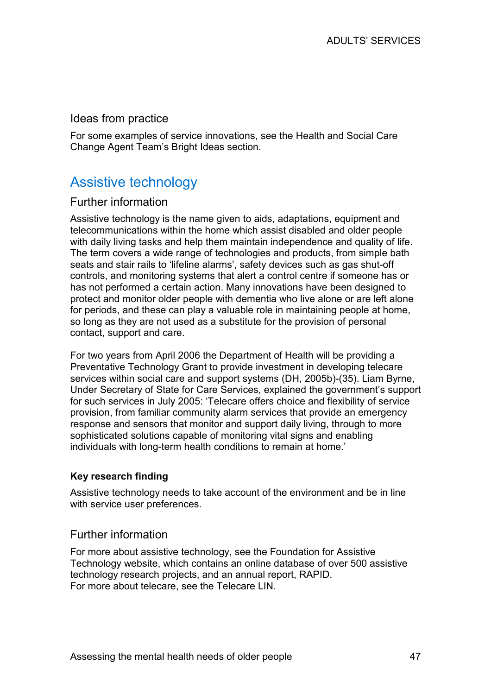### Ideas from practice

For some examples of service innovations, see the Health and Social Care Change Agent Team's Bright Ideas section.

# Assistive technology

### Further information

Assistive technology is the name given to aids, adaptations, equipment and telecommunications within the home which assist disabled and older people with daily living tasks and help them maintain independence and quality of life. The term covers a wide range of technologies and products, from simple bath seats and stair rails to 'lifeline alarms', safety devices such as gas shut-off controls, and monitoring systems that alert a control centre if someone has or has not performed a certain action. Many innovations have been designed to protect and monitor older people with dementia who live alone or are left alone for periods, and these can play a valuable role in maintaining people at home, so long as they are not used as a substitute for the provision of personal contact, support and care.

For two years from April 2006 the Department of Health will be providing a Preventative Technology Grant to provide investment in developing telecare services within social care and support systems (DH, 2005b)-(35). Liam Byrne, Under Secretary of State for Care Services, explained the government's support for such services in July 2005: 'Telecare offers choice and flexibility of service provision, from familiar community alarm services that provide an emergency response and sensors that monitor and support daily living, through to more sophisticated solutions capable of monitoring vital signs and enabling individuals with long-term health conditions to remain at home.'

### Key research finding

Assistive technology needs to take account of the environment and be in line with service user preferences.

### Further information

For more about assistive technology, see the Foundation for Assistive Technology website, which contains an online database of over 500 assistive technology research projects, and an annual report, RAPID. For more about telecare, see the Telecare LIN.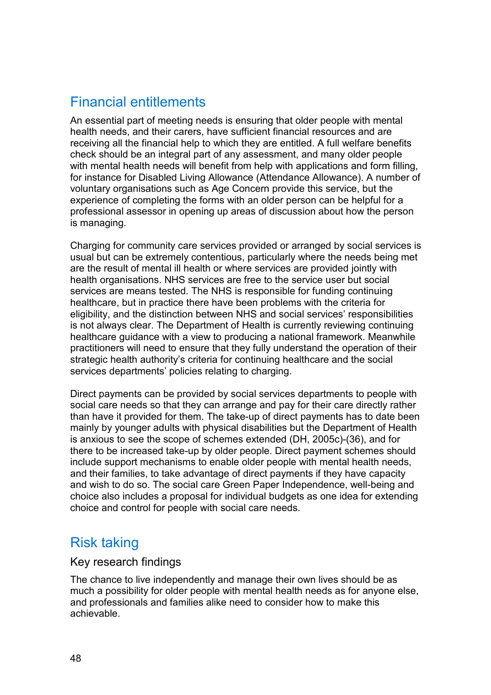# Financial entitlements

An essential part of meeting needs is ensuring that older people with mental health needs, and their carers, have sufficient financial resources and are receiving all the financial help to which they are entitled. A full welfare benefits check should be an integral part of any assessment, and many older people with mental health needs will benefit from help with applications and form filling, for instance for Disabled Living Allowance (Attendance Allowance). A number of voluntary organisations such as Age Concern provide this service, but the experience of completing the forms with an older person can be helpful for a professional assessor in opening up areas of discussion about how the person is managing.

Charging for community care services provided or arranged by social services is usual but can be extremely contentious, particularly where the needs being met are the result of mental ill health or where services are provided jointly with health organisations. NHS services are free to the service user but social services are means tested. The NHS is responsible for funding continuing healthcare, but in practice there have been problems with the criteria for eligibility, and the distinction between NHS and social services' responsibilities is not always clear. The Department of Health is currently reviewing continuing healthcare guidance with a view to producing a national framework. Meanwhile practitioners will need to ensure that they fully understand the operation of their strategic health authority's criteria for continuing healthcare and the social services departments' policies relating to charging.

Direct payments can be provided by social services departments to people with social care needs so that they can arrange and pay for their care directly rather than have it provided for them. The take-up of direct payments has to date been mainly by younger adults with physical disabilities but the Department of Health is anxious to see the scope of schemes extended (DH, 2005c)-(36), and for there to be increased take-up by older people. Direct payment schemes should include support mechanisms to enable older people with mental health needs, and their families, to take advantage of direct payments if they have capacity and wish to do so. The social care Green Paper Independence, well-being and choice also includes a proposal for individual budgets as one idea for extending choice and control for people with social care needs.

# Risk taking

## Key research findings

The chance to live independently and manage their own lives should be as much a possibility for older people with mental health needs as for anyone else, and professionals and families alike need to consider how to make this achievable.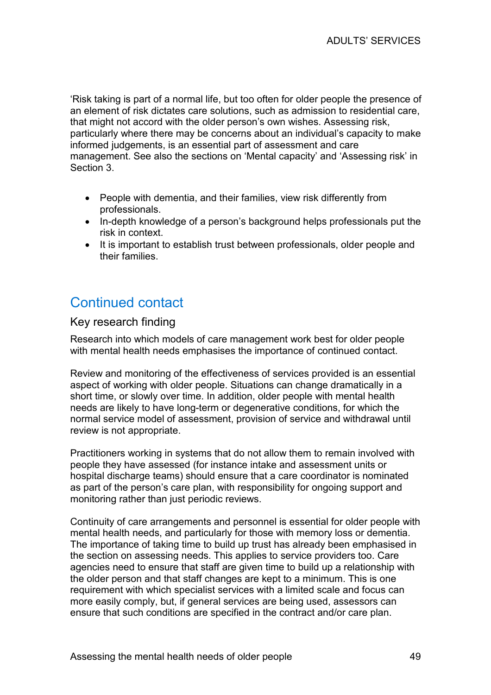'Risk taking is part of a normal life, but too often for older people the presence of an element of risk dictates care solutions, such as admission to residential care, that might not accord with the older person's own wishes. Assessing risk, particularly where there may be concerns about an individual's capacity to make informed judgements, is an essential part of assessment and care management. See also the sections on 'Mental capacity' and 'Assessing risk' in Section 3.

- People with dementia, and their families, view risk differently from professionals.
- In-depth knowledge of a person's background helps professionals put the risk in context.
- It is important to establish trust between professionals, older people and their families.

# Continued contact

## Key research finding

Research into which models of care management work best for older people with mental health needs emphasises the importance of continued contact.

Review and monitoring of the effectiveness of services provided is an essential aspect of working with older people. Situations can change dramatically in a short time, or slowly over time. In addition, older people with mental health needs are likely to have long-term or degenerative conditions, for which the normal service model of assessment, provision of service and withdrawal until review is not appropriate.

Practitioners working in systems that do not allow them to remain involved with people they have assessed (for instance intake and assessment units or hospital discharge teams) should ensure that a care coordinator is nominated as part of the person's care plan, with responsibility for ongoing support and monitoring rather than just periodic reviews.

Continuity of care arrangements and personnel is essential for older people with mental health needs, and particularly for those with memory loss or dementia. The importance of taking time to build up trust has already been emphasised in the section on assessing needs. This applies to service providers too. Care agencies need to ensure that staff are given time to build up a relationship with the older person and that staff changes are kept to a minimum. This is one requirement with which specialist services with a limited scale and focus can more easily comply, but, if general services are being used, assessors can ensure that such conditions are specified in the contract and/or care plan.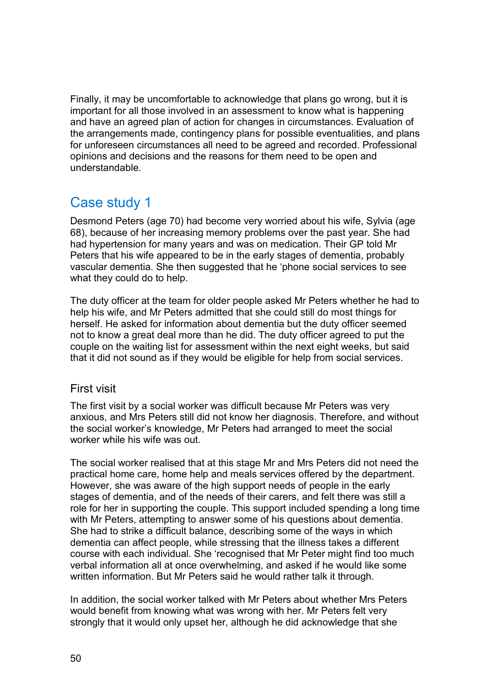Finally, it may be uncomfortable to acknowledge that plans go wrong, but it is important for all those involved in an assessment to know what is happening and have an agreed plan of action for changes in circumstances. Evaluation of the arrangements made, contingency plans for possible eventualities, and plans for unforeseen circumstances all need to be agreed and recorded. Professional opinions and decisions and the reasons for them need to be open and understandable.

# Case study 1

Desmond Peters (age 70) had become very worried about his wife, Sylvia (age 68), because of her increasing memory problems over the past year. She had had hypertension for many years and was on medication. Their GP told Mr Peters that his wife appeared to be in the early stages of dementia, probably vascular dementia. She then suggested that he 'phone social services to see what they could do to help.

The duty officer at the team for older people asked Mr Peters whether he had to help his wife, and Mr Peters admitted that she could still do most things for herself. He asked for information about dementia but the duty officer seemed not to know a great deal more than he did. The duty officer agreed to put the couple on the waiting list for assessment within the next eight weeks, but said that it did not sound as if they would be eligible for help from social services.

### First visit

The first visit by a social worker was difficult because Mr Peters was very anxious, and Mrs Peters still did not know her diagnosis. Therefore, and without the social worker's knowledge, Mr Peters had arranged to meet the social worker while his wife was out.

The social worker realised that at this stage Mr and Mrs Peters did not need the practical home care, home help and meals services offered by the department. However, she was aware of the high support needs of people in the early stages of dementia, and of the needs of their carers, and felt there was still a role for her in supporting the couple. This support included spending a long time with Mr Peters, attempting to answer some of his questions about dementia. She had to strike a difficult balance, describing some of the ways in which dementia can affect people, while stressing that the illness takes a different course with each individual. She 'recognised that Mr Peter might find too much verbal information all at once overwhelming, and asked if he would like some written information. But Mr Peters said he would rather talk it through.

In addition, the social worker talked with Mr Peters about whether Mrs Peters would benefit from knowing what was wrong with her. Mr Peters felt very strongly that it would only upset her, although he did acknowledge that she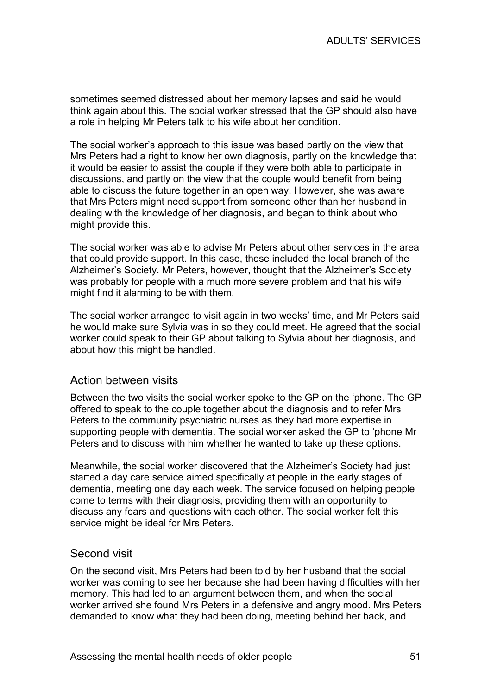sometimes seemed distressed about her memory lapses and said he would think again about this. The social worker stressed that the GP should also have a role in helping Mr Peters talk to his wife about her condition.

The social worker's approach to this issue was based partly on the view that Mrs Peters had a right to know her own diagnosis, partly on the knowledge that it would be easier to assist the couple if they were both able to participate in discussions, and partly on the view that the couple would benefit from being able to discuss the future together in an open way. However, she was aware that Mrs Peters might need support from someone other than her husband in dealing with the knowledge of her diagnosis, and began to think about who might provide this.

The social worker was able to advise Mr Peters about other services in the area that could provide support. In this case, these included the local branch of the Alzheimer's Society. Mr Peters, however, thought that the Alzheimer's Society was probably for people with a much more severe problem and that his wife might find it alarming to be with them.

The social worker arranged to visit again in two weeks' time, and Mr Peters said he would make sure Sylvia was in so they could meet. He agreed that the social worker could speak to their GP about talking to Sylvia about her diagnosis, and about how this might be handled.

### Action between visits

Between the two visits the social worker spoke to the GP on the 'phone. The GP offered to speak to the couple together about the diagnosis and to refer Mrs Peters to the community psychiatric nurses as they had more expertise in supporting people with dementia. The social worker asked the GP to 'phone Mr Peters and to discuss with him whether he wanted to take up these options.

Meanwhile, the social worker discovered that the Alzheimer's Society had just started a day care service aimed specifically at people in the early stages of dementia, meeting one day each week. The service focused on helping people come to terms with their diagnosis, providing them with an opportunity to discuss any fears and questions with each other. The social worker felt this service might be ideal for Mrs Peters.

### Second visit

On the second visit, Mrs Peters had been told by her husband that the social worker was coming to see her because she had been having difficulties with her memory. This had led to an argument between them, and when the social worker arrived she found Mrs Peters in a defensive and angry mood. Mrs Peters demanded to know what they had been doing, meeting behind her back, and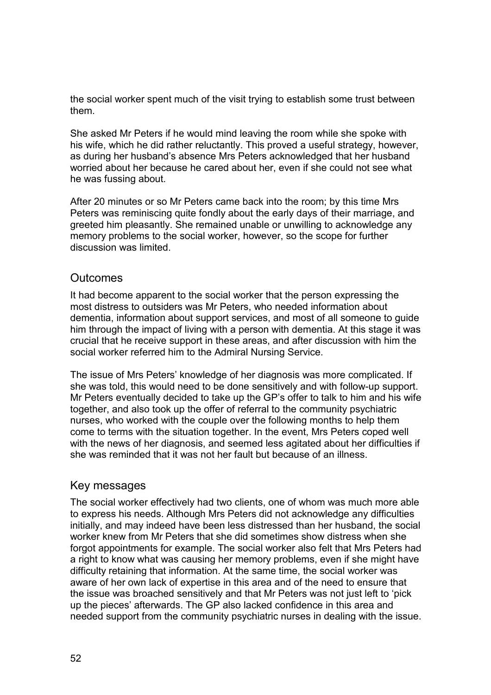the social worker spent much of the visit trying to establish some trust between them.

She asked Mr Peters if he would mind leaving the room while she spoke with his wife, which he did rather reluctantly. This proved a useful strategy, however, as during her husband's absence Mrs Peters acknowledged that her husband worried about her because he cared about her, even if she could not see what he was fussing about.

After 20 minutes or so Mr Peters came back into the room; by this time Mrs Peters was reminiscing quite fondly about the early days of their marriage, and greeted him pleasantly. She remained unable or unwilling to acknowledge any memory problems to the social worker, however, so the scope for further discussion was limited.

### Outcomes

It had become apparent to the social worker that the person expressing the most distress to outsiders was Mr Peters, who needed information about dementia, information about support services, and most of all someone to guide him through the impact of living with a person with dementia. At this stage it was crucial that he receive support in these areas, and after discussion with him the social worker referred him to the Admiral Nursing Service.

The issue of Mrs Peters' knowledge of her diagnosis was more complicated. If she was told, this would need to be done sensitively and with follow-up support. Mr Peters eventually decided to take up the GP's offer to talk to him and his wife together, and also took up the offer of referral to the community psychiatric nurses, who worked with the couple over the following months to help them come to terms with the situation together. In the event, Mrs Peters coped well with the news of her diagnosis, and seemed less agitated about her difficulties if she was reminded that it was not her fault but because of an illness.

### Key messages

The social worker effectively had two clients, one of whom was much more able to express his needs. Although Mrs Peters did not acknowledge any difficulties initially, and may indeed have been less distressed than her husband, the social worker knew from Mr Peters that she did sometimes show distress when she forgot appointments for example. The social worker also felt that Mrs Peters had a right to know what was causing her memory problems, even if she might have difficulty retaining that information. At the same time, the social worker was aware of her own lack of expertise in this area and of the need to ensure that the issue was broached sensitively and that Mr Peters was not just left to 'pick up the pieces' afterwards. The GP also lacked confidence in this area and needed support from the community psychiatric nurses in dealing with the issue.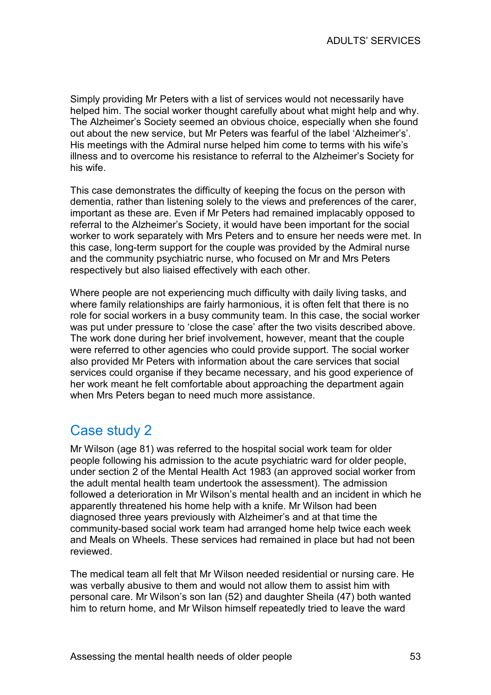Simply providing Mr Peters with a list of services would not necessarily have helped him. The social worker thought carefully about what might help and why. The Alzheimer's Society seemed an obvious choice, especially when she found out about the new service, but Mr Peters was fearful of the label 'Alzheimer's'. His meetings with the Admiral nurse helped him come to terms with his wife's illness and to overcome his resistance to referral to the Alzheimer's Society for his wife.

This case demonstrates the difficulty of keeping the focus on the person with dementia, rather than listening solely to the views and preferences of the carer, important as these are. Even if Mr Peters had remained implacably opposed to referral to the Alzheimer's Society, it would have been important for the social worker to work separately with Mrs Peters and to ensure her needs were met. In this case, long-term support for the couple was provided by the Admiral nurse and the community psychiatric nurse, who focused on Mr and Mrs Peters respectively but also liaised effectively with each other.

Where people are not experiencing much difficulty with daily living tasks, and where family relationships are fairly harmonious, it is often felt that there is no role for social workers in a busy community team. In this case, the social worker was put under pressure to 'close the case' after the two visits described above. The work done during her brief involvement, however, meant that the couple were referred to other agencies who could provide support. The social worker also provided Mr Peters with information about the care services that social services could organise if they became necessary, and his good experience of her work meant he felt comfortable about approaching the department again when Mrs Peters began to need much more assistance.

## Case study 2

Mr Wilson (age 81) was referred to the hospital social work team for older people following his admission to the acute psychiatric ward for older people, under section 2 of the Mental Health Act 1983 (an approved social worker from the adult mental health team undertook the assessment). The admission followed a deterioration in Mr Wilson's mental health and an incident in which he apparently threatened his home help with a knife. Mr Wilson had been diagnosed three years previously with Alzheimer's and at that time the community-based social work team had arranged home help twice each week and Meals on Wheels. These services had remained in place but had not been reviewed.

The medical team all felt that Mr Wilson needed residential or nursing care. He was verbally abusive to them and would not allow them to assist him with personal care. Mr Wilson's son Ian (52) and daughter Sheila (47) both wanted him to return home, and Mr Wilson himself repeatedly tried to leave the ward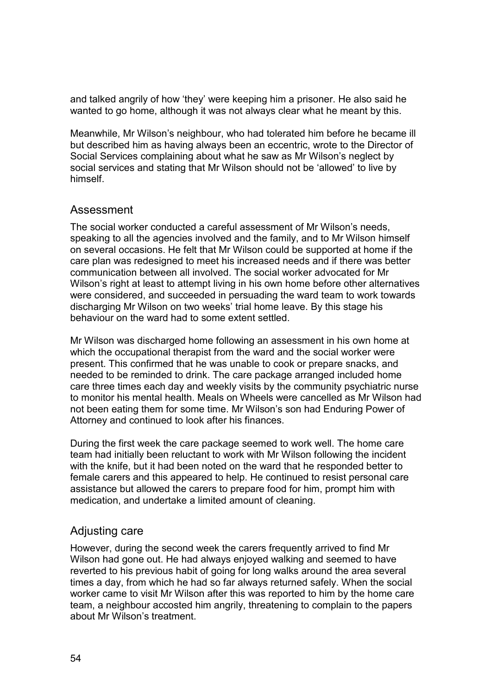and talked angrily of how 'they' were keeping him a prisoner. He also said he wanted to go home, although it was not always clear what he meant by this.

Meanwhile, Mr Wilson's neighbour, who had tolerated him before he became ill but described him as having always been an eccentric, wrote to the Director of Social Services complaining about what he saw as Mr Wilson's neglect by social services and stating that Mr Wilson should not be 'allowed' to live by himself.

## Assessment

The social worker conducted a careful assessment of Mr Wilson's needs, speaking to all the agencies involved and the family, and to Mr Wilson himself on several occasions. He felt that Mr Wilson could be supported at home if the care plan was redesigned to meet his increased needs and if there was better communication between all involved. The social worker advocated for Mr Wilson's right at least to attempt living in his own home before other alternatives were considered, and succeeded in persuading the ward team to work towards discharging Mr Wilson on two weeks' trial home leave. By this stage his behaviour on the ward had to some extent settled.

Mr Wilson was discharged home following an assessment in his own home at which the occupational therapist from the ward and the social worker were present. This confirmed that he was unable to cook or prepare snacks, and needed to be reminded to drink. The care package arranged included home care three times each day and weekly visits by the community psychiatric nurse to monitor his mental health. Meals on Wheels were cancelled as Mr Wilson had not been eating them for some time. Mr Wilson's son had Enduring Power of Attorney and continued to look after his finances.

During the first week the care package seemed to work well. The home care team had initially been reluctant to work with Mr Wilson following the incident with the knife, but it had been noted on the ward that he responded better to female carers and this appeared to help. He continued to resist personal care assistance but allowed the carers to prepare food for him, prompt him with medication, and undertake a limited amount of cleaning.

## Adjusting care

However, during the second week the carers frequently arrived to find Mr Wilson had gone out. He had always enjoyed walking and seemed to have reverted to his previous habit of going for long walks around the area several times a day, from which he had so far always returned safely. When the social worker came to visit Mr Wilson after this was reported to him by the home care team, a neighbour accosted him angrily, threatening to complain to the papers about Mr Wilson's treatment.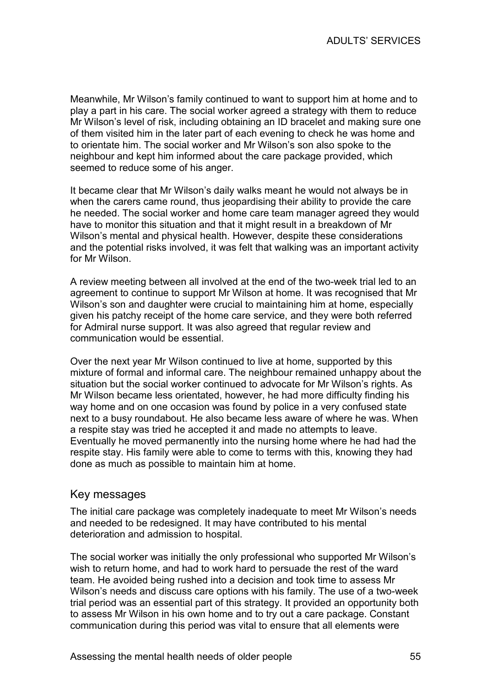Meanwhile, Mr Wilson's family continued to want to support him at home and to play a part in his care. The social worker agreed a strategy with them to reduce Mr Wilson's level of risk, including obtaining an ID bracelet and making sure one of them visited him in the later part of each evening to check he was home and to orientate him. The social worker and Mr Wilson's son also spoke to the neighbour and kept him informed about the care package provided, which seemed to reduce some of his anger.

It became clear that Mr Wilson's daily walks meant he would not always be in when the carers came round, thus jeopardising their ability to provide the care he needed. The social worker and home care team manager agreed they would have to monitor this situation and that it might result in a breakdown of Mr Wilson's mental and physical health. However, despite these considerations and the potential risks involved, it was felt that walking was an important activity for Mr Wilson.

A review meeting between all involved at the end of the two-week trial led to an agreement to continue to support Mr Wilson at home. It was recognised that Mr Wilson's son and daughter were crucial to maintaining him at home, especially given his patchy receipt of the home care service, and they were both referred for Admiral nurse support. It was also agreed that regular review and communication would be essential.

Over the next year Mr Wilson continued to live at home, supported by this mixture of formal and informal care. The neighbour remained unhappy about the situation but the social worker continued to advocate for Mr Wilson's rights. As Mr Wilson became less orientated, however, he had more difficulty finding his way home and on one occasion was found by police in a very confused state next to a busy roundabout. He also became less aware of where he was. When a respite stay was tried he accepted it and made no attempts to leave. Eventually he moved permanently into the nursing home where he had had the respite stay. His family were able to come to terms with this, knowing they had done as much as possible to maintain him at home.

### Key messages

The initial care package was completely inadequate to meet Mr Wilson's needs and needed to be redesigned. It may have contributed to his mental deterioration and admission to hospital.

The social worker was initially the only professional who supported Mr Wilson's wish to return home, and had to work hard to persuade the rest of the ward team. He avoided being rushed into a decision and took time to assess Mr Wilson's needs and discuss care options with his family. The use of a two-week trial period was an essential part of this strategy. It provided an opportunity both to assess Mr Wilson in his own home and to try out a care package. Constant communication during this period was vital to ensure that all elements were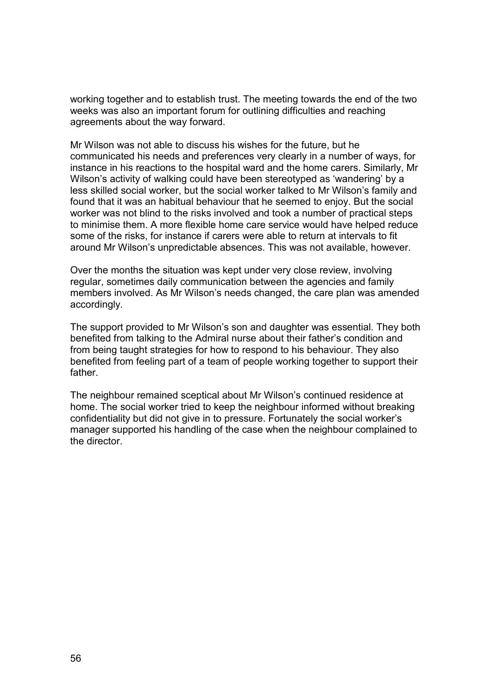working together and to establish trust. The meeting towards the end of the two weeks was also an important forum for outlining difficulties and reaching agreements about the way forward.

Mr Wilson was not able to discuss his wishes for the future, but he communicated his needs and preferences very clearly in a number of ways, for instance in his reactions to the hospital ward and the home carers. Similarly, Mr Wilson's activity of walking could have been stereotyped as 'wandering' by a less skilled social worker, but the social worker talked to Mr Wilson's family and found that it was an habitual behaviour that he seemed to enjoy. But the social worker was not blind to the risks involved and took a number of practical steps to minimise them. A more flexible home care service would have helped reduce some of the risks, for instance if carers were able to return at intervals to fit around Mr Wilson's unpredictable absences. This was not available, however.

Over the months the situation was kept under very close review, involving regular, sometimes daily communication between the agencies and family members involved. As Mr Wilson's needs changed, the care plan was amended accordingly.

The support provided to Mr Wilson's son and daughter was essential. They both benefited from talking to the Admiral nurse about their father's condition and from being taught strategies for how to respond to his behaviour. They also benefited from feeling part of a team of people working together to support their father.

The neighbour remained sceptical about Mr Wilson's continued residence at home. The social worker tried to keep the neighbour informed without breaking confidentiality but did not give in to pressure. Fortunately the social worker's manager supported his handling of the case when the neighbour complained to the director.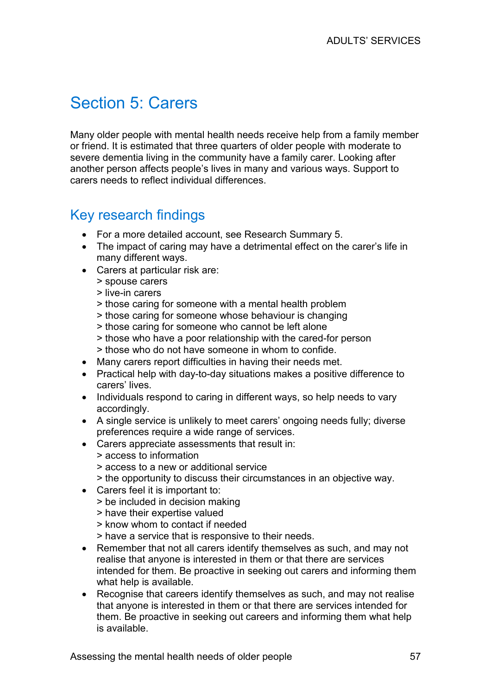# Section 5: Carers

Many older people with mental health needs receive help from a family member or friend. It is estimated that three quarters of older people with moderate to severe dementia living in the community have a family carer. Looking after another person affects people's lives in many and various ways. Support to carers needs to reflect individual differences.

## Key research findings

- For a more detailed account, see Research Summary 5.
- The impact of caring may have a detrimental effect on the carer's life in many different ways.
- Carers at particular risk are:
	- > spouse carers
	- > live-in carers
	- > those caring for someone with a mental health problem
	- > those caring for someone whose behaviour is changing
	- > those caring for someone who cannot be left alone
	- > those who have a poor relationship with the cared-for person > those who do not have someone in whom to confide.
- Many carers report difficulties in having their needs met.
- Practical help with day-to-day situations makes a positive difference to carers' lives.
- Individuals respond to caring in different ways, so help needs to vary accordingly.
- A single service is unlikely to meet carers' ongoing needs fully; diverse preferences require a wide range of services.
- Carers appreciate assessments that result in: > access to information
	- > access to a new or additional service
	- > the opportunity to discuss their circumstances in an objective way.
- Carers feel it is important to:
	- > be included in decision making
	- > have their expertise valued
	- > know whom to contact if needed
	- > have a service that is responsive to their needs.
- Remember that not all carers identify themselves as such, and may not realise that anyone is interested in them or that there are services intended for them. Be proactive in seeking out carers and informing them what help is available.
- Recognise that careers identify themselves as such, and may not realise that anyone is interested in them or that there are services intended for them. Be proactive in seeking out careers and informing them what help is available.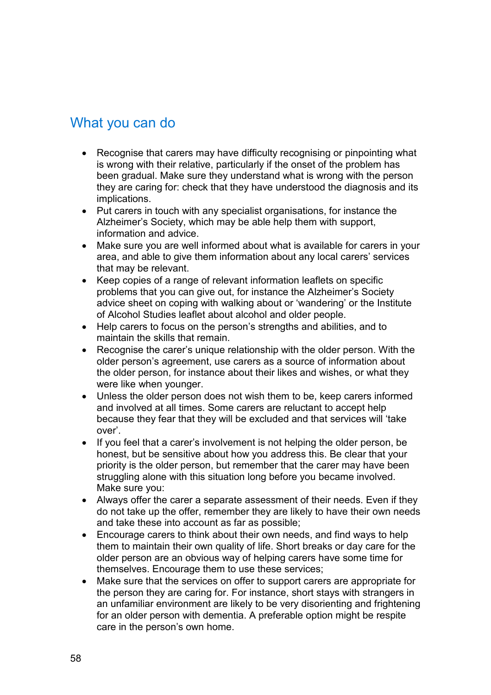## What you can do

- Recognise that carers may have difficulty recognising or pinpointing what is wrong with their relative, particularly if the onset of the problem has been gradual. Make sure they understand what is wrong with the person they are caring for: check that they have understood the diagnosis and its implications.
- Put carers in touch with any specialist organisations, for instance the Alzheimer's Society, which may be able help them with support, information and advice.
- Make sure you are well informed about what is available for carers in your area, and able to give them information about any local carers' services that may be relevant.
- Keep copies of a range of relevant information leaflets on specific problems that you can give out, for instance the Alzheimer's Society advice sheet on coping with walking about or 'wandering' or the Institute of Alcohol Studies leaflet about alcohol and older people.
- Help carers to focus on the person's strengths and abilities, and to maintain the skills that remain.
- Recognise the carer's unique relationship with the older person. With the older person's agreement, use carers as a source of information about the older person, for instance about their likes and wishes, or what they were like when younger.
- Unless the older person does not wish them to be, keep carers informed and involved at all times. Some carers are reluctant to accept help because they fear that they will be excluded and that services will 'take over'.
- If you feel that a carer's involvement is not helping the older person, be honest, but be sensitive about how you address this. Be clear that your priority is the older person, but remember that the carer may have been struggling alone with this situation long before you became involved. Make sure you:
- Always offer the carer a separate assessment of their needs. Even if they do not take up the offer, remember they are likely to have their own needs and take these into account as far as possible;
- Encourage carers to think about their own needs, and find ways to help them to maintain their own quality of life. Short breaks or day care for the older person are an obvious way of helping carers have some time for themselves. Encourage them to use these services;
- Make sure that the services on offer to support carers are appropriate for the person they are caring for. For instance, short stays with strangers in an unfamiliar environment are likely to be very disorienting and frightening for an older person with dementia. A preferable option might be respite care in the person's own home.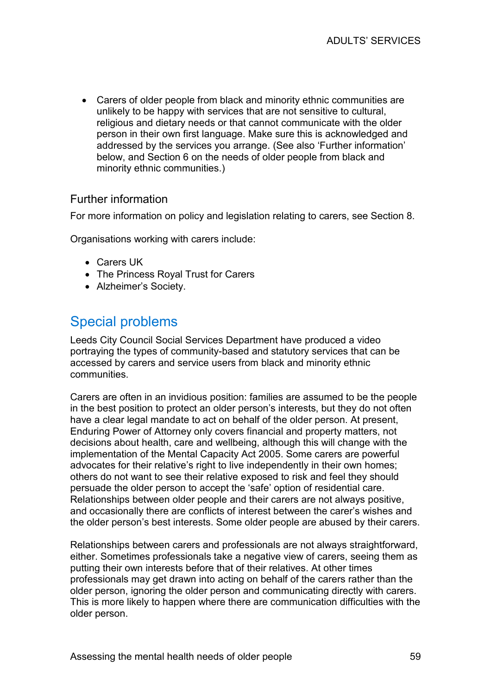• Carers of older people from black and minority ethnic communities are unlikely to be happy with services that are not sensitive to cultural, religious and dietary needs or that cannot communicate with the older person in their own first language. Make sure this is acknowledged and addressed by the services you arrange. (See also 'Further information' below, and Section 6 on the needs of older people from black and minority ethnic communities.)

## Further information

For more information on policy and legislation relating to carers, see Section 8.

Organisations working with carers include:

- Carers UK
- The Princess Royal Trust for Carers
- Alzheimer's Society.

# Special problems

Leeds City Council Social Services Department have produced a video portraying the types of community-based and statutory services that can be accessed by carers and service users from black and minority ethnic communities.

Carers are often in an invidious position: families are assumed to be the people in the best position to protect an older person's interests, but they do not often have a clear legal mandate to act on behalf of the older person. At present, Enduring Power of Attorney only covers financial and property matters, not decisions about health, care and wellbeing, although this will change with the implementation of the Mental Capacity Act 2005. Some carers are powerful advocates for their relative's right to live independently in their own homes; others do not want to see their relative exposed to risk and feel they should persuade the older person to accept the 'safe' option of residential care. Relationships between older people and their carers are not always positive, and occasionally there are conflicts of interest between the carer's wishes and the older person's best interests. Some older people are abused by their carers.

Relationships between carers and professionals are not always straightforward, either. Sometimes professionals take a negative view of carers, seeing them as putting their own interests before that of their relatives. At other times professionals may get drawn into acting on behalf of the carers rather than the older person, ignoring the older person and communicating directly with carers. This is more likely to happen where there are communication difficulties with the older person.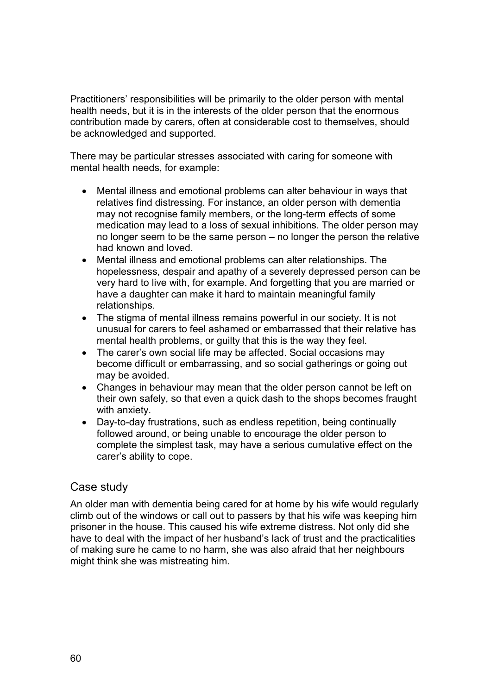Practitioners' responsibilities will be primarily to the older person with mental health needs, but it is in the interests of the older person that the enormous contribution made by carers, often at considerable cost to themselves, should be acknowledged and supported.

There may be particular stresses associated with caring for someone with mental health needs, for example:

- Mental illness and emotional problems can alter behaviour in ways that relatives find distressing. For instance, an older person with dementia may not recognise family members, or the long-term effects of some medication may lead to a loss of sexual inhibitions. The older person may no longer seem to be the same person – no longer the person the relative had known and loved.
- Mental illness and emotional problems can alter relationships. The hopelessness, despair and apathy of a severely depressed person can be very hard to live with, for example. And forgetting that you are married or have a daughter can make it hard to maintain meaningful family relationships.
- The stigma of mental illness remains powerful in our society. It is not unusual for carers to feel ashamed or embarrassed that their relative has mental health problems, or guilty that this is the way they feel.
- The carer's own social life may be affected. Social occasions may become difficult or embarrassing, and so social gatherings or going out may be avoided.
- Changes in behaviour may mean that the older person cannot be left on their own safely, so that even a quick dash to the shops becomes fraught with anxiety.
- Day-to-day frustrations, such as endless repetition, being continually followed around, or being unable to encourage the older person to complete the simplest task, may have a serious cumulative effect on the carer's ability to cope.

## Case study

An older man with dementia being cared for at home by his wife would regularly climb out of the windows or call out to passers by that his wife was keeping him prisoner in the house. This caused his wife extreme distress. Not only did she have to deal with the impact of her husband's lack of trust and the practicalities of making sure he came to no harm, she was also afraid that her neighbours might think she was mistreating him.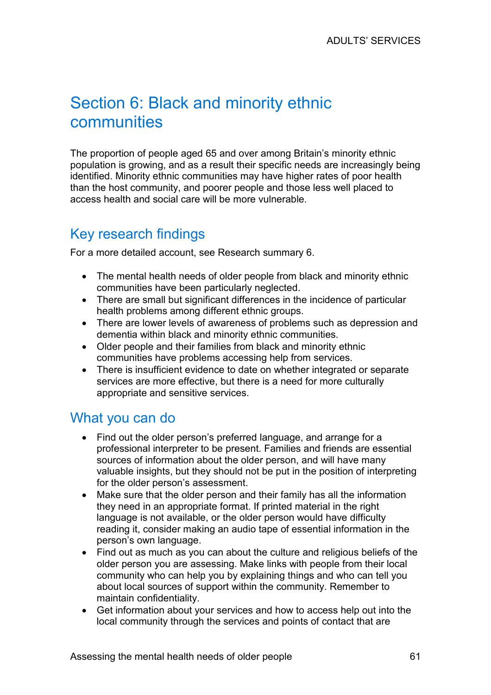# Section 6: Black and minority ethnic communities

The proportion of people aged 65 and over among Britain's minority ethnic population is growing, and as a result their specific needs are increasingly being identified. Minority ethnic communities may have higher rates of poor health than the host community, and poorer people and those less well placed to access health and social care will be more vulnerable.

## Key research findings

For a more detailed account, see Research summary 6.

- The mental health needs of older people from black and minority ethnic communities have been particularly neglected.
- There are small but significant differences in the incidence of particular health problems among different ethnic groups.
- There are lower levels of awareness of problems such as depression and dementia within black and minority ethnic communities.
- Older people and their families from black and minority ethnic communities have problems accessing help from services.
- There is insufficient evidence to date on whether integrated or separate services are more effective, but there is a need for more culturally appropriate and sensitive services.

## What you can do

- Find out the older person's preferred language, and arrange for a professional interpreter to be present. Families and friends are essential sources of information about the older person, and will have many valuable insights, but they should not be put in the position of interpreting for the older person's assessment.
- Make sure that the older person and their family has all the information they need in an appropriate format. If printed material in the right language is not available, or the older person would have difficulty reading it, consider making an audio tape of essential information in the person's own language.
- Find out as much as you can about the culture and religious beliefs of the older person you are assessing. Make links with people from their local community who can help you by explaining things and who can tell you about local sources of support within the community. Remember to maintain confidentiality.
- Get information about your services and how to access help out into the local community through the services and points of contact that are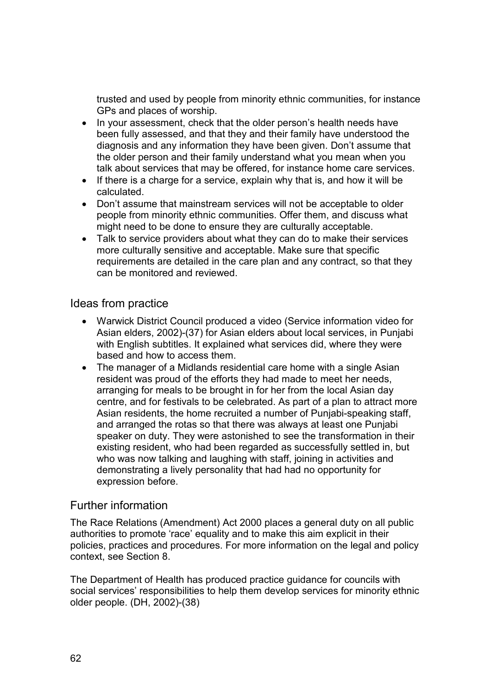trusted and used by people from minority ethnic communities, for instance GPs and places of worship.

- In your assessment, check that the older person's health needs have been fully assessed, and that they and their family have understood the diagnosis and any information they have been given. Don't assume that the older person and their family understand what you mean when you talk about services that may be offered, for instance home care services.
- If there is a charge for a service, explain why that is, and how it will be calculated.
- Don't assume that mainstream services will not be acceptable to older people from minority ethnic communities. Offer them, and discuss what might need to be done to ensure they are culturally acceptable.
- Talk to service providers about what they can do to make their services more culturally sensitive and acceptable. Make sure that specific requirements are detailed in the care plan and any contract, so that they can be monitored and reviewed.

### Ideas from practice

- Warwick District Council produced a video (Service information video for Asian elders, 2002)-(37) for Asian elders about local services, in Punjabi with English subtitles. It explained what services did, where they were based and how to access them.
- The manager of a Midlands residential care home with a single Asian resident was proud of the efforts they had made to meet her needs, arranging for meals to be brought in for her from the local Asian day centre, and for festivals to be celebrated. As part of a plan to attract more Asian residents, the home recruited a number of Punjabi-speaking staff, and arranged the rotas so that there was always at least one Punjabi speaker on duty. They were astonished to see the transformation in their existing resident, who had been regarded as successfully settled in, but who was now talking and laughing with staff, joining in activities and demonstrating a lively personality that had had no opportunity for expression before.

### Further information

The Race Relations (Amendment) Act 2000 places a general duty on all public authorities to promote 'race' equality and to make this aim explicit in their policies, practices and procedures. For more information on the legal and policy context, see Section 8.

The Department of Health has produced practice guidance for councils with social services' responsibilities to help them develop services for minority ethnic older people. (DH, 2002)-(38)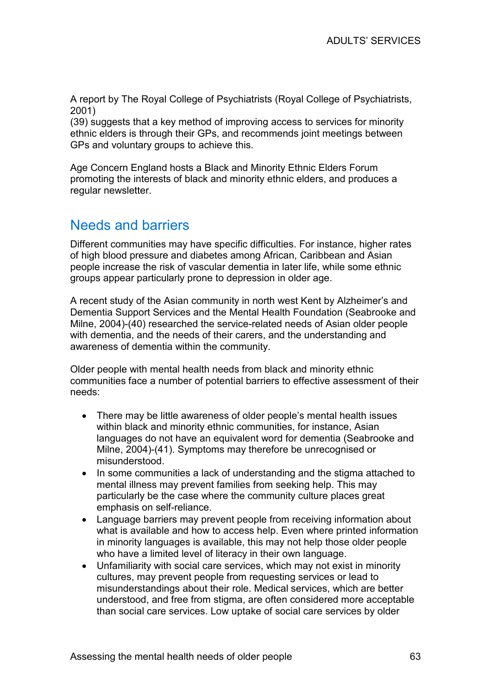A report by The Royal College of Psychiatrists (Royal College of Psychiatrists, 2001)

(39) suggests that a key method of improving access to services for minority ethnic elders is through their GPs, and recommends joint meetings between GPs and voluntary groups to achieve this.

Age Concern England hosts a Black and Minority Ethnic Elders Forum promoting the interests of black and minority ethnic elders, and produces a regular newsletter.

# Needs and barriers

Different communities may have specific difficulties. For instance, higher rates of high blood pressure and diabetes among African, Caribbean and Asian people increase the risk of vascular dementia in later life, while some ethnic groups appear particularly prone to depression in older age.

A recent study of the Asian community in north west Kent by Alzheimer's and Dementia Support Services and the Mental Health Foundation (Seabrooke and Milne, 2004)-(40) researched the service-related needs of Asian older people with dementia, and the needs of their carers, and the understanding and awareness of dementia within the community.

Older people with mental health needs from black and minority ethnic communities face a number of potential barriers to effective assessment of their needs:

- There may be little awareness of older people's mental health issues within black and minority ethnic communities, for instance, Asian languages do not have an equivalent word for dementia (Seabrooke and Milne, 2004)-(41). Symptoms may therefore be unrecognised or misunderstood.
- In some communities a lack of understanding and the stigma attached to mental illness may prevent families from seeking help. This may particularly be the case where the community culture places great emphasis on self-reliance.
- Language barriers may prevent people from receiving information about what is available and how to access help. Even where printed information in minority languages is available, this may not help those older people who have a limited level of literacy in their own language.
- Unfamiliarity with social care services, which may not exist in minority cultures, may prevent people from requesting services or lead to misunderstandings about their role. Medical services, which are better understood, and free from stigma, are often considered more acceptable than social care services. Low uptake of social care services by older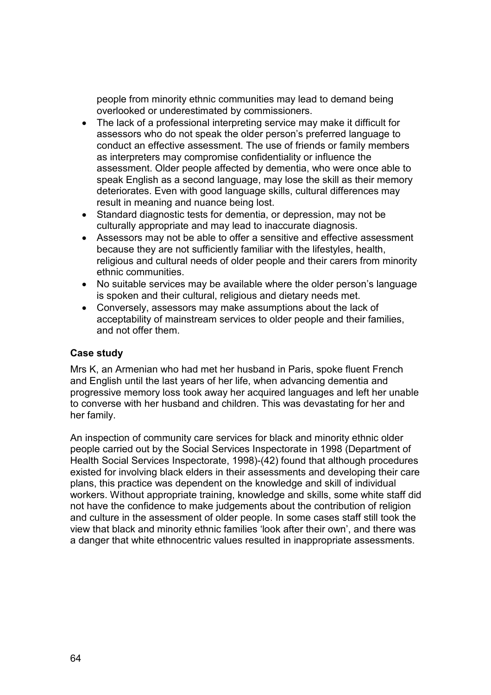people from minority ethnic communities may lead to demand being overlooked or underestimated by commissioners.

- The lack of a professional interpreting service may make it difficult for assessors who do not speak the older person's preferred language to conduct an effective assessment. The use of friends or family members as interpreters may compromise confidentiality or influence the assessment. Older people affected by dementia, who were once able to speak English as a second language, may lose the skill as their memory deteriorates. Even with good language skills, cultural differences may result in meaning and nuance being lost.
- Standard diagnostic tests for dementia, or depression, may not be culturally appropriate and may lead to inaccurate diagnosis.
- Assessors may not be able to offer a sensitive and effective assessment because they are not sufficiently familiar with the lifestyles, health, religious and cultural needs of older people and their carers from minority ethnic communities.
- No suitable services may be available where the older person's language is spoken and their cultural, religious and dietary needs met.
- Conversely, assessors may make assumptions about the lack of acceptability of mainstream services to older people and their families, and not offer them.

### Case study

Mrs K, an Armenian who had met her husband in Paris, spoke fluent French and English until the last years of her life, when advancing dementia and progressive memory loss took away her acquired languages and left her unable to converse with her husband and children. This was devastating for her and her family.

An inspection of community care services for black and minority ethnic older people carried out by the Social Services Inspectorate in 1998 (Department of Health Social Services Inspectorate, 1998)-(42) found that although procedures existed for involving black elders in their assessments and developing their care plans, this practice was dependent on the knowledge and skill of individual workers. Without appropriate training, knowledge and skills, some white staff did not have the confidence to make judgements about the contribution of religion and culture in the assessment of older people. In some cases staff still took the view that black and minority ethnic families 'look after their own', and there was a danger that white ethnocentric values resulted in inappropriate assessments.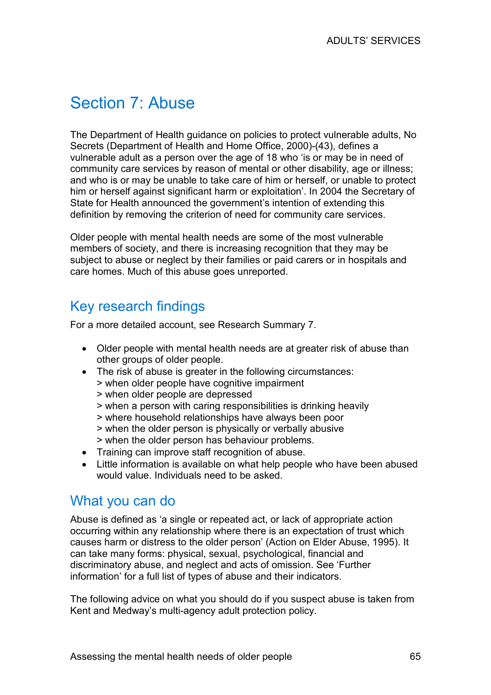# Section 7: Abuse

The Department of Health guidance on policies to protect vulnerable adults, No Secrets (Department of Health and Home Office, 2000)-(43), defines a vulnerable adult as a person over the age of 18 who 'is or may be in need of community care services by reason of mental or other disability, age or illness; and who is or may be unable to take care of him or herself, or unable to protect him or herself against significant harm or exploitation'. In 2004 the Secretary of State for Health announced the government's intention of extending this definition by removing the criterion of need for community care services.

Older people with mental health needs are some of the most vulnerable members of society, and there is increasing recognition that they may be subject to abuse or neglect by their families or paid carers or in hospitals and care homes. Much of this abuse goes unreported.

## Key research findings

For a more detailed account, see Research Summary 7.

- Older people with mental health needs are at greater risk of abuse than other groups of older people.
- The risk of abuse is greater in the following circumstances:
	- > when older people have cognitive impairment
	- > when older people are depressed
	- > when a person with caring responsibilities is drinking heavily
	- > where household relationships have always been poor
	- > when the older person is physically or verbally abusive
	- > when the older person has behaviour problems.
- Training can improve staff recognition of abuse.
- Little information is available on what help people who have been abused would value. Individuals need to be asked.

## What you can do

Abuse is defined as 'a single or repeated act, or lack of appropriate action occurring within any relationship where there is an expectation of trust which causes harm or distress to the older person' (Action on Elder Abuse, 1995). It can take many forms: physical, sexual, psychological, financial and discriminatory abuse, and neglect and acts of omission. See 'Further information' for a full list of types of abuse and their indicators.

The following advice on what you should do if you suspect abuse is taken from Kent and Medway's multi-agency adult protection policy.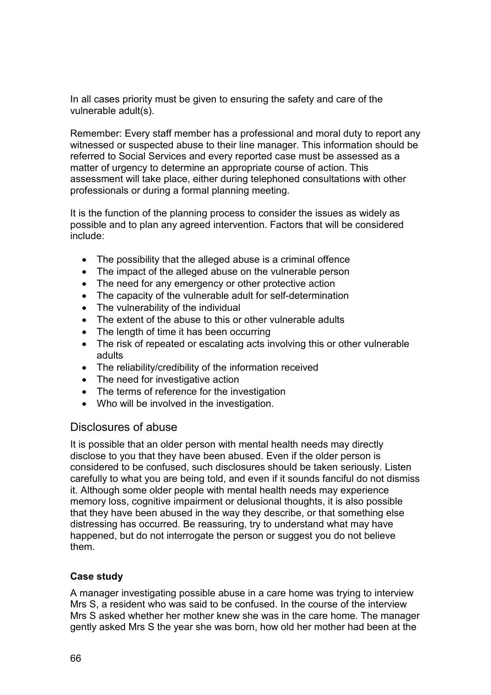In all cases priority must be given to ensuring the safety and care of the vulnerable adult(s).

Remember: Every staff member has a professional and moral duty to report any witnessed or suspected abuse to their line manager. This information should be referred to Social Services and every reported case must be assessed as a matter of urgency to determine an appropriate course of action. This assessment will take place, either during telephoned consultations with other professionals or during a formal planning meeting.

It is the function of the planning process to consider the issues as widely as possible and to plan any agreed intervention. Factors that will be considered include:

- The possibility that the alleged abuse is a criminal offence
- The impact of the alleged abuse on the vulnerable person
- The need for any emergency or other protective action
- The capacity of the vulnerable adult for self-determination
- The vulnerability of the individual
- The extent of the abuse to this or other vulnerable adults
- The length of time it has been occurring
- The risk of repeated or escalating acts involving this or other vulnerable adults
- The reliability/credibility of the information received
- The need for investigative action
- The terms of reference for the investigation
- Who will be involved in the investigation.

## Disclosures of abuse

It is possible that an older person with mental health needs may directly disclose to you that they have been abused. Even if the older person is considered to be confused, such disclosures should be taken seriously. Listen carefully to what you are being told, and even if it sounds fanciful do not dismiss it. Although some older people with mental health needs may experience memory loss, cognitive impairment or delusional thoughts, it is also possible that they have been abused in the way they describe, or that something else distressing has occurred. Be reassuring, try to understand what may have happened, but do not interrogate the person or suggest you do not believe them.

### Case study

A manager investigating possible abuse in a care home was trying to interview Mrs S, a resident who was said to be confused. In the course of the interview Mrs S asked whether her mother knew she was in the care home. The manager gently asked Mrs S the year she was born, how old her mother had been at the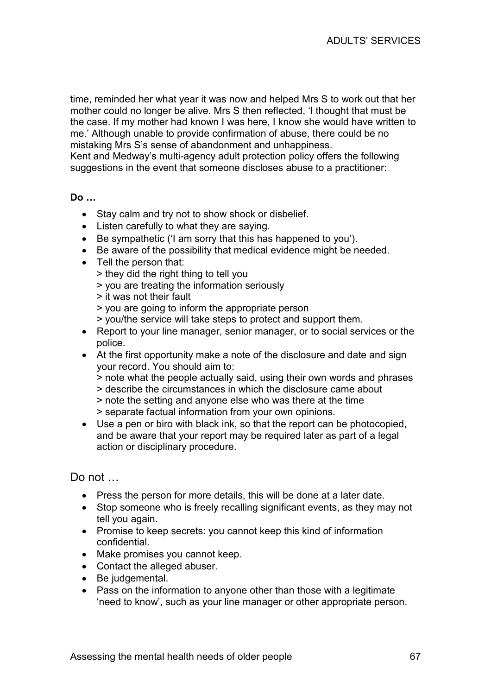time, reminded her what year it was now and helped Mrs S to work out that her mother could no longer be alive. Mrs S then reflected, 'I thought that must be the case. If my mother had known I was here, I know she would have written to me.' Although unable to provide confirmation of abuse, there could be no mistaking Mrs S's sense of abandonment and unhappiness.

Kent and Medway's multi-agency adult protection policy offers the following suggestions in the event that someone discloses abuse to a practitioner:

#### Do …

- Stay calm and try not to show shock or disbelief.
- Listen carefully to what they are saying.
- Be sympathetic ('I am sorry that this has happened to you').
- Be aware of the possibility that medical evidence might be needed.
- Tell the person that:
	- > they did the right thing to tell you
	- > you are treating the information seriously
	- > it was not their fault
	- > you are going to inform the appropriate person
	- > you/the service will take steps to protect and support them.
- Report to your line manager, senior manager, or to social services or the police.
- At the first opportunity make a note of the disclosure and date and sign your record. You should aim to:
	- > note what the people actually said, using their own words and phrases
	- > describe the circumstances in which the disclosure came about
	- > note the setting and anyone else who was there at the time
	- > separate factual information from your own opinions.
- Use a pen or biro with black ink, so that the report can be photocopied, and be aware that your report may be required later as part of a legal action or disciplinary procedure.

Do not …

- Press the person for more details, this will be done at a later date.
- Stop someone who is freely recalling significant events, as they may not tell you again.
- Promise to keep secrets: you cannot keep this kind of information confidential.
- Make promises you cannot keep.
- Contact the alleged abuser.
- Be judgemental.
- Pass on the information to anyone other than those with a legitimate 'need to know', such as your line manager or other appropriate person.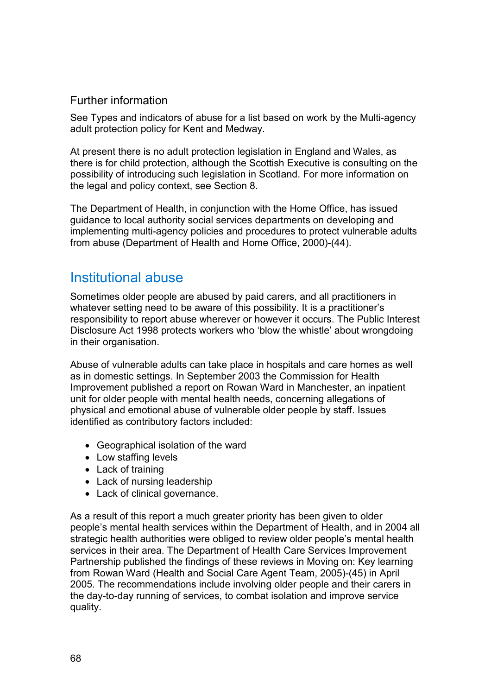#### Further information

See Types and indicators of abuse for a list based on work by the Multi-agency adult protection policy for Kent and Medway.

At present there is no adult protection legislation in England and Wales, as there is for child protection, although the Scottish Executive is consulting on the possibility of introducing such legislation in Scotland. For more information on the legal and policy context, see Section 8.

The Department of Health, in conjunction with the Home Office, has issued guidance to local authority social services departments on developing and implementing multi-agency policies and procedures to protect vulnerable adults from abuse (Department of Health and Home Office, 2000)-(44).

# Institutional abuse

Sometimes older people are abused by paid carers, and all practitioners in whatever setting need to be aware of this possibility. It is a practitioner's responsibility to report abuse wherever or however it occurs. The Public Interest Disclosure Act 1998 protects workers who 'blow the whistle' about wrongdoing in their organisation.

Abuse of vulnerable adults can take place in hospitals and care homes as well as in domestic settings. In September 2003 the Commission for Health Improvement published a report on Rowan Ward in Manchester, an inpatient unit for older people with mental health needs, concerning allegations of physical and emotional abuse of vulnerable older people by staff. Issues identified as contributory factors included:

- Geographical isolation of the ward
- Low staffing levels
- Lack of training
- Lack of nursing leadership
- Lack of clinical governance.

As a result of this report a much greater priority has been given to older people's mental health services within the Department of Health, and in 2004 all strategic health authorities were obliged to review older people's mental health services in their area. The Department of Health Care Services Improvement Partnership published the findings of these reviews in Moving on: Key learning from Rowan Ward (Health and Social Care Agent Team, 2005)-(45) in April 2005. The recommendations include involving older people and their carers in the day-to-day running of services, to combat isolation and improve service quality.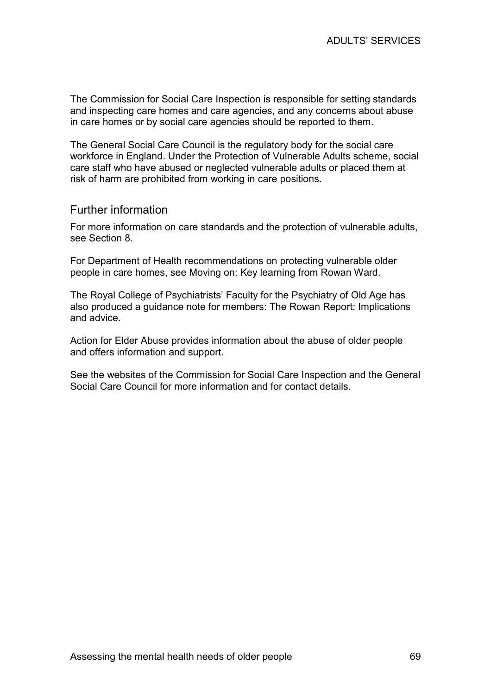The Commission for Social Care Inspection is responsible for setting standards and inspecting care homes and care agencies, and any concerns about abuse in care homes or by social care agencies should be reported to them.

The General Social Care Council is the regulatory body for the social care workforce in England. Under the Protection of Vulnerable Adults scheme, social care staff who have abused or neglected vulnerable adults or placed them at risk of harm are prohibited from working in care positions.

#### Further information

For more information on care standards and the protection of vulnerable adults, see Section 8.

For Department of Health recommendations on protecting vulnerable older people in care homes, see Moving on: Key learning from Rowan Ward.

The Royal College of Psychiatrists' Faculty for the Psychiatry of Old Age has also produced a guidance note for members: The Rowan Report: Implications and advice.

Action for Elder Abuse provides information about the abuse of older people and offers information and support.

See the websites of the Commission for Social Care Inspection and the General Social Care Council for more information and for contact details.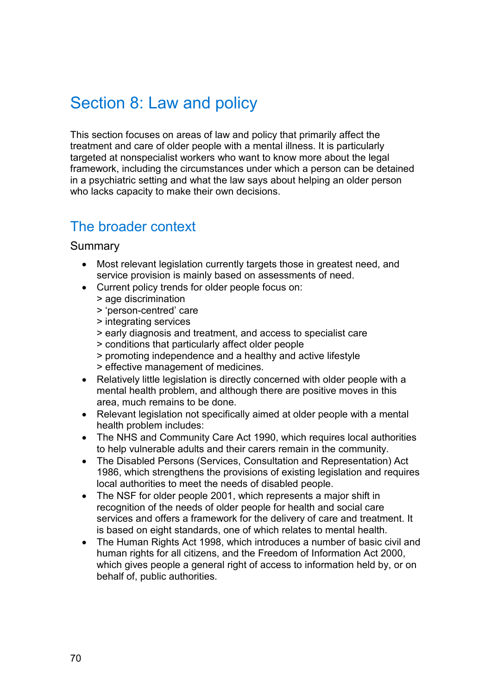# Section 8: Law and policy

This section focuses on areas of law and policy that primarily affect the treatment and care of older people with a mental illness. It is particularly targeted at nonspecialist workers who want to know more about the legal framework, including the circumstances under which a person can be detained in a psychiatric setting and what the law says about helping an older person who lacks capacity to make their own decisions.

# The broader context

#### **Summary**

- Most relevant legislation currently targets those in greatest need, and service provision is mainly based on assessments of need.
- Current policy trends for older people focus on:
	- > age discrimination
		- > 'person-centred' care
		- > integrating services
		- > early diagnosis and treatment, and access to specialist care
		- > conditions that particularly affect older people
		- > promoting independence and a healthy and active lifestyle
	- > effective management of medicines.
- Relatively little legislation is directly concerned with older people with a mental health problem, and although there are positive moves in this area, much remains to be done.
- Relevant legislation not specifically aimed at older people with a mental health problem includes:
- The NHS and Community Care Act 1990, which requires local authorities to help vulnerable adults and their carers remain in the community.
- The Disabled Persons (Services, Consultation and Representation) Act 1986, which strengthens the provisions of existing legislation and requires local authorities to meet the needs of disabled people.
- The NSF for older people 2001, which represents a major shift in recognition of the needs of older people for health and social care services and offers a framework for the delivery of care and treatment. It is based on eight standards, one of which relates to mental health.
- The Human Rights Act 1998, which introduces a number of basic civil and human rights for all citizens, and the Freedom of Information Act 2000, which gives people a general right of access to information held by, or on behalf of, public authorities.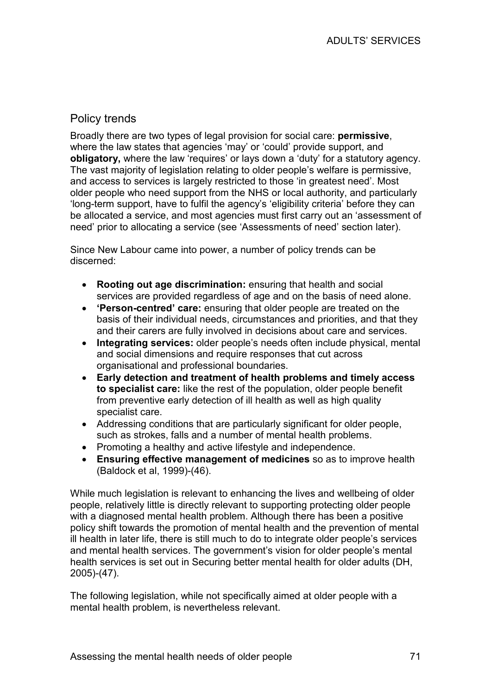# Policy trends

Broadly there are two types of legal provision for social care: permissive, where the law states that agencies 'may' or 'could' provide support, and obligatory, where the law 'requires' or lays down a 'duty' for a statutory agency. The vast majority of legislation relating to older people's welfare is permissive, and access to services is largely restricted to those 'in greatest need'. Most older people who need support from the NHS or local authority, and particularly 'long-term support, have to fulfil the agency's 'eligibility criteria' before they can be allocated a service, and most agencies must first carry out an 'assessment of need' prior to allocating a service (see 'Assessments of need' section later).

Since New Labour came into power, a number of policy trends can be discerned:

- Rooting out age discrimination: ensuring that health and social services are provided regardless of age and on the basis of need alone.
- 'Person-centred' care: ensuring that older people are treated on the basis of their individual needs, circumstances and priorities, and that they and their carers are fully involved in decisions about care and services.
- Integrating services: older people's needs often include physical, mental and social dimensions and require responses that cut across organisational and professional boundaries.
- Early detection and treatment of health problems and timely access to specialist care: like the rest of the population, older people benefit from preventive early detection of ill health as well as high quality specialist care.
- Addressing conditions that are particularly significant for older people, such as strokes, falls and a number of mental health problems.
- Promoting a healthy and active lifestyle and independence.
- Ensuring effective management of medicines so as to improve health (Baldock et al, 1999)-(46).

While much legislation is relevant to enhancing the lives and wellbeing of older people, relatively little is directly relevant to supporting protecting older people with a diagnosed mental health problem. Although there has been a positive policy shift towards the promotion of mental health and the prevention of mental ill health in later life, there is still much to do to integrate older people's services and mental health services. The government's vision for older people's mental health services is set out in Securing better mental health for older adults (DH, 2005)-(47).

The following legislation, while not specifically aimed at older people with a mental health problem, is nevertheless relevant.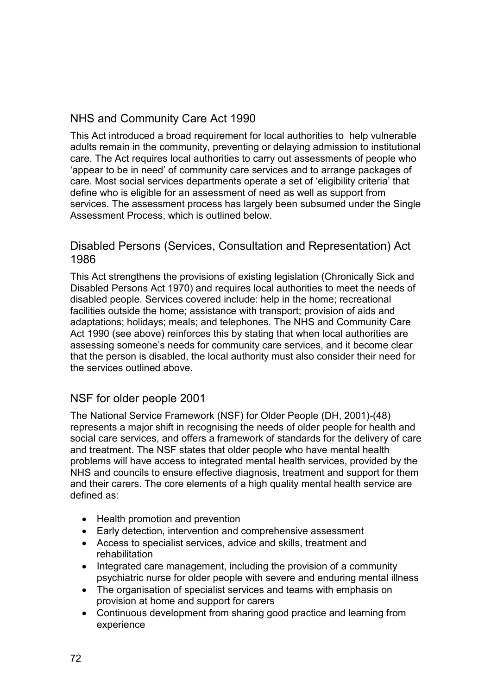# NHS and Community Care Act 1990

This Act introduced a broad requirement for local authorities to help vulnerable adults remain in the community, preventing or delaying admission to institutional care. The Act requires local authorities to carry out assessments of people who 'appear to be in need' of community care services and to arrange packages of care. Most social services departments operate a set of 'eligibility criteria' that define who is eligible for an assessment of need as well as support from services. The assessment process has largely been subsumed under the Single Assessment Process, which is outlined below.

#### Disabled Persons (Services, Consultation and Representation) Act 1986

This Act strengthens the provisions of existing legislation (Chronically Sick and Disabled Persons Act 1970) and requires local authorities to meet the needs of disabled people. Services covered include: help in the home; recreational facilities outside the home; assistance with transport; provision of aids and adaptations; holidays; meals; and telephones. The NHS and Community Care Act 1990 (see above) reinforces this by stating that when local authorities are assessing someone's needs for community care services, and it become clear that the person is disabled, the local authority must also consider their need for the services outlined above.

## NSF for older people 2001

The National Service Framework (NSF) for Older People (DH, 2001)-(48) represents a major shift in recognising the needs of older people for health and social care services, and offers a framework of standards for the delivery of care and treatment. The NSF states that older people who have mental health problems will have access to integrated mental health services, provided by the NHS and councils to ensure effective diagnosis, treatment and support for them and their carers. The core elements of a high quality mental health service are defined as:

- Health promotion and prevention
- Early detection, intervention and comprehensive assessment
- Access to specialist services, advice and skills, treatment and rehabilitation
- Integrated care management, including the provision of a community psychiatric nurse for older people with severe and enduring mental illness
- The organisation of specialist services and teams with emphasis on provision at home and support for carers
- Continuous development from sharing good practice and learning from experience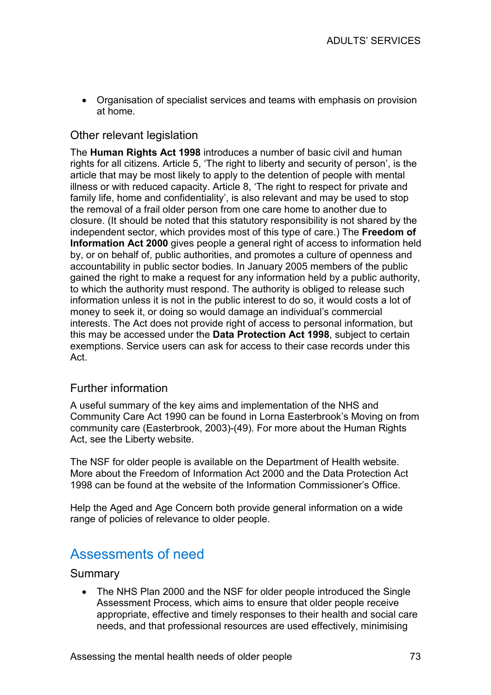• Organisation of specialist services and teams with emphasis on provision at home.

### Other relevant legislation

The Human Rights Act 1998 introduces a number of basic civil and human rights for all citizens. Article 5, 'The right to liberty and security of person', is the article that may be most likely to apply to the detention of people with mental illness or with reduced capacity. Article 8, 'The right to respect for private and family life, home and confidentiality', is also relevant and may be used to stop the removal of a frail older person from one care home to another due to closure. (It should be noted that this statutory responsibility is not shared by the independent sector, which provides most of this type of care.) The Freedom of Information Act 2000 gives people a general right of access to information held by, or on behalf of, public authorities, and promotes a culture of openness and accountability in public sector bodies. In January 2005 members of the public gained the right to make a request for any information held by a public authority, to which the authority must respond. The authority is obliged to release such information unless it is not in the public interest to do so, it would costs a lot of money to seek it, or doing so would damage an individual's commercial interests. The Act does not provide right of access to personal information, but this may be accessed under the Data Protection Act 1998, subject to certain exemptions. Service users can ask for access to their case records under this Act.

#### Further information

A useful summary of the key aims and implementation of the NHS and Community Care Act 1990 can be found in Lorna Easterbrook's Moving on from community care (Easterbrook, 2003)-(49). For more about the Human Rights Act, see the Liberty website.

The NSF for older people is available on the Department of Health website. More about the Freedom of Information Act 2000 and the Data Protection Act 1998 can be found at the website of the Information Commissioner's Office.

Help the Aged and Age Concern both provide general information on a wide range of policies of relevance to older people.

# Assessments of need

#### Summary

• The NHS Plan 2000 and the NSF for older people introduced the Single Assessment Process, which aims to ensure that older people receive appropriate, effective and timely responses to their health and social care needs, and that professional resources are used effectively, minimising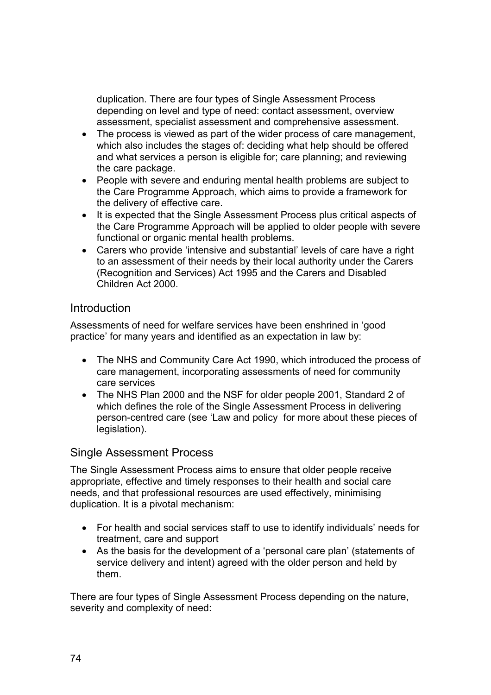duplication. There are four types of Single Assessment Process depending on level and type of need: contact assessment, overview assessment, specialist assessment and comprehensive assessment.

- The process is viewed as part of the wider process of care management, which also includes the stages of: deciding what help should be offered and what services a person is eligible for; care planning; and reviewing the care package.
- People with severe and enduring mental health problems are subject to the Care Programme Approach, which aims to provide a framework for the delivery of effective care.
- It is expected that the Single Assessment Process plus critical aspects of the Care Programme Approach will be applied to older people with severe functional or organic mental health problems.
- Carers who provide 'intensive and substantial' levels of care have a right to an assessment of their needs by their local authority under the Carers (Recognition and Services) Act 1995 and the Carers and Disabled Children Act 2000.

#### Introduction

Assessments of need for welfare services have been enshrined in 'good practice' for many years and identified as an expectation in law by:

- The NHS and Community Care Act 1990, which introduced the process of care management, incorporating assessments of need for community care services
- The NHS Plan 2000 and the NSF for older people 2001, Standard 2 of which defines the role of the Single Assessment Process in delivering person-centred care (see 'Law and policy for more about these pieces of legislation).

#### Single Assessment Process

The Single Assessment Process aims to ensure that older people receive appropriate, effective and timely responses to their health and social care needs, and that professional resources are used effectively, minimising duplication. It is a pivotal mechanism:

- For health and social services staff to use to identify individuals' needs for treatment, care and support
- As the basis for the development of a 'personal care plan' (statements of service delivery and intent) agreed with the older person and held by them.

There are four types of Single Assessment Process depending on the nature, severity and complexity of need: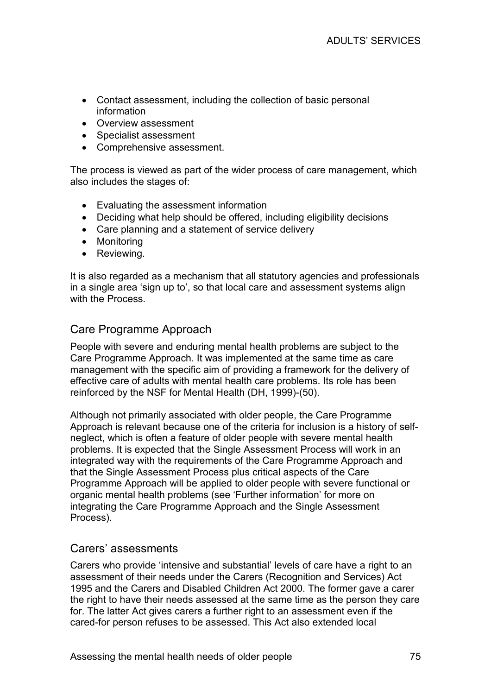- Contact assessment, including the collection of basic personal information
- Overview assessment
- Specialist assessment
- Comprehensive assessment.

The process is viewed as part of the wider process of care management, which also includes the stages of:

- Evaluating the assessment information
- Deciding what help should be offered, including eligibility decisions
- Care planning and a statement of service delivery
- Monitoring
- Reviewing.

It is also regarded as a mechanism that all statutory agencies and professionals in a single area 'sign up to', so that local care and assessment systems align with the Process.

### Care Programme Approach

People with severe and enduring mental health problems are subject to the Care Programme Approach. It was implemented at the same time as care management with the specific aim of providing a framework for the delivery of effective care of adults with mental health care problems. Its role has been reinforced by the NSF for Mental Health (DH, 1999)-(50).

Although not primarily associated with older people, the Care Programme Approach is relevant because one of the criteria for inclusion is a history of selfneglect, which is often a feature of older people with severe mental health problems. It is expected that the Single Assessment Process will work in an integrated way with the requirements of the Care Programme Approach and that the Single Assessment Process plus critical aspects of the Care Programme Approach will be applied to older people with severe functional or organic mental health problems (see 'Further information' for more on integrating the Care Programme Approach and the Single Assessment Process).

#### Carers' assessments

Carers who provide 'intensive and substantial' levels of care have a right to an assessment of their needs under the Carers (Recognition and Services) Act 1995 and the Carers and Disabled Children Act 2000. The former gave a carer the right to have their needs assessed at the same time as the person they care for. The latter Act gives carers a further right to an assessment even if the cared-for person refuses to be assessed. This Act also extended local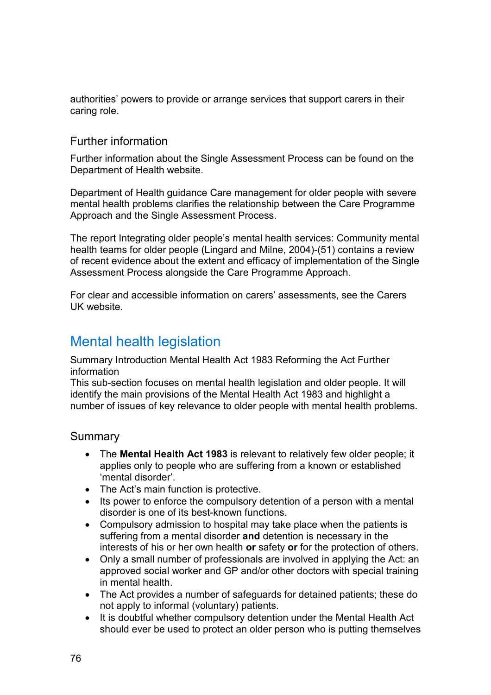authorities' powers to provide or arrange services that support carers in their caring role.

#### Further information

Further information about the Single Assessment Process can be found on the Department of Health website.

Department of Health guidance Care management for older people with severe mental health problems clarifies the relationship between the Care Programme Approach and the Single Assessment Process.

The report Integrating older people's mental health services: Community mental health teams for older people (Lingard and Milne, 2004)-(51) contains a review of recent evidence about the extent and efficacy of implementation of the Single Assessment Process alongside the Care Programme Approach.

For clear and accessible information on carers' assessments, see the Carers UK website.

# Mental health legislation

Summary Introduction Mental Health Act 1983 Reforming the Act Further information

This sub-section focuses on mental health legislation and older people. It will identify the main provisions of the Mental Health Act 1983 and highlight a number of issues of key relevance to older people with mental health problems.

#### Summary

- The Mental Health Act 1983 is relevant to relatively few older people; it applies only to people who are suffering from a known or established 'mental disorder'.
- The Act's main function is protective.
- Its power to enforce the compulsory detention of a person with a mental disorder is one of its best-known functions.
- Compulsory admission to hospital may take place when the patients is suffering from a mental disorder and detention is necessary in the interests of his or her own health or safety or for the protection of others.
- Only a small number of professionals are involved in applying the Act: an approved social worker and GP and/or other doctors with special training in mental health.
- The Act provides a number of safeguards for detained patients; these do not apply to informal (voluntary) patients.
- It is doubtful whether compulsory detention under the Mental Health Act should ever be used to protect an older person who is putting themselves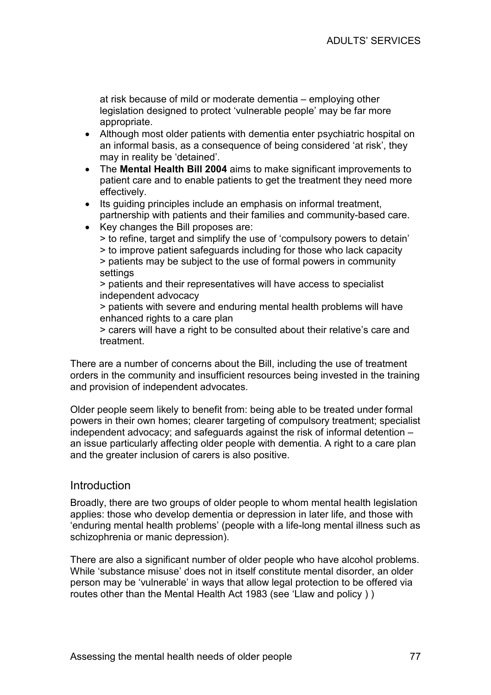at risk because of mild or moderate dementia – employing other legislation designed to protect 'vulnerable people' may be far more appropriate.

- Although most older patients with dementia enter psychiatric hospital on an informal basis, as a consequence of being considered 'at risk', they may in reality be 'detained'.
- The Mental Health Bill 2004 aims to make significant improvements to patient care and to enable patients to get the treatment they need more effectively.
- Its quiding principles include an emphasis on informal treatment, partnership with patients and their families and community-based care.
- Key changes the Bill proposes are:
	- > to refine, target and simplify the use of 'compulsory powers to detain'
	- > to improve patient safeguards including for those who lack capacity > patients may be subject to the use of formal powers in community **settings**

> patients and their representatives will have access to specialist independent advocacy

> patients with severe and enduring mental health problems will have enhanced rights to a care plan

> carers will have a right to be consulted about their relative's care and treatment.

There are a number of concerns about the Bill, including the use of treatment orders in the community and insufficient resources being invested in the training and provision of independent advocates.

Older people seem likely to benefit from: being able to be treated under formal powers in their own homes; clearer targeting of compulsory treatment; specialist independent advocacy; and safeguards against the risk of informal detention – an issue particularly affecting older people with dementia. A right to a care plan and the greater inclusion of carers is also positive.

#### Introduction

Broadly, there are two groups of older people to whom mental health legislation applies: those who develop dementia or depression in later life, and those with 'enduring mental health problems' (people with a life-long mental illness such as schizophrenia or manic depression).

There are also a significant number of older people who have alcohol problems. While 'substance misuse' does not in itself constitute mental disorder, an older person may be 'vulnerable' in ways that allow legal protection to be offered via routes other than the Mental Health Act 1983 (see 'Llaw and policy ) )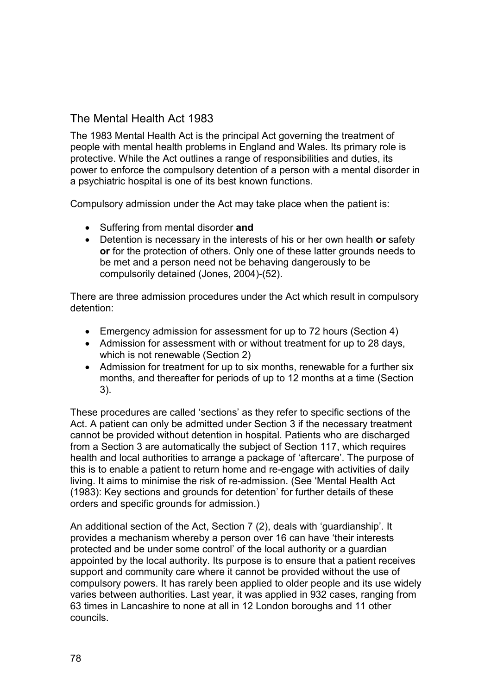## The Mental Health Act 1983

The 1983 Mental Health Act is the principal Act governing the treatment of people with mental health problems in England and Wales. Its primary role is protective. While the Act outlines a range of responsibilities and duties, its power to enforce the compulsory detention of a person with a mental disorder in a psychiatric hospital is one of its best known functions.

Compulsory admission under the Act may take place when the patient is:

- Suffering from mental disorder and
- Detention is necessary in the interests of his or her own health or safety or for the protection of others. Only one of these latter grounds needs to be met and a person need not be behaving dangerously to be compulsorily detained (Jones, 2004)-(52).

There are three admission procedures under the Act which result in compulsory detention:

- Emergency admission for assessment for up to 72 hours (Section 4)
- Admission for assessment with or without treatment for up to 28 days, which is not renewable (Section 2)
- Admission for treatment for up to six months, renewable for a further six months, and thereafter for periods of up to 12 months at a time (Section 3).

These procedures are called 'sections' as they refer to specific sections of the Act. A patient can only be admitted under Section 3 if the necessary treatment cannot be provided without detention in hospital. Patients who are discharged from a Section 3 are automatically the subject of Section 117, which requires health and local authorities to arrange a package of 'aftercare'. The purpose of this is to enable a patient to return home and re-engage with activities of daily living. It aims to minimise the risk of re-admission. (See 'Mental Health Act (1983): Key sections and grounds for detention' for further details of these orders and specific grounds for admission.)

An additional section of the Act, Section 7 (2), deals with 'guardianship'. It provides a mechanism whereby a person over 16 can have 'their interests protected and be under some control' of the local authority or a guardian appointed by the local authority. Its purpose is to ensure that a patient receives support and community care where it cannot be provided without the use of compulsory powers. It has rarely been applied to older people and its use widely varies between authorities. Last year, it was applied in 932 cases, ranging from 63 times in Lancashire to none at all in 12 London boroughs and 11 other councils.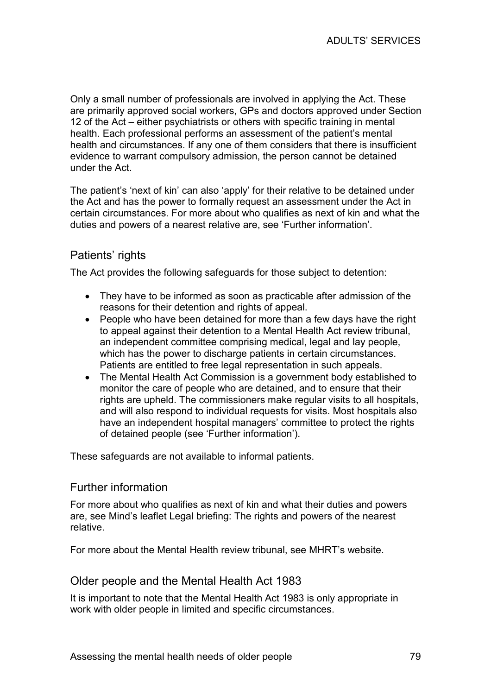Only a small number of professionals are involved in applying the Act. These are primarily approved social workers, GPs and doctors approved under Section 12 of the Act – either psychiatrists or others with specific training in mental health. Each professional performs an assessment of the patient's mental health and circumstances. If any one of them considers that there is insufficient evidence to warrant compulsory admission, the person cannot be detained under the Act.

The patient's 'next of kin' can also 'apply' for their relative to be detained under the Act and has the power to formally request an assessment under the Act in certain circumstances. For more about who qualifies as next of kin and what the duties and powers of a nearest relative are, see 'Further information'.

#### Patients' rights

The Act provides the following safeguards for those subject to detention:

- They have to be informed as soon as practicable after admission of the reasons for their detention and rights of appeal.
- People who have been detained for more than a few days have the right to appeal against their detention to a Mental Health Act review tribunal, an independent committee comprising medical, legal and lay people, which has the power to discharge patients in certain circumstances. Patients are entitled to free legal representation in such appeals.
- The Mental Health Act Commission is a government body established to monitor the care of people who are detained, and to ensure that their rights are upheld. The commissioners make regular visits to all hospitals, and will also respond to individual requests for visits. Most hospitals also have an independent hospital managers' committee to protect the rights of detained people (see 'Further information').

These safeguards are not available to informal patients.

#### Further information

For more about who qualifies as next of kin and what their duties and powers are, see Mind's leaflet Legal briefing: The rights and powers of the nearest relative.

For more about the Mental Health review tribunal, see MHRT's website.

#### Older people and the Mental Health Act 1983

It is important to note that the Mental Health Act 1983 is only appropriate in work with older people in limited and specific circumstances.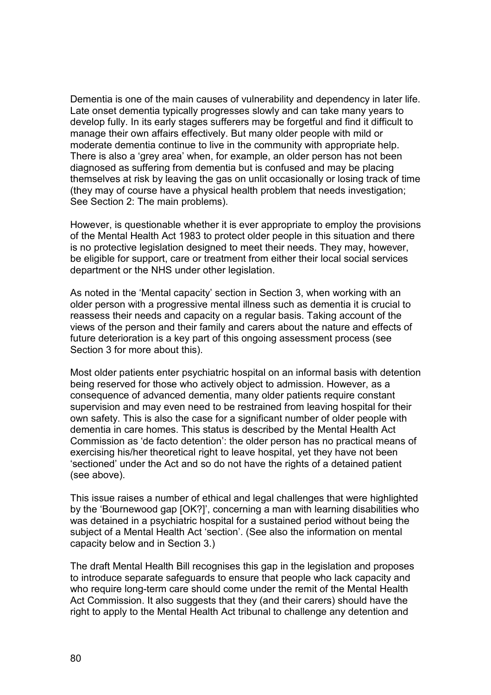Dementia is one of the main causes of vulnerability and dependency in later life. Late onset dementia typically progresses slowly and can take many years to develop fully. In its early stages sufferers may be forgetful and find it difficult to manage their own affairs effectively. But many older people with mild or moderate dementia continue to live in the community with appropriate help. There is also a 'grey area' when, for example, an older person has not been diagnosed as suffering from dementia but is confused and may be placing themselves at risk by leaving the gas on unlit occasionally or losing track of time (they may of course have a physical health problem that needs investigation; See Section 2: The main problems).

However, is questionable whether it is ever appropriate to employ the provisions of the Mental Health Act 1983 to protect older people in this situation and there is no protective legislation designed to meet their needs. They may, however, be eligible for support, care or treatment from either their local social services department or the NHS under other legislation.

As noted in the 'Mental capacity' section in Section 3, when working with an older person with a progressive mental illness such as dementia it is crucial to reassess their needs and capacity on a regular basis. Taking account of the views of the person and their family and carers about the nature and effects of future deterioration is a key part of this ongoing assessment process (see Section 3 for more about this).

Most older patients enter psychiatric hospital on an informal basis with detention being reserved for those who actively object to admission. However, as a consequence of advanced dementia, many older patients require constant supervision and may even need to be restrained from leaving hospital for their own safety. This is also the case for a significant number of older people with dementia in care homes. This status is described by the Mental Health Act Commission as 'de facto detention': the older person has no practical means of exercising his/her theoretical right to leave hospital, yet they have not been 'sectioned' under the Act and so do not have the rights of a detained patient (see above).

This issue raises a number of ethical and legal challenges that were highlighted by the 'Bournewood gap [OK?]', concerning a man with learning disabilities who was detained in a psychiatric hospital for a sustained period without being the subject of a Mental Health Act 'section'. (See also the information on mental capacity below and in Section 3.)

The draft Mental Health Bill recognises this gap in the legislation and proposes to introduce separate safeguards to ensure that people who lack capacity and who require long-term care should come under the remit of the Mental Health Act Commission. It also suggests that they (and their carers) should have the right to apply to the Mental Health Act tribunal to challenge any detention and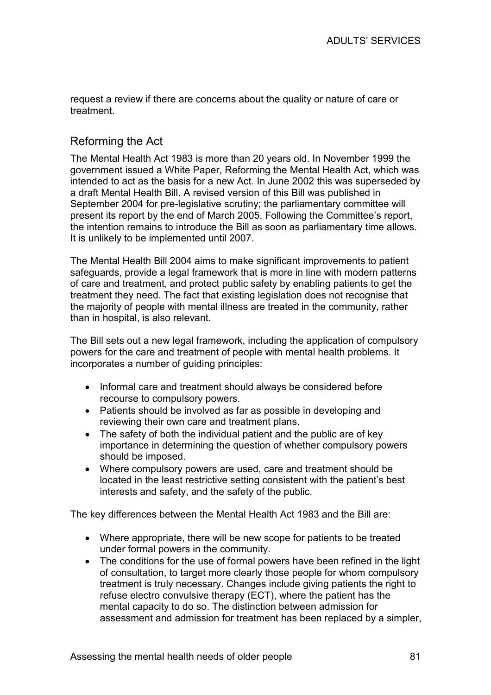request a review if there are concerns about the quality or nature of care or treatment.

#### Reforming the Act

The Mental Health Act 1983 is more than 20 years old. In November 1999 the government issued a White Paper, Reforming the Mental Health Act, which was intended to act as the basis for a new Act. In June 2002 this was superseded by a draft Mental Health Bill. A revised version of this Bill was published in September 2004 for pre-legislative scrutiny; the parliamentary committee will present its report by the end of March 2005. Following the Committee's report, the intention remains to introduce the Bill as soon as parliamentary time allows. It is unlikely to be implemented until 2007.

The Mental Health Bill 2004 aims to make significant improvements to patient safeguards, provide a legal framework that is more in line with modern patterns of care and treatment, and protect public safety by enabling patients to get the treatment they need. The fact that existing legislation does not recognise that the majority of people with mental illness are treated in the community, rather than in hospital, is also relevant.

The Bill sets out a new legal framework, including the application of compulsory powers for the care and treatment of people with mental health problems. It incorporates a number of guiding principles:

- Informal care and treatment should always be considered before recourse to compulsory powers.
- Patients should be involved as far as possible in developing and reviewing their own care and treatment plans.
- The safety of both the individual patient and the public are of key importance in determining the question of whether compulsory powers should be imposed.
- Where compulsory powers are used, care and treatment should be located in the least restrictive setting consistent with the patient's best interests and safety, and the safety of the public.

The key differences between the Mental Health Act 1983 and the Bill are:

- Where appropriate, there will be new scope for patients to be treated under formal powers in the community.
- The conditions for the use of formal powers have been refined in the light of consultation, to target more clearly those people for whom compulsory treatment is truly necessary. Changes include giving patients the right to refuse electro convulsive therapy (ECT), where the patient has the mental capacity to do so. The distinction between admission for assessment and admission for treatment has been replaced by a simpler,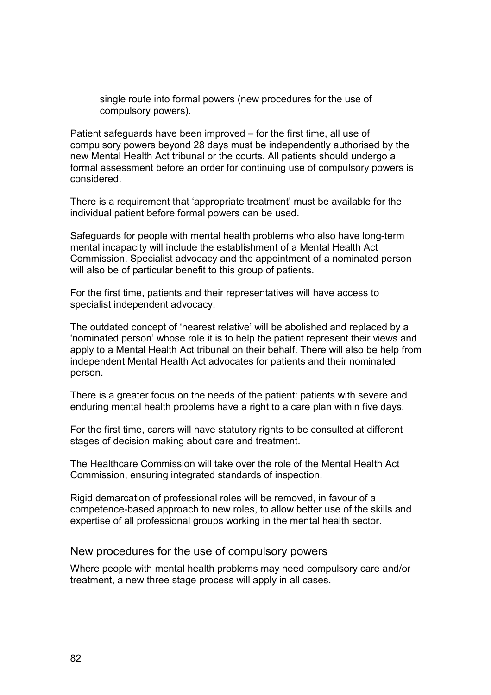single route into formal powers (new procedures for the use of compulsory powers).

Patient safeguards have been improved – for the first time, all use of compulsory powers beyond 28 days must be independently authorised by the new Mental Health Act tribunal or the courts. All patients should undergo a formal assessment before an order for continuing use of compulsory powers is considered.

There is a requirement that 'appropriate treatment' must be available for the individual patient before formal powers can be used.

Safeguards for people with mental health problems who also have long-term mental incapacity will include the establishment of a Mental Health Act Commission. Specialist advocacy and the appointment of a nominated person will also be of particular benefit to this group of patients.

For the first time, patients and their representatives will have access to specialist independent advocacy.

The outdated concept of 'nearest relative' will be abolished and replaced by a 'nominated person' whose role it is to help the patient represent their views and apply to a Mental Health Act tribunal on their behalf. There will also be help from independent Mental Health Act advocates for patients and their nominated person.

There is a greater focus on the needs of the patient: patients with severe and enduring mental health problems have a right to a care plan within five days.

For the first time, carers will have statutory rights to be consulted at different stages of decision making about care and treatment.

The Healthcare Commission will take over the role of the Mental Health Act Commission, ensuring integrated standards of inspection.

Rigid demarcation of professional roles will be removed, in favour of a competence-based approach to new roles, to allow better use of the skills and expertise of all professional groups working in the mental health sector.

#### New procedures for the use of compulsory powers

Where people with mental health problems may need compulsory care and/or treatment, a new three stage process will apply in all cases.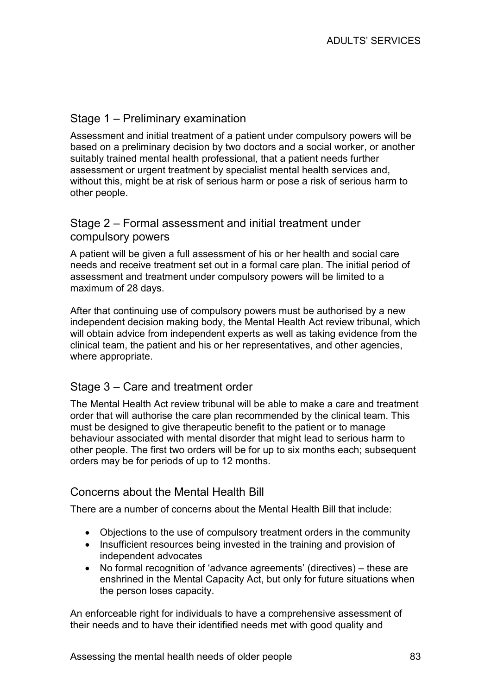#### Stage 1 – Preliminary examination

Assessment and initial treatment of a patient under compulsory powers will be based on a preliminary decision by two doctors and a social worker, or another suitably trained mental health professional, that a patient needs further assessment or urgent treatment by specialist mental health services and, without this, might be at risk of serious harm or pose a risk of serious harm to other people.

#### Stage 2 – Formal assessment and initial treatment under compulsory powers

A patient will be given a full assessment of his or her health and social care needs and receive treatment set out in a formal care plan. The initial period of assessment and treatment under compulsory powers will be limited to a maximum of 28 days.

After that continuing use of compulsory powers must be authorised by a new independent decision making body, the Mental Health Act review tribunal, which will obtain advice from independent experts as well as taking evidence from the clinical team, the patient and his or her representatives, and other agencies, where appropriate.

### Stage 3 – Care and treatment order

The Mental Health Act review tribunal will be able to make a care and treatment order that will authorise the care plan recommended by the clinical team. This must be designed to give therapeutic benefit to the patient or to manage behaviour associated with mental disorder that might lead to serious harm to other people. The first two orders will be for up to six months each; subsequent orders may be for periods of up to 12 months.

#### Concerns about the Mental Health Bill

There are a number of concerns about the Mental Health Bill that include:

- Objections to the use of compulsory treatment orders in the community
- Insufficient resources being invested in the training and provision of independent advocates
- No formal recognition of 'advance agreements' (directives) these are enshrined in the Mental Capacity Act, but only for future situations when the person loses capacity.

An enforceable right for individuals to have a comprehensive assessment of their needs and to have their identified needs met with good quality and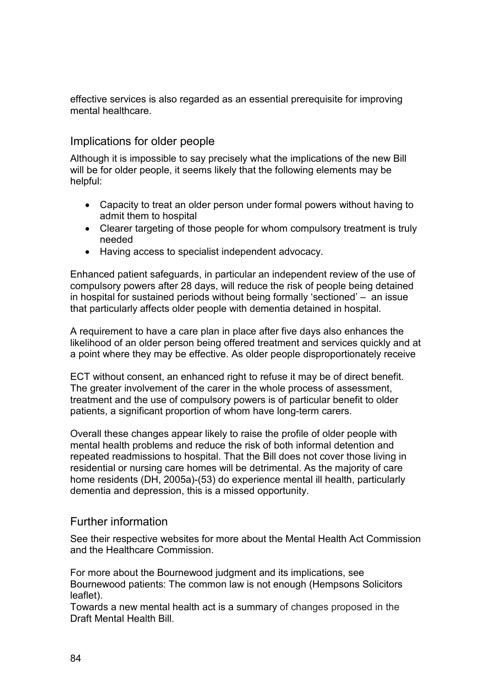effective services is also regarded as an essential prerequisite for improving mental healthcare.

#### Implications for older people

Although it is impossible to say precisely what the implications of the new Bill will be for older people, it seems likely that the following elements may be helpful:

- Capacity to treat an older person under formal powers without having to admit them to hospital
- Clearer targeting of those people for whom compulsory treatment is truly needed
- Having access to specialist independent advocacy.

Enhanced patient safeguards, in particular an independent review of the use of compulsory powers after 28 days, will reduce the risk of people being detained in hospital for sustained periods without being formally 'sectioned' – an issue that particularly affects older people with dementia detained in hospital.

A requirement to have a care plan in place after five days also enhances the likelihood of an older person being offered treatment and services quickly and at a point where they may be effective. As older people disproportionately receive

ECT without consent, an enhanced right to refuse it may be of direct benefit. The greater involvement of the carer in the whole process of assessment, treatment and the use of compulsory powers is of particular benefit to older patients, a significant proportion of whom have long-term carers.

Overall these changes appear likely to raise the profile of older people with mental health problems and reduce the risk of both informal detention and repeated readmissions to hospital. That the Bill does not cover those living in residential or nursing care homes will be detrimental. As the majority of care home residents (DH, 2005a)-(53) do experience mental ill health, particularly dementia and depression, this is a missed opportunity.

#### Further information

See their respective websites for more about the Mental Health Act Commission and the Healthcare Commission.

For more about the Bournewood judgment and its implications, see Bournewood patients: The common law is not enough (Hempsons Solicitors leaflet).

Towards a new mental health act is a summary of changes proposed in the Draft Mental Health Bill.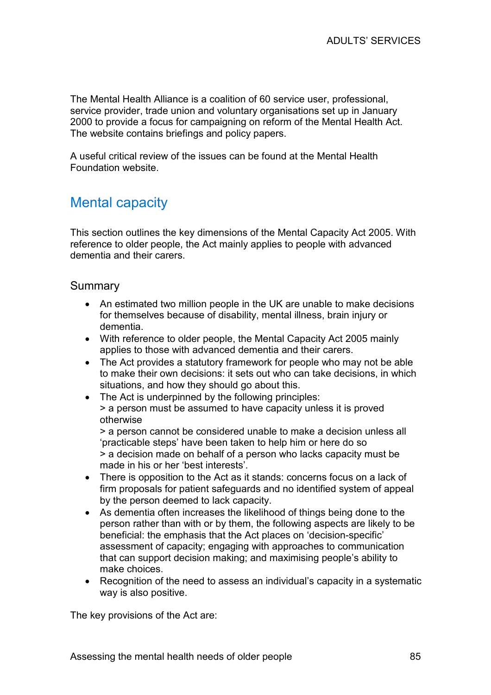The Mental Health Alliance is a coalition of 60 service user, professional, service provider, trade union and voluntary organisations set up in January 2000 to provide a focus for campaigning on reform of the Mental Health Act. The website contains briefings and policy papers.

A useful critical review of the issues can be found at the Mental Health Foundation website.

# Mental capacity

This section outlines the key dimensions of the Mental Capacity Act 2005. With reference to older people, the Act mainly applies to people with advanced dementia and their carers.

#### **Summary**

- An estimated two million people in the UK are unable to make decisions for themselves because of disability, mental illness, brain injury or dementia.
- With reference to older people, the Mental Capacity Act 2005 mainly applies to those with advanced dementia and their carers.
- The Act provides a statutory framework for people who may not be able to make their own decisions: it sets out who can take decisions, in which situations, and how they should go about this.
- The Act is underpinned by the following principles: > a person must be assumed to have capacity unless it is proved otherwise

> a person cannot be considered unable to make a decision unless all 'practicable steps' have been taken to help him or here do so > a decision made on behalf of a person who lacks capacity must be made in his or her 'best interests'.

- There is opposition to the Act as it stands: concerns focus on a lack of firm proposals for patient safeguards and no identified system of appeal by the person deemed to lack capacity.
- As dementia often increases the likelihood of things being done to the person rather than with or by them, the following aspects are likely to be beneficial: the emphasis that the Act places on 'decision-specific' assessment of capacity; engaging with approaches to communication that can support decision making; and maximising people's ability to make choices.
- Recognition of the need to assess an individual's capacity in a systematic way is also positive.

The key provisions of the Act are: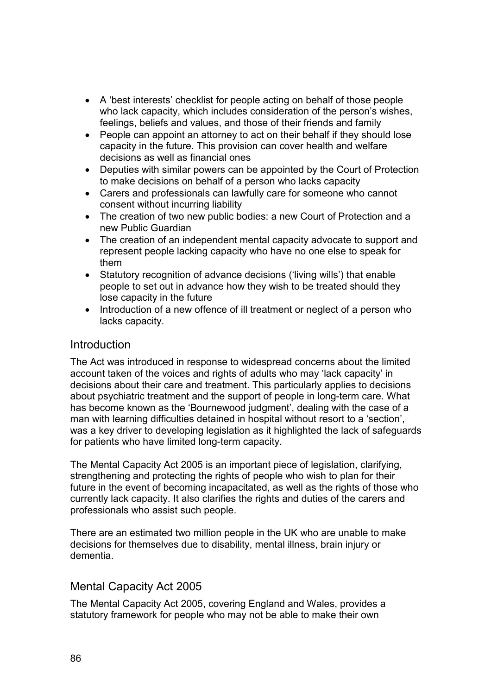- A 'best interests' checklist for people acting on behalf of those people who lack capacity, which includes consideration of the person's wishes, feelings, beliefs and values, and those of their friends and family
- People can appoint an attorney to act on their behalf if they should lose capacity in the future. This provision can cover health and welfare decisions as well as financial ones
- Deputies with similar powers can be appointed by the Court of Protection to make decisions on behalf of a person who lacks capacity
- Carers and professionals can lawfully care for someone who cannot consent without incurring liability
- The creation of two new public bodies: a new Court of Protection and a new Public Guardian
- The creation of an independent mental capacity advocate to support and represent people lacking capacity who have no one else to speak for them
- Statutory recognition of advance decisions ('living wills') that enable people to set out in advance how they wish to be treated should they lose capacity in the future
- Introduction of a new offence of ill treatment or neglect of a person who lacks capacity.

#### Introduction

The Act was introduced in response to widespread concerns about the limited account taken of the voices and rights of adults who may 'lack capacity' in decisions about their care and treatment. This particularly applies to decisions about psychiatric treatment and the support of people in long-term care. What has become known as the 'Bournewood judgment', dealing with the case of a man with learning difficulties detained in hospital without resort to a 'section', was a key driver to developing legislation as it highlighted the lack of safeguards for patients who have limited long-term capacity.

The Mental Capacity Act 2005 is an important piece of legislation, clarifying, strengthening and protecting the rights of people who wish to plan for their future in the event of becoming incapacitated, as well as the rights of those who currently lack capacity. It also clarifies the rights and duties of the carers and professionals who assist such people.

There are an estimated two million people in the UK who are unable to make decisions for themselves due to disability, mental illness, brain injury or dementia.

#### Mental Capacity Act 2005

The Mental Capacity Act 2005, covering England and Wales, provides a statutory framework for people who may not be able to make their own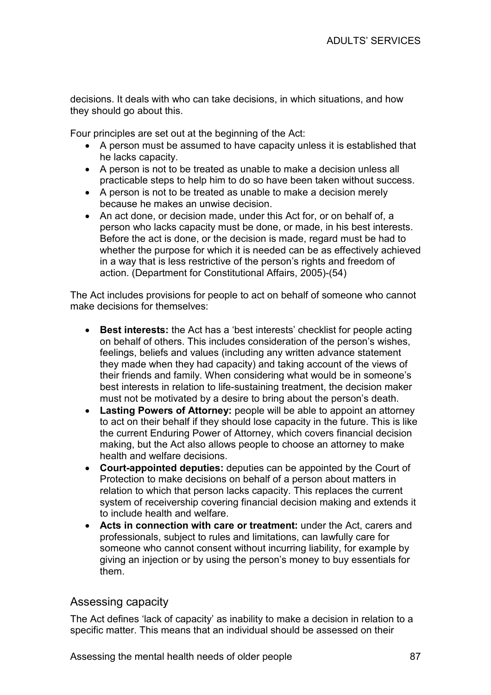decisions. It deals with who can take decisions, in which situations, and how they should go about this.

Four principles are set out at the beginning of the Act:

- A person must be assumed to have capacity unless it is established that he lacks capacity.
- A person is not to be treated as unable to make a decision unless all practicable steps to help him to do so have been taken without success.
- A person is not to be treated as unable to make a decision merely because he makes an unwise decision.
- An act done, or decision made, under this Act for, or on behalf of, a person who lacks capacity must be done, or made, in his best interests. Before the act is done, or the decision is made, regard must be had to whether the purpose for which it is needed can be as effectively achieved in a way that is less restrictive of the person's rights and freedom of action. (Department for Constitutional Affairs, 2005)-(54)

The Act includes provisions for people to act on behalf of someone who cannot make decisions for themselves:

- Best interests: the Act has a 'best interests' checklist for people acting on behalf of others. This includes consideration of the person's wishes, feelings, beliefs and values (including any written advance statement they made when they had capacity) and taking account of the views of their friends and family. When considering what would be in someone's best interests in relation to life-sustaining treatment, the decision maker must not be motivated by a desire to bring about the person's death.
- Lasting Powers of Attorney: people will be able to appoint an attorney to act on their behalf if they should lose capacity in the future. This is like the current Enduring Power of Attorney, which covers financial decision making, but the Act also allows people to choose an attorney to make health and welfare decisions.
- Court-appointed deputies: deputies can be appointed by the Court of Protection to make decisions on behalf of a person about matters in relation to which that person lacks capacity. This replaces the current system of receivership covering financial decision making and extends it to include health and welfare.
- Acts in connection with care or treatment: under the Act, carers and professionals, subject to rules and limitations, can lawfully care for someone who cannot consent without incurring liability, for example by giving an injection or by using the person's money to buy essentials for them.

#### Assessing capacity

The Act defines 'lack of capacity' as inability to make a decision in relation to a specific matter. This means that an individual should be assessed on their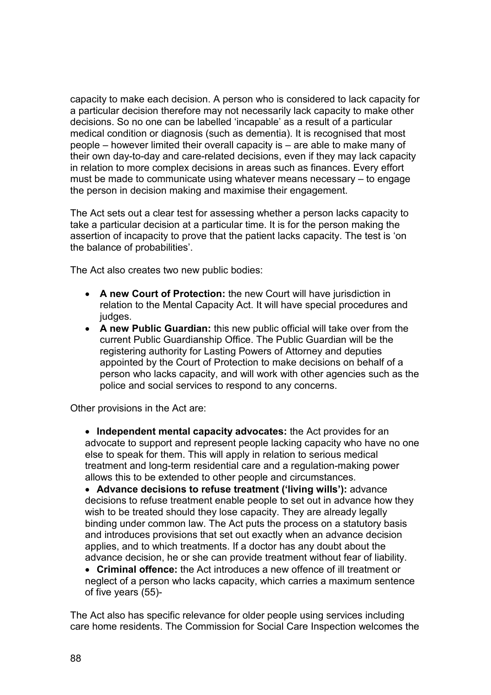capacity to make each decision. A person who is considered to lack capacity for a particular decision therefore may not necessarily lack capacity to make other decisions. So no one can be labelled 'incapable' as a result of a particular medical condition or diagnosis (such as dementia). It is recognised that most people – however limited their overall capacity is – are able to make many of their own day-to-day and care-related decisions, even if they may lack capacity in relation to more complex decisions in areas such as finances. Every effort must be made to communicate using whatever means necessary – to engage the person in decision making and maximise their engagement.

The Act sets out a clear test for assessing whether a person lacks capacity to take a particular decision at a particular time. It is for the person making the assertion of incapacity to prove that the patient lacks capacity. The test is 'on the balance of probabilities'.

The Act also creates two new public bodies:

- A new Court of Protection: the new Court will have jurisdiction in relation to the Mental Capacity Act. It will have special procedures and judges.
- A new Public Guardian: this new public official will take over from the current Public Guardianship Office. The Public Guardian will be the registering authority for Lasting Powers of Attorney and deputies appointed by the Court of Protection to make decisions on behalf of a person who lacks capacity, and will work with other agencies such as the police and social services to respond to any concerns.

Other provisions in the Act are:

• Independent mental capacity advocates: the Act provides for an advocate to support and represent people lacking capacity who have no one else to speak for them. This will apply in relation to serious medical treatment and long-term residential care and a regulation-making power allows this to be extended to other people and circumstances.

• Advance decisions to refuse treatment ('living wills'): advance decisions to refuse treatment enable people to set out in advance how they wish to be treated should they lose capacity. They are already legally binding under common law. The Act puts the process on a statutory basis and introduces provisions that set out exactly when an advance decision applies, and to which treatments. If a doctor has any doubt about the advance decision, he or she can provide treatment without fear of liability.

• Criminal offence: the Act introduces a new offence of ill treatment or neglect of a person who lacks capacity, which carries a maximum sentence of five years (55)-

The Act also has specific relevance for older people using services including care home residents. The Commission for Social Care Inspection welcomes the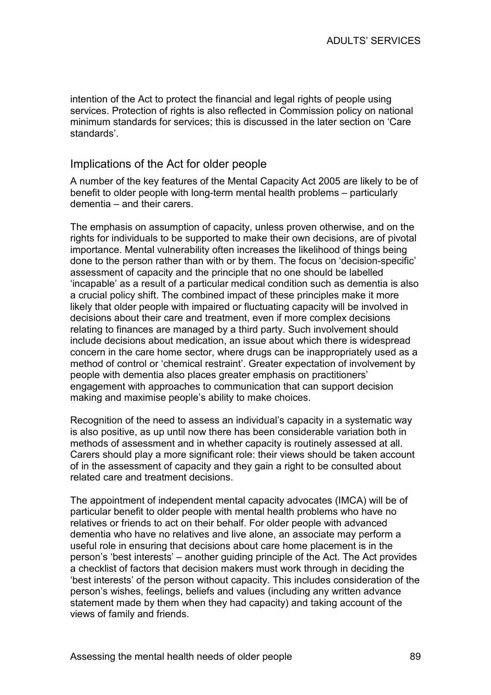intention of the Act to protect the financial and legal rights of people using services. Protection of rights is also reflected in Commission policy on national minimum standards for services; this is discussed in the later section on 'Care standards'.

#### Implications of the Act for older people

A number of the key features of the Mental Capacity Act 2005 are likely to be of benefit to older people with long-term mental health problems – particularly dementia – and their carers.

The emphasis on assumption of capacity, unless proven otherwise, and on the rights for individuals to be supported to make their own decisions, are of pivotal importance. Mental vulnerability often increases the likelihood of things being done to the person rather than with or by them. The focus on 'decision-specific' assessment of capacity and the principle that no one should be labelled 'incapable' as a result of a particular medical condition such as dementia is also a crucial policy shift. The combined impact of these principles make it more likely that older people with impaired or fluctuating capacity will be involved in decisions about their care and treatment, even if more complex decisions relating to finances are managed by a third party. Such involvement should include decisions about medication, an issue about which there is widespread concern in the care home sector, where drugs can be inappropriately used as a method of control or 'chemical restraint'. Greater expectation of involvement by people with dementia also places greater emphasis on practitioners' engagement with approaches to communication that can support decision making and maximise people's ability to make choices.

Recognition of the need to assess an individual's capacity in a systematic way is also positive, as up until now there has been considerable variation both in methods of assessment and in whether capacity is routinely assessed at all. Carers should play a more significant role: their views should be taken account of in the assessment of capacity and they gain a right to be consulted about related care and treatment decisions.

The appointment of independent mental capacity advocates (IMCA) will be of particular benefit to older people with mental health problems who have no relatives or friends to act on their behalf. For older people with advanced dementia who have no relatives and live alone, an associate may perform a useful role in ensuring that decisions about care home placement is in the person's 'best interests' – another guiding principle of the Act. The Act provides a checklist of factors that decision makers must work through in deciding the 'best interests' of the person without capacity. This includes consideration of the person's wishes, feelings, beliefs and values (including any written advance statement made by them when they had capacity) and taking account of the views of family and friends.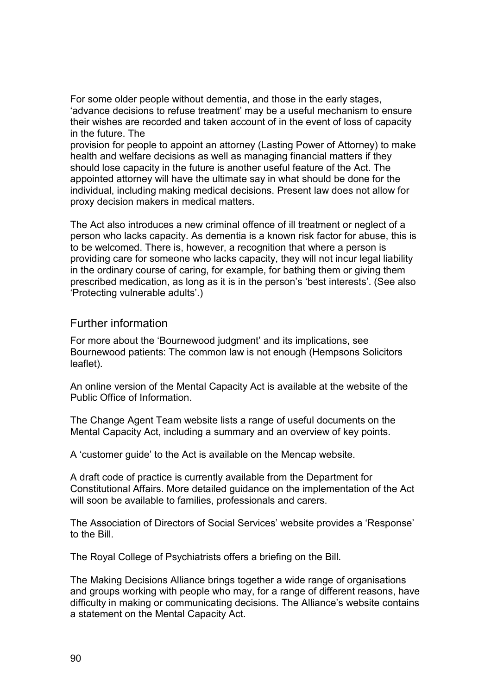For some older people without dementia, and those in the early stages, 'advance decisions to refuse treatment' may be a useful mechanism to ensure their wishes are recorded and taken account of in the event of loss of capacity in the future. The

provision for people to appoint an attorney (Lasting Power of Attorney) to make health and welfare decisions as well as managing financial matters if they should lose capacity in the future is another useful feature of the Act. The appointed attorney will have the ultimate say in what should be done for the individual, including making medical decisions. Present law does not allow for proxy decision makers in medical matters.

The Act also introduces a new criminal offence of ill treatment or neglect of a person who lacks capacity. As dementia is a known risk factor for abuse, this is to be welcomed. There is, however, a recognition that where a person is providing care for someone who lacks capacity, they will not incur legal liability in the ordinary course of caring, for example, for bathing them or giving them prescribed medication, as long as it is in the person's 'best interests'. (See also 'Protecting vulnerable adults'.)

#### Further information

For more about the 'Bournewood judgment' and its implications, see Bournewood patients: The common law is not enough (Hempsons Solicitors leaflet).

An online version of the Mental Capacity Act is available at the website of the Public Office of Information.

The Change Agent Team website lists a range of useful documents on the Mental Capacity Act, including a summary and an overview of key points.

A 'customer guide' to the Act is available on the Mencap website.

A draft code of practice is currently available from the Department for Constitutional Affairs. More detailed guidance on the implementation of the Act will soon be available to families, professionals and carers.

The Association of Directors of Social Services' website provides a 'Response' to the Bill.

The Royal College of Psychiatrists offers a briefing on the Bill.

The Making Decisions Alliance brings together a wide range of organisations and groups working with people who may, for a range of different reasons, have difficulty in making or communicating decisions. The Alliance's website contains a statement on the Mental Capacity Act.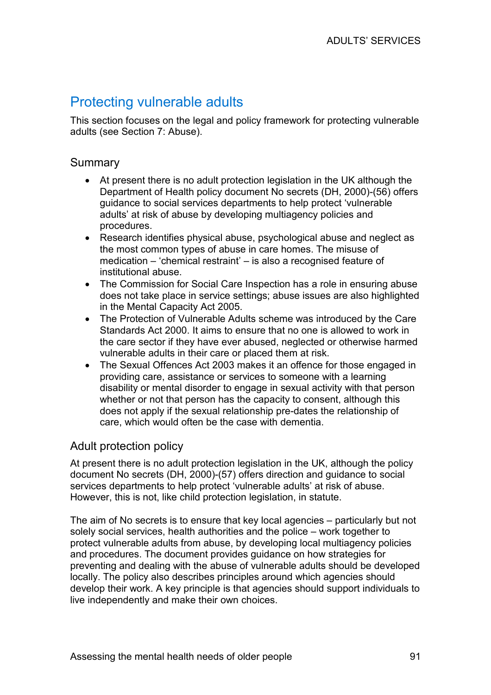# Protecting vulnerable adults

This section focuses on the legal and policy framework for protecting vulnerable adults (see Section 7: Abuse).

### **Summary**

- At present there is no adult protection legislation in the UK although the Department of Health policy document No secrets (DH, 2000)-(56) offers guidance to social services departments to help protect 'vulnerable adults' at risk of abuse by developing multiagency policies and procedures.
- Research identifies physical abuse, psychological abuse and neglect as the most common types of abuse in care homes. The misuse of medication – 'chemical restraint' – is also a recognised feature of institutional abuse.
- The Commission for Social Care Inspection has a role in ensuring abuse does not take place in service settings; abuse issues are also highlighted in the Mental Capacity Act 2005.
- The Protection of Vulnerable Adults scheme was introduced by the Care Standards Act 2000. It aims to ensure that no one is allowed to work in the care sector if they have ever abused, neglected or otherwise harmed vulnerable adults in their care or placed them at risk.
- The Sexual Offences Act 2003 makes it an offence for those engaged in providing care, assistance or services to someone with a learning disability or mental disorder to engage in sexual activity with that person whether or not that person has the capacity to consent, although this does not apply if the sexual relationship pre-dates the relationship of care, which would often be the case with dementia.

## Adult protection policy

At present there is no adult protection legislation in the UK, although the policy document No secrets (DH, 2000)-(57) offers direction and guidance to social services departments to help protect 'vulnerable adults' at risk of abuse. However, this is not, like child protection legislation, in statute.

The aim of No secrets is to ensure that key local agencies – particularly but not solely social services, health authorities and the police – work together to protect vulnerable adults from abuse, by developing local multiagency policies and procedures. The document provides guidance on how strategies for preventing and dealing with the abuse of vulnerable adults should be developed locally. The policy also describes principles around which agencies should develop their work. A key principle is that agencies should support individuals to live independently and make their own choices.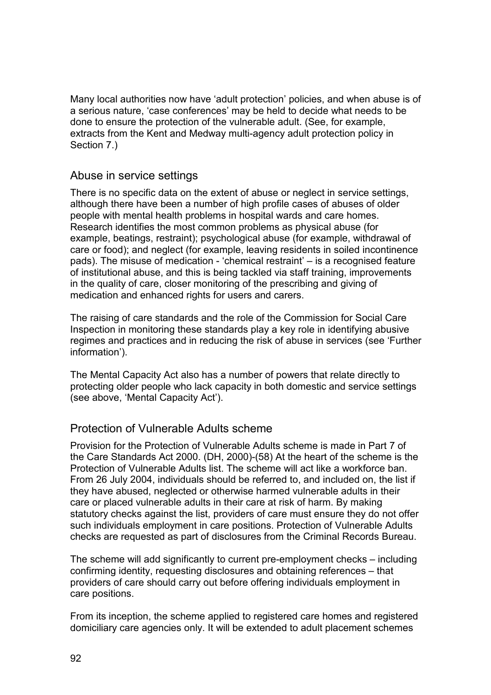Many local authorities now have 'adult protection' policies, and when abuse is of a serious nature, 'case conferences' may be held to decide what needs to be done to ensure the protection of the vulnerable adult. (See, for example, extracts from the Kent and Medway multi-agency adult protection policy in Section 7.)

#### Abuse in service settings

There is no specific data on the extent of abuse or neglect in service settings, although there have been a number of high profile cases of abuses of older people with mental health problems in hospital wards and care homes. Research identifies the most common problems as physical abuse (for example, beatings, restraint); psychological abuse (for example, withdrawal of care or food); and neglect (for example, leaving residents in soiled incontinence pads). The misuse of medication - 'chemical restraint' – is a recognised feature of institutional abuse, and this is being tackled via staff training, improvements in the quality of care, closer monitoring of the prescribing and giving of medication and enhanced rights for users and carers.

The raising of care standards and the role of the Commission for Social Care Inspection in monitoring these standards play a key role in identifying abusive regimes and practices and in reducing the risk of abuse in services (see 'Further information').

The Mental Capacity Act also has a number of powers that relate directly to protecting older people who lack capacity in both domestic and service settings (see above, 'Mental Capacity Act').

#### Protection of Vulnerable Adults scheme

Provision for the Protection of Vulnerable Adults scheme is made in Part 7 of the Care Standards Act 2000. (DH, 2000)-(58) At the heart of the scheme is the Protection of Vulnerable Adults list. The scheme will act like a workforce ban. From 26 July 2004, individuals should be referred to, and included on, the list if they have abused, neglected or otherwise harmed vulnerable adults in their care or placed vulnerable adults in their care at risk of harm. By making statutory checks against the list, providers of care must ensure they do not offer such individuals employment in care positions. Protection of Vulnerable Adults checks are requested as part of disclosures from the Criminal Records Bureau.

The scheme will add significantly to current pre-employment checks – including confirming identity, requesting disclosures and obtaining references – that providers of care should carry out before offering individuals employment in care positions.

From its inception, the scheme applied to registered care homes and registered domiciliary care agencies only. It will be extended to adult placement schemes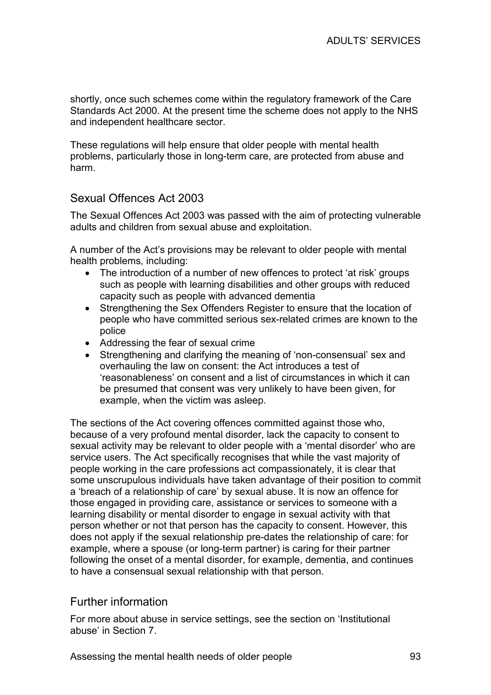shortly, once such schemes come within the regulatory framework of the Care Standards Act 2000. At the present time the scheme does not apply to the NHS and independent healthcare sector.

These regulations will help ensure that older people with mental health problems, particularly those in long-term care, are protected from abuse and harm.

### Sexual Offences Act 2003

The Sexual Offences Act 2003 was passed with the aim of protecting vulnerable adults and children from sexual abuse and exploitation.

A number of the Act's provisions may be relevant to older people with mental health problems, including:

- The introduction of a number of new offences to protect 'at risk' groups such as people with learning disabilities and other groups with reduced capacity such as people with advanced dementia
- Strengthening the Sex Offenders Register to ensure that the location of people who have committed serious sex-related crimes are known to the police
- Addressing the fear of sexual crime
- Strengthening and clarifying the meaning of 'non-consensual' sex and overhauling the law on consent: the Act introduces a test of 'reasonableness' on consent and a list of circumstances in which it can be presumed that consent was very unlikely to have been given, for example, when the victim was asleep.

The sections of the Act covering offences committed against those who, because of a very profound mental disorder, lack the capacity to consent to sexual activity may be relevant to older people with a 'mental disorder' who are service users. The Act specifically recognises that while the vast majority of people working in the care professions act compassionately, it is clear that some unscrupulous individuals have taken advantage of their position to commit a 'breach of a relationship of care' by sexual abuse. It is now an offence for those engaged in providing care, assistance or services to someone with a learning disability or mental disorder to engage in sexual activity with that person whether or not that person has the capacity to consent. However, this does not apply if the sexual relationship pre-dates the relationship of care: for example, where a spouse (or long-term partner) is caring for their partner following the onset of a mental disorder, for example, dementia, and continues to have a consensual sexual relationship with that person.

#### Further information

For more about abuse in service settings, see the section on 'Institutional abuse' in Section 7.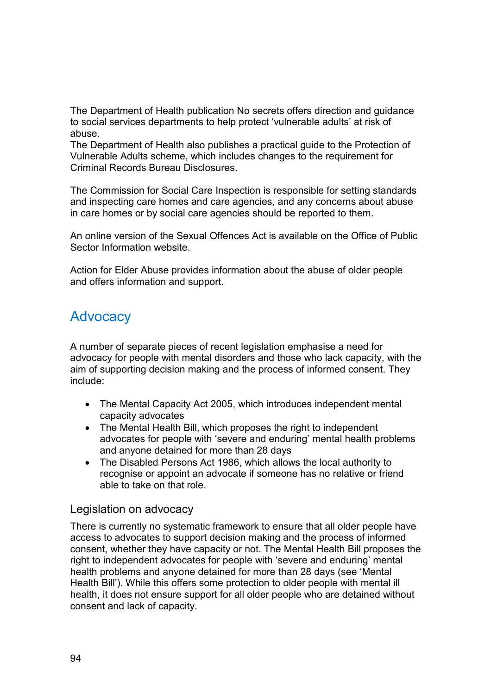The Department of Health publication No secrets offers direction and guidance to social services departments to help protect 'vulnerable adults' at risk of abuse.

The Department of Health also publishes a practical guide to the Protection of Vulnerable Adults scheme, which includes changes to the requirement for Criminal Records Bureau Disclosures.

The Commission for Social Care Inspection is responsible for setting standards and inspecting care homes and care agencies, and any concerns about abuse in care homes or by social care agencies should be reported to them.

An online version of the Sexual Offences Act is available on the Office of Public Sector Information website.

Action for Elder Abuse provides information about the abuse of older people and offers information and support.

# **Advocacy**

A number of separate pieces of recent legislation emphasise a need for advocacy for people with mental disorders and those who lack capacity, with the aim of supporting decision making and the process of informed consent. They include:

- The Mental Capacity Act 2005, which introduces independent mental capacity advocates
- The Mental Health Bill, which proposes the right to independent advocates for people with 'severe and enduring' mental health problems and anyone detained for more than 28 days
- The Disabled Persons Act 1986, which allows the local authority to recognise or appoint an advocate if someone has no relative or friend able to take on that role.

#### Legislation on advocacy

There is currently no systematic framework to ensure that all older people have access to advocates to support decision making and the process of informed consent, whether they have capacity or not. The Mental Health Bill proposes the right to independent advocates for people with 'severe and enduring' mental health problems and anyone detained for more than 28 days (see 'Mental Health Bill'). While this offers some protection to older people with mental ill health, it does not ensure support for all older people who are detained without consent and lack of capacity.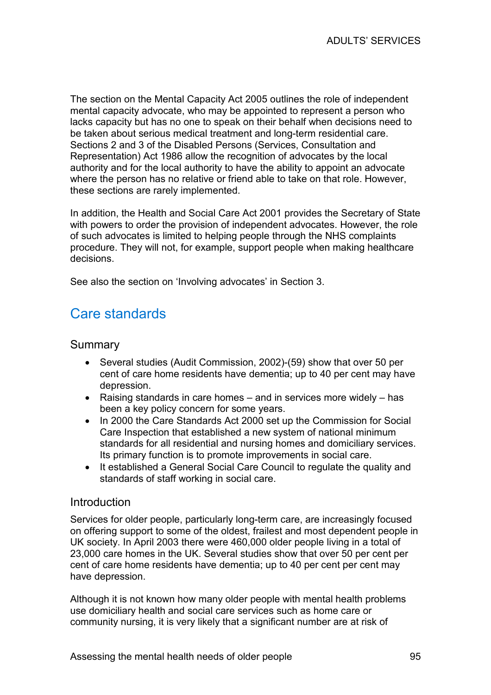The section on the Mental Capacity Act 2005 outlines the role of independent mental capacity advocate, who may be appointed to represent a person who lacks capacity but has no one to speak on their behalf when decisions need to be taken about serious medical treatment and long-term residential care. Sections 2 and 3 of the Disabled Persons (Services, Consultation and Representation) Act 1986 allow the recognition of advocates by the local authority and for the local authority to have the ability to appoint an advocate where the person has no relative or friend able to take on that role. However, these sections are rarely implemented.

In addition, the Health and Social Care Act 2001 provides the Secretary of State with powers to order the provision of independent advocates. However, the role of such advocates is limited to helping people through the NHS complaints procedure. They will not, for example, support people when making healthcare decisions.

See also the section on 'Involving advocates' in Section 3.

# Care standards

#### **Summary**

- Several studies (Audit Commission, 2002)-(59) show that over 50 per cent of care home residents have dementia; up to 40 per cent may have depression.
- Raising standards in care homes and in services more widely has been a key policy concern for some years.
- In 2000 the Care Standards Act 2000 set up the Commission for Social Care Inspection that established a new system of national minimum standards for all residential and nursing homes and domiciliary services. Its primary function is to promote improvements in social care.
- It established a General Social Care Council to regulate the quality and standards of staff working in social care.

#### Introduction

Services for older people, particularly long-term care, are increasingly focused on offering support to some of the oldest, frailest and most dependent people in UK society. In April 2003 there were 460,000 older people living in a total of 23,000 care homes in the UK. Several studies show that over 50 per cent per cent of care home residents have dementia; up to 40 per cent per cent may have depression.

Although it is not known how many older people with mental health problems use domiciliary health and social care services such as home care or community nursing, it is very likely that a significant number are at risk of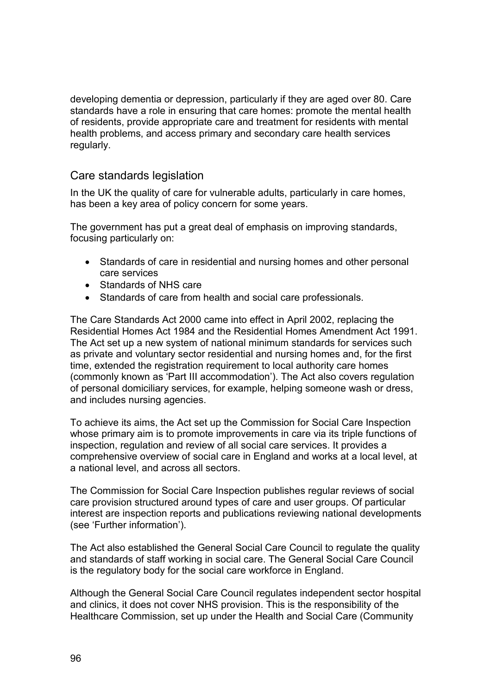developing dementia or depression, particularly if they are aged over 80. Care standards have a role in ensuring that care homes: promote the mental health of residents, provide appropriate care and treatment for residents with mental health problems, and access primary and secondary care health services regularly.

#### Care standards legislation

In the UK the quality of care for vulnerable adults, particularly in care homes, has been a key area of policy concern for some years.

The government has put a great deal of emphasis on improving standards, focusing particularly on:

- Standards of care in residential and nursing homes and other personal care services
- Standards of NHS care
- Standards of care from health and social care professionals.

The Care Standards Act 2000 came into effect in April 2002, replacing the Residential Homes Act 1984 and the Residential Homes Amendment Act 1991. The Act set up a new system of national minimum standards for services such as private and voluntary sector residential and nursing homes and, for the first time, extended the registration requirement to local authority care homes (commonly known as 'Part III accommodation'). The Act also covers regulation of personal domiciliary services, for example, helping someone wash or dress, and includes nursing agencies.

To achieve its aims, the Act set up the Commission for Social Care Inspection whose primary aim is to promote improvements in care via its triple functions of inspection, regulation and review of all social care services. It provides a comprehensive overview of social care in England and works at a local level, at a national level, and across all sectors.

The Commission for Social Care Inspection publishes regular reviews of social care provision structured around types of care and user groups. Of particular interest are inspection reports and publications reviewing national developments (see 'Further information').

The Act also established the General Social Care Council to regulate the quality and standards of staff working in social care. The General Social Care Council is the regulatory body for the social care workforce in England.

Although the General Social Care Council regulates independent sector hospital and clinics, it does not cover NHS provision. This is the responsibility of the Healthcare Commission, set up under the Health and Social Care (Community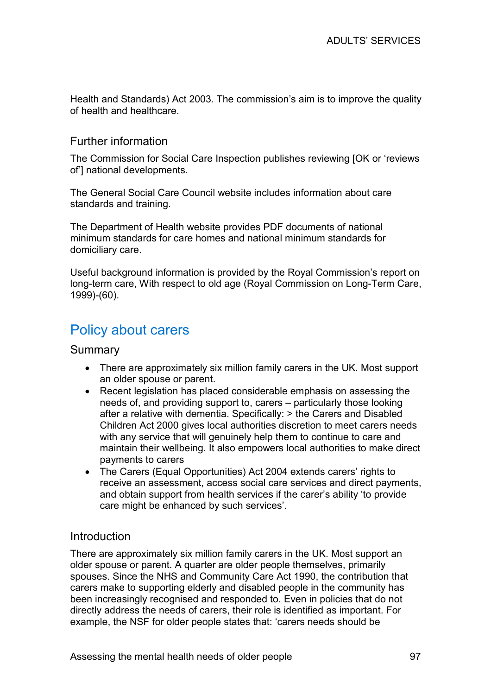Health and Standards) Act 2003. The commission's aim is to improve the quality of health and healthcare.

#### Further information

The Commission for Social Care Inspection publishes reviewing [OK or 'reviews of'] national developments.

The General Social Care Council website includes information about care standards and training.

The Department of Health website provides PDF documents of national minimum standards for care homes and national minimum standards for domiciliary care.

Useful background information is provided by the Royal Commission's report on long-term care, With respect to old age (Royal Commission on Long-Term Care, 1999)-(60).

# Policy about carers

#### **Summary**

- There are approximately six million family carers in the UK. Most support an older spouse or parent.
- Recent legislation has placed considerable emphasis on assessing the needs of, and providing support to, carers – particularly those looking after a relative with dementia. Specifically: > the Carers and Disabled Children Act 2000 gives local authorities discretion to meet carers needs with any service that will genuinely help them to continue to care and maintain their wellbeing. It also empowers local authorities to make direct payments to carers
- The Carers (Equal Opportunities) Act 2004 extends carers' rights to receive an assessment, access social care services and direct payments, and obtain support from health services if the carer's ability 'to provide care might be enhanced by such services'.

#### Introduction

There are approximately six million family carers in the UK. Most support an older spouse or parent. A quarter are older people themselves, primarily spouses. Since the NHS and Community Care Act 1990, the contribution that carers make to supporting elderly and disabled people in the community has been increasingly recognised and responded to. Even in policies that do not directly address the needs of carers, their role is identified as important. For example, the NSF for older people states that: 'carers needs should be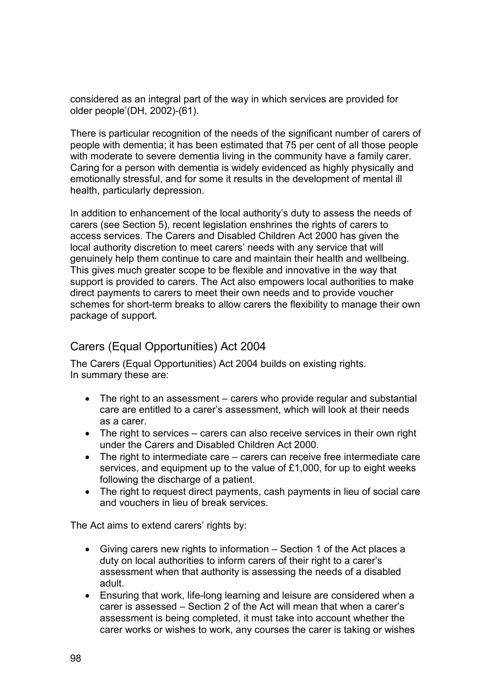considered as an integral part of the way in which services are provided for older people'(DH, 2002)-(61).

There is particular recognition of the needs of the significant number of carers of people with dementia; it has been estimated that 75 per cent of all those people with moderate to severe dementia living in the community have a family carer. Caring for a person with dementia is widely evidenced as highly physically and emotionally stressful, and for some it results in the development of mental ill health, particularly depression.

In addition to enhancement of the local authority's duty to assess the needs of carers (see Section 5), recent legislation enshrines the rights of carers to access services. The Carers and Disabled Children Act 2000 has given the local authority discretion to meet carers' needs with any service that will genuinely help them continue to care and maintain their health and wellbeing. This gives much greater scope to be flexible and innovative in the way that support is provided to carers. The Act also empowers local authorities to make direct payments to carers to meet their own needs and to provide voucher schemes for short-term breaks to allow carers the flexibility to manage their own package of support.

## Carers (Equal Opportunities) Act 2004

The Carers (Equal Opportunities) Act 2004 builds on existing rights. In summary these are:

- The right to an assessment carers who provide regular and substantial care are entitled to a carer's assessment, which will look at their needs as a carer.
- The right to services carers can also receive services in their own right under the Carers and Disabled Children Act 2000.
- The right to intermediate care carers can receive free intermediate care services, and equipment up to the value of £1,000, for up to eight weeks following the discharge of a patient.
- The right to request direct payments, cash payments in lieu of social care and vouchers in lieu of break services.

The Act aims to extend carers' rights by:

- Giving carers new rights to information Section 1 of the Act places a duty on local authorities to inform carers of their right to a carer's assessment when that authority is assessing the needs of a disabled adult.
- Ensuring that work, life-long learning and leisure are considered when a carer is assessed – Section 2 of the Act will mean that when a carer's assessment is being completed, it must take into account whether the carer works or wishes to work, any courses the carer is taking or wishes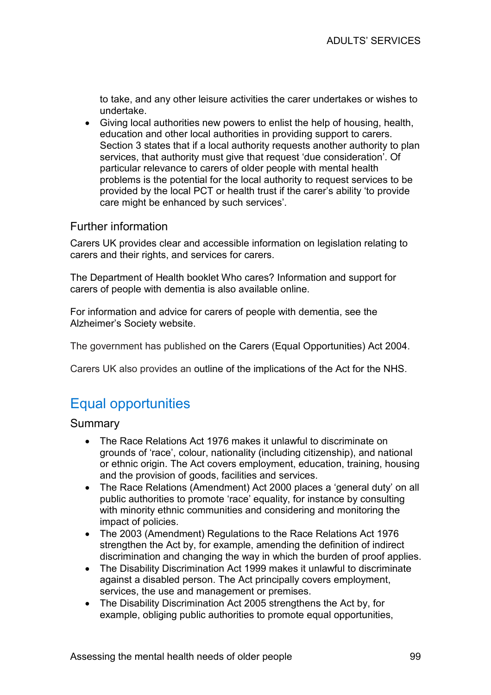to take, and any other leisure activities the carer undertakes or wishes to undertake.

• Giving local authorities new powers to enlist the help of housing, health, education and other local authorities in providing support to carers. Section 3 states that if a local authority requests another authority to plan services, that authority must give that request 'due consideration'. Of particular relevance to carers of older people with mental health problems is the potential for the local authority to request services to be provided by the local PCT or health trust if the carer's ability 'to provide care might be enhanced by such services'.

#### Further information

Carers UK provides clear and accessible information on legislation relating to carers and their rights, and services for carers.

The Department of Health booklet Who cares? Information and support for carers of people with dementia is also available online.

For information and advice for carers of people with dementia, see the Alzheimer's Society website.

The government has published on the Carers (Equal Opportunities) Act 2004.

Carers UK also provides an outline of the implications of the Act for the NHS.

# Equal opportunities

**Summary** 

- The Race Relations Act 1976 makes it unlawful to discriminate on grounds of 'race', colour, nationality (including citizenship), and national or ethnic origin. The Act covers employment, education, training, housing and the provision of goods, facilities and services.
- The Race Relations (Amendment) Act 2000 places a 'general duty' on all public authorities to promote 'race' equality, for instance by consulting with minority ethnic communities and considering and monitoring the impact of policies.
- The 2003 (Amendment) Regulations to the Race Relations Act 1976 strengthen the Act by, for example, amending the definition of indirect discrimination and changing the way in which the burden of proof applies.
- The Disability Discrimination Act 1999 makes it unlawful to discriminate against a disabled person. The Act principally covers employment, services, the use and management or premises.
- The Disability Discrimination Act 2005 strengthens the Act by, for example, obliging public authorities to promote equal opportunities,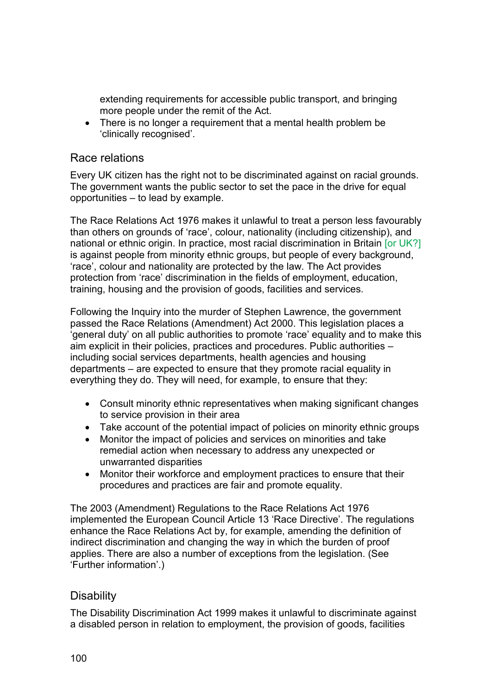extending requirements for accessible public transport, and bringing more people under the remit of the Act.

• There is no longer a requirement that a mental health problem be 'clinically recognised'.

#### Race relations

Every UK citizen has the right not to be discriminated against on racial grounds. The government wants the public sector to set the pace in the drive for equal opportunities – to lead by example.

The Race Relations Act 1976 makes it unlawful to treat a person less favourably than others on grounds of 'race', colour, nationality (including citizenship), and national or ethnic origin. In practice, most racial discrimination in Britain [or UK?] is against people from minority ethnic groups, but people of every background, 'race', colour and nationality are protected by the law. The Act provides protection from 'race' discrimination in the fields of employment, education, training, housing and the provision of goods, facilities and services.

Following the Inquiry into the murder of Stephen Lawrence, the government passed the Race Relations (Amendment) Act 2000. This legislation places a 'general duty' on all public authorities to promote 'race' equality and to make this aim explicit in their policies, practices and procedures. Public authorities – including social services departments, health agencies and housing departments – are expected to ensure that they promote racial equality in everything they do. They will need, for example, to ensure that they:

- Consult minority ethnic representatives when making significant changes to service provision in their area
- Take account of the potential impact of policies on minority ethnic groups
- Monitor the impact of policies and services on minorities and take remedial action when necessary to address any unexpected or unwarranted disparities
- Monitor their workforce and employment practices to ensure that their procedures and practices are fair and promote equality.

The 2003 (Amendment) Regulations to the Race Relations Act 1976 implemented the European Council Article 13 'Race Directive'. The regulations enhance the Race Relations Act by, for example, amending the definition of indirect discrimination and changing the way in which the burden of proof applies. There are also a number of exceptions from the legislation. (See 'Further information'.)

## **Disability**

The Disability Discrimination Act 1999 makes it unlawful to discriminate against a disabled person in relation to employment, the provision of goods, facilities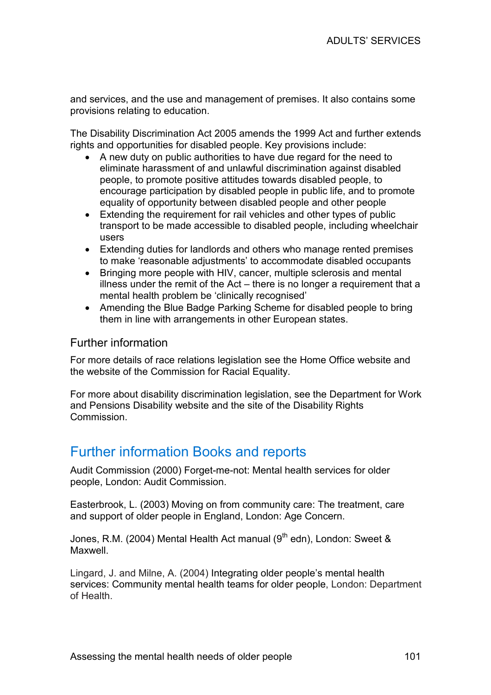and services, and the use and management of premises. It also contains some provisions relating to education.

The Disability Discrimination Act 2005 amends the 1999 Act and further extends rights and opportunities for disabled people. Key provisions include:

- A new duty on public authorities to have due regard for the need to eliminate harassment of and unlawful discrimination against disabled people, to promote positive attitudes towards disabled people, to encourage participation by disabled people in public life, and to promote equality of opportunity between disabled people and other people
- Extending the requirement for rail vehicles and other types of public transport to be made accessible to disabled people, including wheelchair users
- Extending duties for landlords and others who manage rented premises to make 'reasonable adjustments' to accommodate disabled occupants
- Bringing more people with HIV, cancer, multiple sclerosis and mental illness under the remit of the Act – there is no longer a requirement that a mental health problem be 'clinically recognised'
- Amending the Blue Badge Parking Scheme for disabled people to bring them in line with arrangements in other European states.

#### Further information

For more details of race relations legislation see the Home Office website and the website of the Commission for Racial Equality.

For more about disability discrimination legislation, see the Department for Work and Pensions Disability website and the site of the Disability Rights Commission.

# Further information Books and reports

Audit Commission (2000) Forget-me-not: Mental health services for older people, London: Audit Commission.

Easterbrook, L. (2003) Moving on from community care: The treatment, care and support of older people in England, London: Age Concern.

Jones, R.M. (2004) Mental Health Act manual (9<sup>th</sup> edn), London: Sweet & Maxwell.

Lingard, J. and Milne, A. (2004) Integrating older people's mental health services: Community mental health teams for older people, London: Department of Health.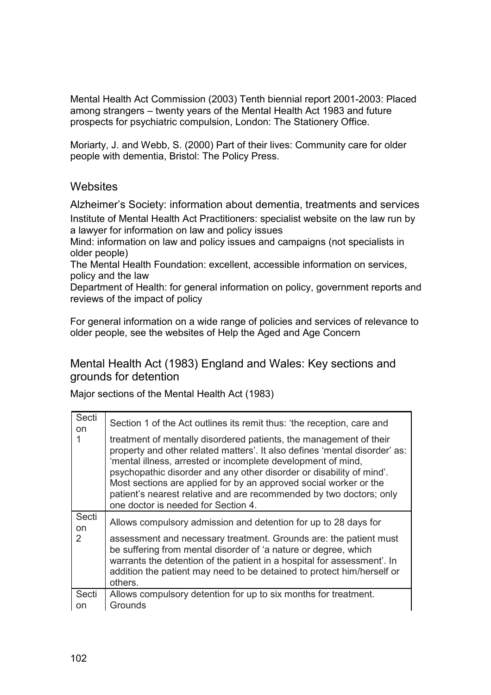Mental Health Act Commission (2003) Tenth biennial report 2001-2003: Placed among strangers – twenty years of the Mental Health Act 1983 and future prospects for psychiatric compulsion, London: The Stationery Office.

Moriarty, J. and Webb, S. (2000) Part of their lives: Community care for older people with dementia, Bristol: The Policy Press.

#### **Websites**

Alzheimer's Society: information about dementia, treatments and services Institute of Mental Health Act Practitioners: specialist website on the law run by a lawyer for information on law and policy issues

Mind: information on law and policy issues and campaigns (not specialists in older people)

The Mental Health Foundation: excellent, accessible information on services, policy and the law

Department of Health: for general information on policy, government reports and reviews of the impact of policy

For general information on a wide range of policies and services of relevance to older people, see the websites of Help the Aged and Age Concern

### Mental Health Act (1983) England and Wales: Key sections and grounds for detention

Major sections of the Mental Health Act (1983)

| Secti<br>on                 | Section 1 of the Act outlines its remit thus: 'the reception, care and<br>treatment of mentally disordered patients, the management of their<br>property and other related matters'. It also defines 'mental disorder' as:<br>'mental illness, arrested or incomplete development of mind,<br>psychopathic disorder and any other disorder or disability of mind'.<br>Most sections are applied for by an approved social worker or the<br>patient's nearest relative and are recommended by two doctors; only<br>one doctor is needed for Section 4. |
|-----------------------------|-------------------------------------------------------------------------------------------------------------------------------------------------------------------------------------------------------------------------------------------------------------------------------------------------------------------------------------------------------------------------------------------------------------------------------------------------------------------------------------------------------------------------------------------------------|
| Secti<br><sub>on</sub><br>2 | Allows compulsory admission and detention for up to 28 days for<br>assessment and necessary treatment. Grounds are: the patient must<br>be suffering from mental disorder of 'a nature or degree, which<br>warrants the detention of the patient in a hospital for assessment'. In<br>addition the patient may need to be detained to protect him/herself or<br>others.                                                                                                                                                                               |
| Secti<br>on                 | Allows compulsory detention for up to six months for treatment.<br>Grounds                                                                                                                                                                                                                                                                                                                                                                                                                                                                            |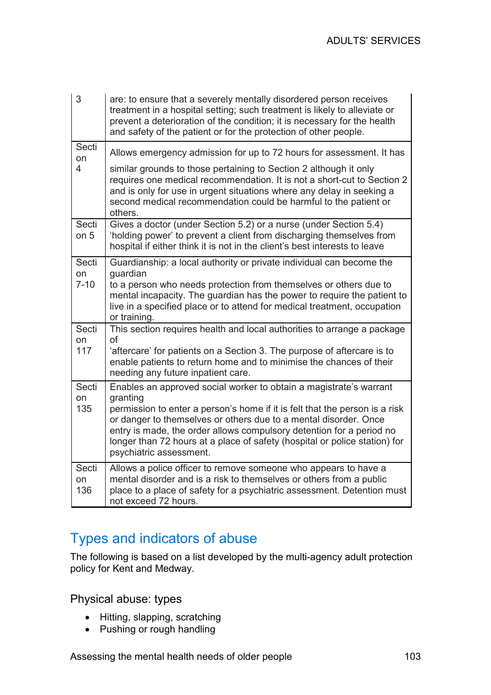| 3                        | are: to ensure that a severely mentally disordered person receives<br>treatment in a hospital setting; such treatment is likely to alleviate or<br>prevent a deterioration of the condition; it is necessary for the health<br>and safety of the patient or for the protection of other people.                                                                                                                    |
|--------------------------|--------------------------------------------------------------------------------------------------------------------------------------------------------------------------------------------------------------------------------------------------------------------------------------------------------------------------------------------------------------------------------------------------------------------|
| Secti<br>on              | Allows emergency admission for up to 72 hours for assessment. It has                                                                                                                                                                                                                                                                                                                                               |
| $\overline{4}$           | similar grounds to those pertaining to Section 2 although it only<br>requires one medical recommendation. It is not a short-cut to Section 2<br>and is only for use in urgent situations where any delay in seeking a<br>second medical recommendation could be harmful to the patient or<br>others.                                                                                                               |
| Secti<br>on <sub>5</sub> | Gives a doctor (under Section 5.2) or a nurse (under Section 5.4)<br>'holding power' to prevent a client from discharging themselves from<br>hospital if either think it is not in the client's best interests to leave                                                                                                                                                                                            |
| Secti<br>on              | Guardianship: a local authority or private individual can become the<br>guardian                                                                                                                                                                                                                                                                                                                                   |
| $7 - 10$                 | to a person who needs protection from themselves or others due to<br>mental incapacity. The guardian has the power to require the patient to<br>live in a specified place or to attend for medical treatment, occupation<br>or training.                                                                                                                                                                           |
| Secti<br>on              | This section requires health and local authorities to arrange a package<br><b>of</b>                                                                                                                                                                                                                                                                                                                               |
| 117                      | 'aftercare' for patients on a Section 3. The purpose of aftercare is to<br>enable patients to return home and to minimise the chances of their<br>needing any future inpatient care.                                                                                                                                                                                                                               |
| Secti<br>on<br>135       | Enables an approved social worker to obtain a magistrate's warrant<br>granting<br>permission to enter a person's home if it is felt that the person is a risk<br>or danger to themselves or others due to a mental disorder. Once<br>entry is made, the order allows compulsory detention for a period no<br>longer than 72 hours at a place of safety (hospital or police station) for<br>psychiatric assessment. |
| Secti<br>on<br>136       | Allows a police officer to remove someone who appears to have a<br>mental disorder and is a risk to themselves or others from a public<br>place to a place of safety for a psychiatric assessment. Detention must<br>not exceed 72 hours.                                                                                                                                                                          |

# Types and indicators of abuse

The following is based on a list developed by the multi-agency adult protection policy for Kent and Medway.

## Physical abuse: types

- Hitting, slapping, scratching
- Pushing or rough handling

Assessing the mental health needs of older people 103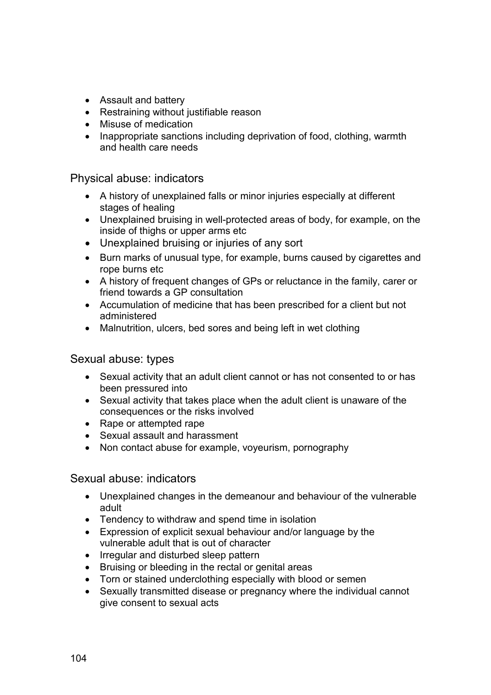- Assault and battery
- Restraining without justifiable reason
- Misuse of medication
- Inappropriate sanctions including deprivation of food, clothing, warmth and health care needs

#### Physical abuse: indicators

- A history of unexplained falls or minor injuries especially at different stages of healing
- Unexplained bruising in well-protected areas of body, for example, on the inside of thighs or upper arms etc
- Unexplained bruising or injuries of any sort
- Burn marks of unusual type, for example, burns caused by cigarettes and rope burns etc
- A history of frequent changes of GPs or reluctance in the family, carer or friend towards a GP consultation
- Accumulation of medicine that has been prescribed for a client but not administered
- Malnutrition, ulcers, bed sores and being left in wet clothing

### Sexual abuse: types

- Sexual activity that an adult client cannot or has not consented to or has been pressured into
- Sexual activity that takes place when the adult client is unaware of the consequences or the risks involved
- Rape or attempted rape
- Sexual assault and harassment
- Non contact abuse for example, voyeurism, pornography

### Sexual abuse: indicators

- Unexplained changes in the demeanour and behaviour of the vulnerable adult
- Tendency to withdraw and spend time in isolation
- Expression of explicit sexual behaviour and/or language by the vulnerable adult that is out of character
- Irregular and disturbed sleep pattern
- Bruising or bleeding in the rectal or genital areas
- Torn or stained underclothing especially with blood or semen
- Sexually transmitted disease or pregnancy where the individual cannot give consent to sexual acts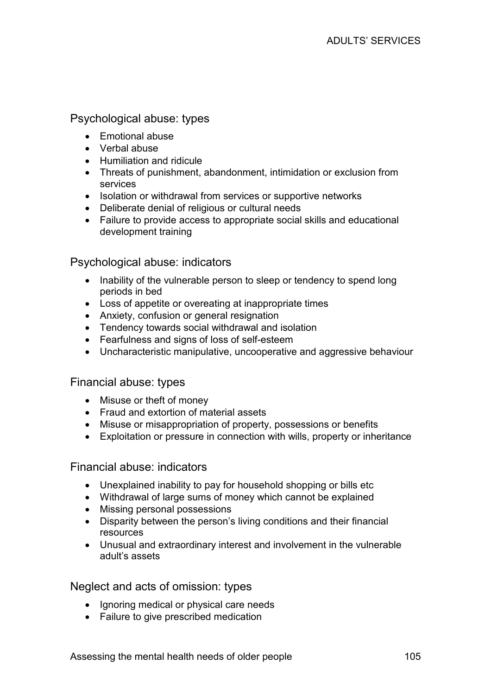### Psychological abuse: types

- Emotional abuse
- Verbal abuse
- Humiliation and ridicule
- Threats of punishment, abandonment, intimidation or exclusion from services
- Isolation or withdrawal from services or supportive networks
- Deliberate denial of religious or cultural needs
- Failure to provide access to appropriate social skills and educational development training

### Psychological abuse: indicators

- Inability of the vulnerable person to sleep or tendency to spend long periods in bed
- Loss of appetite or overeating at inappropriate times
- Anxiety, confusion or general resignation
- Tendency towards social withdrawal and isolation
- Fearfulness and signs of loss of self-esteem
- Uncharacteristic manipulative, uncooperative and aggressive behaviour

### Financial abuse: types

- Misuse or theft of money
- Fraud and extortion of material assets
- Misuse or misappropriation of property, possessions or benefits
- Exploitation or pressure in connection with wills, property or inheritance

#### Financial abuse: indicators

- Unexplained inability to pay for household shopping or bills etc
- Withdrawal of large sums of money which cannot be explained
- Missing personal possessions
- Disparity between the person's living conditions and their financial resources
- Unusual and extraordinary interest and involvement in the vulnerable adult's assets

#### Neglect and acts of omission: types

- Ignoring medical or physical care needs
- Failure to give prescribed medication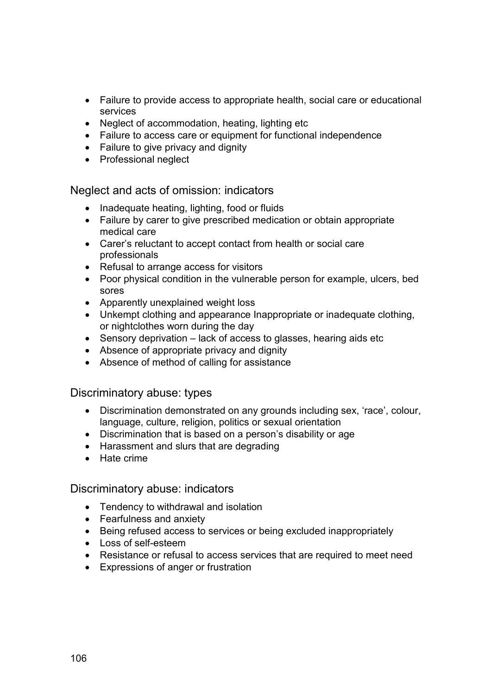- Failure to provide access to appropriate health, social care or educational services
- Neglect of accommodation, heating, lighting etc
- Failure to access care or equipment for functional independence
- Failure to give privacy and dignity
- Professional neglect

Neglect and acts of omission: indicators

- Inadequate heating, lighting, food or fluids
- Failure by carer to give prescribed medication or obtain appropriate medical care
- Carer's reluctant to accept contact from health or social care professionals
- Refusal to arrange access for visitors
- Poor physical condition in the vulnerable person for example, ulcers, bed sores
- Apparently unexplained weight loss
- Unkempt clothing and appearance Inappropriate or inadequate clothing, or nightclothes worn during the day
- Sensory deprivation lack of access to glasses, hearing aids etc
- Absence of appropriate privacy and dignity
- Absence of method of calling for assistance

### Discriminatory abuse: types

- Discrimination demonstrated on any grounds including sex, 'race', colour, language, culture, religion, politics or sexual orientation
- Discrimination that is based on a person's disability or age
- Harassment and slurs that are degrading
- Hate crime

### Discriminatory abuse: indicators

- Tendency to withdrawal and isolation
- Fearfulness and anxiety
- Being refused access to services or being excluded inappropriately
- Loss of self-esteem
- Resistance or refusal to access services that are required to meet need
- Expressions of anger or frustration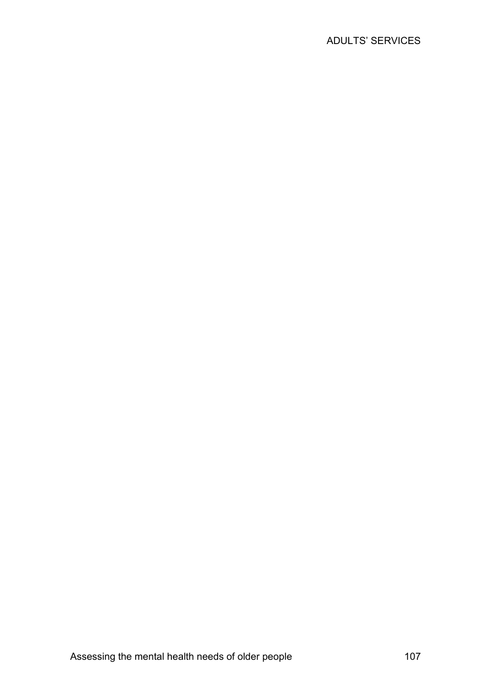#### ADULTS' SERVICES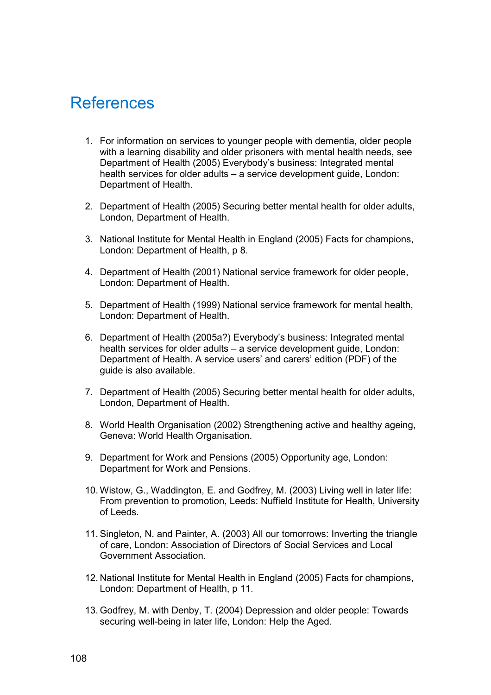# **References**

- 1. For information on services to younger people with dementia, older people with a learning disability and older prisoners with mental health needs, see Department of Health (2005) Everybody's business: Integrated mental health services for older adults – a service development guide, London: Department of Health.
- 2. Department of Health (2005) Securing better mental health for older adults, London, Department of Health.
- 3. National Institute for Mental Health in England (2005) Facts for champions, London: Department of Health, p 8.
- 4. Department of Health (2001) National service framework for older people, London: Department of Health.
- 5. Department of Health (1999) National service framework for mental health, London: Department of Health.
- 6. Department of Health (2005a?) Everybody's business: Integrated mental health services for older adults – a service development guide, London: Department of Health. A service users' and carers' edition (PDF) of the guide is also available.
- 7. Department of Health (2005) Securing better mental health for older adults, London, Department of Health.
- 8. World Health Organisation (2002) Strengthening active and healthy ageing, Geneva: World Health Organisation.
- 9. Department for Work and Pensions (2005) Opportunity age, London: Department for Work and Pensions.
- 10. Wistow, G., Waddington, E. and Godfrey, M. (2003) Living well in later life: From prevention to promotion, Leeds: Nuffield Institute for Health, University of Leeds.
- 11. Singleton, N. and Painter, A. (2003) All our tomorrows: Inverting the triangle of care, London: Association of Directors of Social Services and Local Government Association.
- 12. National Institute for Mental Health in England (2005) Facts for champions, London: Department of Health, p 11.
- 13. Godfrey, M. with Denby, T. (2004) Depression and older people: Towards securing well-being in later life, London: Help the Aged.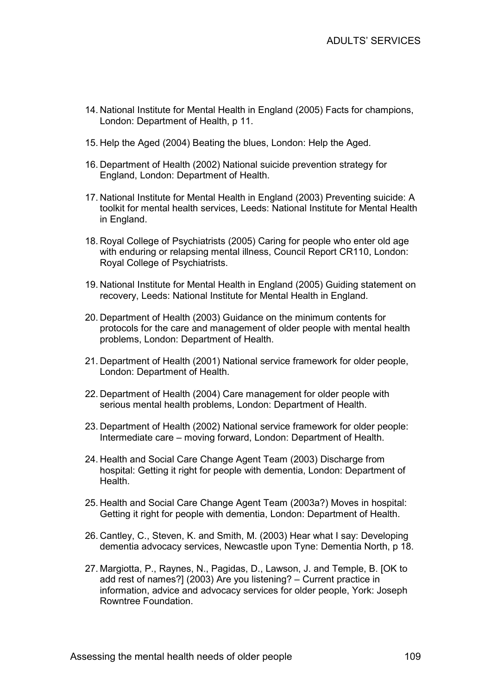- 14. National Institute for Mental Health in England (2005) Facts for champions, London: Department of Health, p 11.
- 15. Help the Aged (2004) Beating the blues, London: Help the Aged.
- 16. Department of Health (2002) National suicide prevention strategy for England, London: Department of Health.
- 17. National Institute for Mental Health in England (2003) Preventing suicide: A toolkit for mental health services, Leeds: National Institute for Mental Health in England.
- 18. Royal College of Psychiatrists (2005) Caring for people who enter old age with enduring or relapsing mental illness, Council Report CR110, London: Royal College of Psychiatrists.
- 19. National Institute for Mental Health in England (2005) Guiding statement on recovery, Leeds: National Institute for Mental Health in England.
- 20. Department of Health (2003) Guidance on the minimum contents for protocols for the care and management of older people with mental health problems, London: Department of Health.
- 21. Department of Health (2001) National service framework for older people, London: Department of Health.
- 22. Department of Health (2004) Care management for older people with serious mental health problems, London: Department of Health.
- 23. Department of Health (2002) National service framework for older people: Intermediate care – moving forward, London: Department of Health.
- 24. Health and Social Care Change Agent Team (2003) Discharge from hospital: Getting it right for people with dementia, London: Department of Health.
- 25. Health and Social Care Change Agent Team (2003a?) Moves in hospital: Getting it right for people with dementia, London: Department of Health.
- 26. Cantley, C., Steven, K. and Smith, M. (2003) Hear what I say: Developing dementia advocacy services, Newcastle upon Tyne: Dementia North, p 18.
- 27. Margiotta, P., Raynes, N., Pagidas, D., Lawson, J. and Temple, B. [OK to add rest of names?] (2003) Are you listening? – Current practice in information, advice and advocacy services for older people, York: Joseph Rowntree Foundation.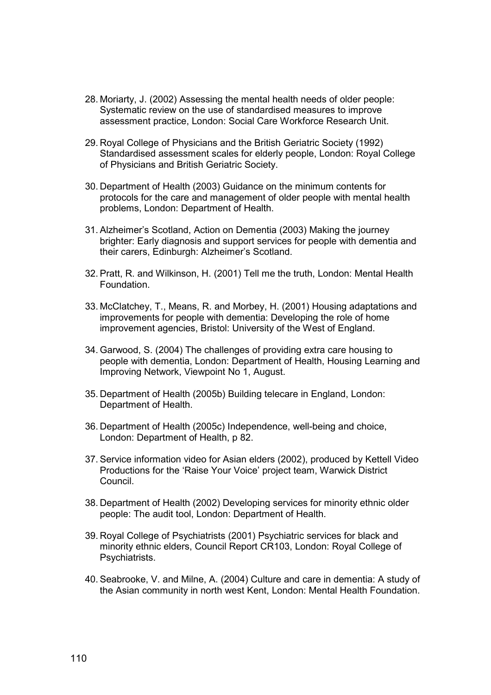- 28. Moriarty, J. (2002) Assessing the mental health needs of older people: Systematic review on the use of standardised measures to improve assessment practice, London: Social Care Workforce Research Unit.
- 29. Royal College of Physicians and the British Geriatric Society (1992) Standardised assessment scales for elderly people, London: Royal College of Physicians and British Geriatric Society.
- 30. Department of Health (2003) Guidance on the minimum contents for protocols for the care and management of older people with mental health problems, London: Department of Health.
- 31. Alzheimer's Scotland, Action on Dementia (2003) Making the journey brighter: Early diagnosis and support services for people with dementia and their carers, Edinburgh: Alzheimer's Scotland.
- 32. Pratt, R. and Wilkinson, H. (2001) Tell me the truth, London: Mental Health Foundation.
- 33. McClatchey, T., Means, R. and Morbey, H. (2001) Housing adaptations and improvements for people with dementia: Developing the role of home improvement agencies, Bristol: University of the West of England.
- 34. Garwood, S. (2004) The challenges of providing extra care housing to people with dementia, London: Department of Health, Housing Learning and Improving Network, Viewpoint No 1, August.
- 35. Department of Health (2005b) Building telecare in England, London: Department of Health.
- 36. Department of Health (2005c) Independence, well-being and choice, London: Department of Health, p 82.
- 37. Service information video for Asian elders (2002), produced by Kettell Video Productions for the 'Raise Your Voice' project team, Warwick District Council.
- 38. Department of Health (2002) Developing services for minority ethnic older people: The audit tool, London: Department of Health.
- 39. Royal College of Psychiatrists (2001) Psychiatric services for black and minority ethnic elders, Council Report CR103, London: Royal College of Psychiatrists.
- 40. Seabrooke, V. and Milne, A. (2004) Culture and care in dementia: A study of the Asian community in north west Kent, London: Mental Health Foundation.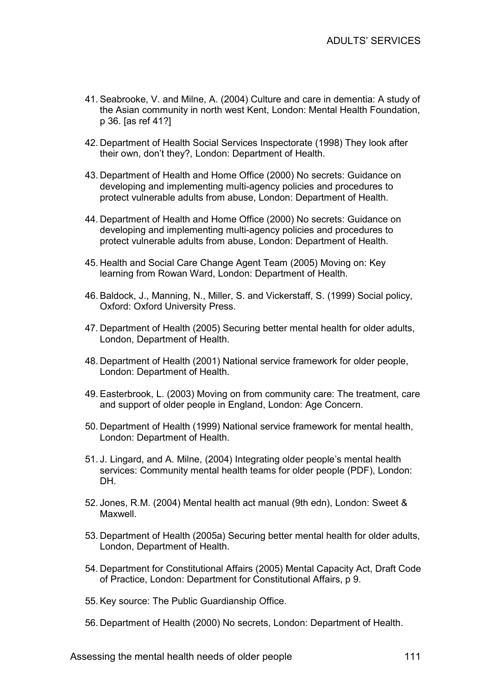- 41. Seabrooke, V. and Milne, A. (2004) Culture and care in dementia: A study of the Asian community in north west Kent, London: Mental Health Foundation, p 36. [as ref 41?]
- 42. Department of Health Social Services Inspectorate (1998) They look after their own, don't they?, London: Department of Health.
- 43. Department of Health and Home Office (2000) No secrets: Guidance on developing and implementing multi-agency policies and procedures to protect vulnerable adults from abuse, London: Department of Health.
- 44. Department of Health and Home Office (2000) No secrets: Guidance on developing and implementing multi-agency policies and procedures to protect vulnerable adults from abuse, London: Department of Health.
- 45. Health and Social Care Change Agent Team (2005) Moving on: Key learning from Rowan Ward, London: Department of Health.
- 46. Baldock, J., Manning, N., Miller, S. and Vickerstaff, S. (1999) Social policy, Oxford: Oxford University Press.
- 47. Department of Health (2005) Securing better mental health for older adults, London, Department of Health.
- 48. Department of Health (2001) National service framework for older people, London: Department of Health.
- 49. Easterbrook, L. (2003) Moving on from community care: The treatment, care and support of older people in England, London: Age Concern.
- 50. Department of Health (1999) National service framework for mental health, London: Department of Health.
- 51. J. Lingard, and A. Milne, (2004) Integrating older people's mental health services: Community mental health teams for older people (PDF), London: DH.
- 52. Jones, R.M. (2004) Mental health act manual (9th edn), London: Sweet & Maxwell.
- 53. Department of Health (2005a) Securing better mental health for older adults, London, Department of Health.
- 54. Department for Constitutional Affairs (2005) Mental Capacity Act, Draft Code of Practice, London: Department for Constitutional Affairs, p 9.
- 55. Key source: The Public Guardianship Office.
- 56. Department of Health (2000) No secrets, London: Department of Health.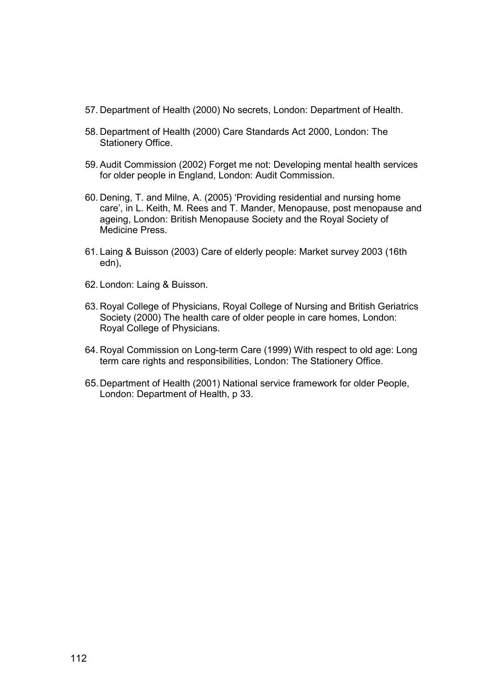- 57. Department of Health (2000) No secrets, London: Department of Health.
- 58. Department of Health (2000) Care Standards Act 2000, London: The Stationery Office.
- 59. Audit Commission (2002) Forget me not: Developing mental health services for older people in England, London: Audit Commission.
- 60. Dening, T. and Milne, A. (2005) 'Providing residential and nursing home care', in L. Keith, M. Rees and T. Mander, Menopause, post menopause and ageing, London: British Menopause Society and the Royal Society of Medicine Press.
- 61. Laing & Buisson (2003) Care of elderly people: Market survey 2003 (16th edn),
- 62. London: Laing & Buisson.
- 63. Royal College of Physicians, Royal College of Nursing and British Geriatrics Society (2000) The health care of older people in care homes, London: Royal College of Physicians.
- 64. Royal Commission on Long-term Care (1999) With respect to old age: Long term care rights and responsibilities, London: The Stationery Office.
- 65. Department of Health (2001) National service framework for older People, London: Department of Health, p 33.